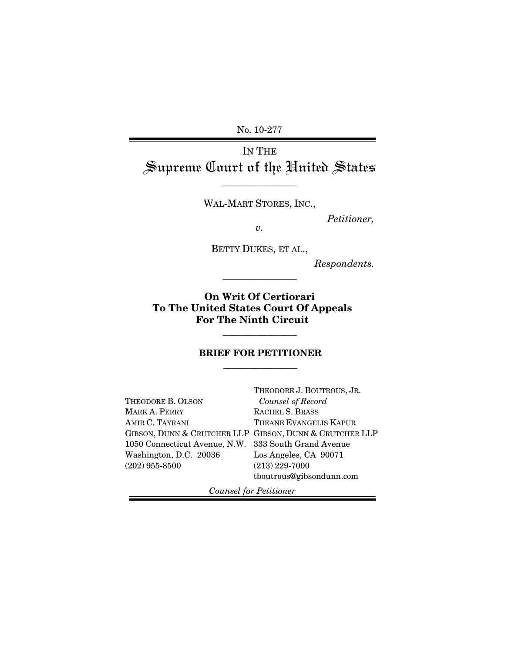No. 10-277

# IN THE Supreme Court of the United States

WAL-MART STORES, INC.,

\_\_\_\_\_\_\_\_\_\_\_\_\_\_\_

*Petitioner,* 

*v.* 

BETTY DUKES, ET AL.,

\_\_\_\_\_\_\_\_\_\_\_\_\_\_\_

*Respondents.*

**On Writ Of Certiorari To The United States Court Of Appeals For The Ninth Circuit** 

#### **BRIEF FOR PETITIONER**  \_\_\_\_\_\_\_\_\_\_\_\_\_\_\_

\_\_\_\_\_\_\_\_\_\_\_\_\_\_\_

|                                                      | THEODORE J. BOUTROUS, JR.                               |
|------------------------------------------------------|---------------------------------------------------------|
| THEODORE B. OLSON                                    | Counsel of Record                                       |
| MARK A. PERRY                                        | RACHEL S. BRASS                                         |
| AMIR C. TAYRANI                                      | THEANE EVANGELIS KAPUR                                  |
|                                                      | GIBSON, DUNN & CRUTCHER LLP GIBSON, DUNN & CRUTCHER LLP |
| 1050 Connecticut Avenue, N.W. 333 South Grand Avenue |                                                         |
| Washington, D.C. 20036                               | Los Angeles, CA 90071                                   |
| $(202)$ 955-8500                                     | $(213)$ 229-7000                                        |
|                                                      | tboutrous@gibsondunn.com                                |
|                                                      |                                                         |

 *Counsel for Petitioner*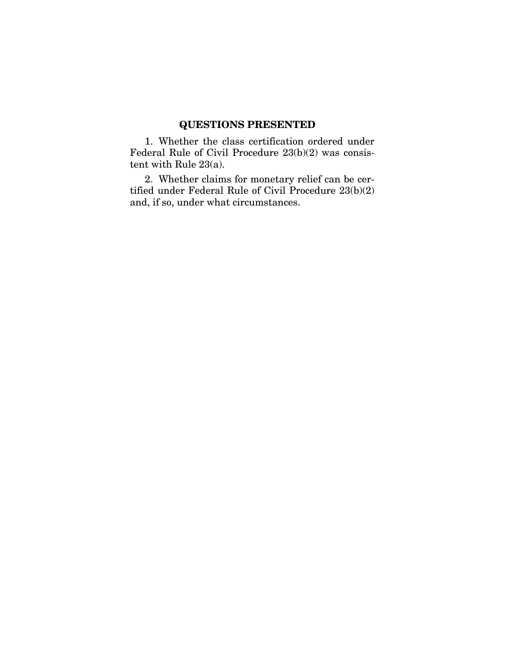### **QUESTIONS PRESENTED**

1. Whether the class certification ordered under Federal Rule of Civil Procedure 23(b)(2) was consistent with Rule 23(a).

2. Whether claims for monetary relief can be certified under Federal Rule of Civil Procedure 23(b)(2) and, if so, under what circumstances.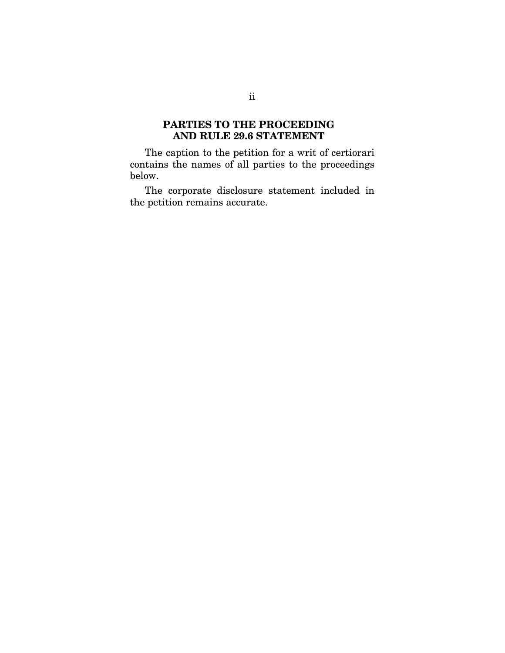### **PARTIES TO THE PROCEEDING AND RULE 29.6 STATEMENT**

The caption to the petition for a writ of certiorari contains the names of all parties to the proceedings below.

The corporate disclosure statement included in the petition remains accurate.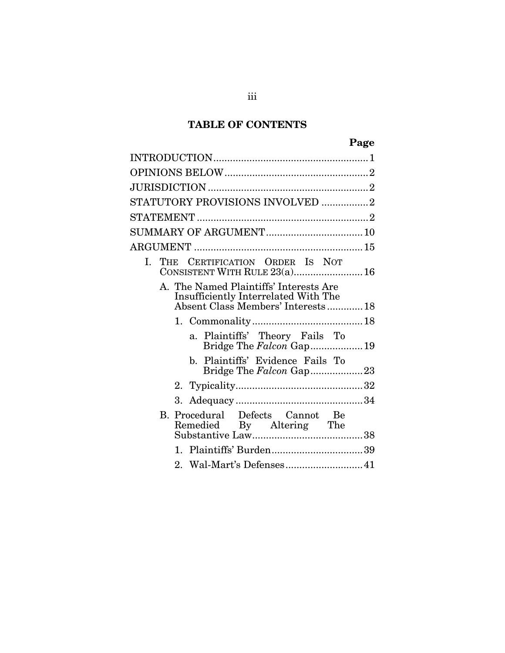## **TABLE OF CONTENTS**

| STATUTORY PROVISIONS INVOLVED 2                                                                                      |
|----------------------------------------------------------------------------------------------------------------------|
|                                                                                                                      |
|                                                                                                                      |
|                                                                                                                      |
| I. THE CERTIFICATION ORDER IS NOT<br>CONSISTENT WITH RULE 23(a) 16                                                   |
| A. The Named Plaintiffs' Interests Are<br>Insufficiently Interrelated With The<br>Absent Class Members' Interests 18 |
|                                                                                                                      |
| a. Plaintiffs' Theory Fails To<br>Bridge The Falcon Gap 19                                                           |
| b. Plaintiffs' Evidence Fails To<br>Bridge The Falcon Gap23                                                          |
|                                                                                                                      |
|                                                                                                                      |
| B. Procedural Defects Cannot Be<br>Remedied By Altering The                                                          |
|                                                                                                                      |
| 2. Wal-Mart's Defenses 41                                                                                            |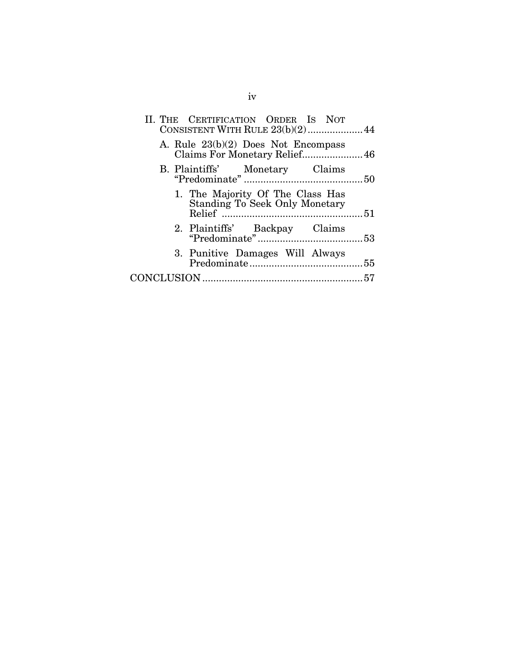| A. Rule $23(b)(2)$ Does Not Encompass<br>Claims For Monetary Relief 46<br>1. The Majority Of The Class Has<br>Standing To Seek Only Monetary<br>3. Punitive Damages Will Always | II. THE CERTIFICATION ORDER IS NOT<br>CONSISTENT WITH RULE 23(b)(2) 44 |  |
|---------------------------------------------------------------------------------------------------------------------------------------------------------------------------------|------------------------------------------------------------------------|--|
|                                                                                                                                                                                 |                                                                        |  |
|                                                                                                                                                                                 |                                                                        |  |
|                                                                                                                                                                                 |                                                                        |  |
|                                                                                                                                                                                 |                                                                        |  |
|                                                                                                                                                                                 |                                                                        |  |
|                                                                                                                                                                                 |                                                                        |  |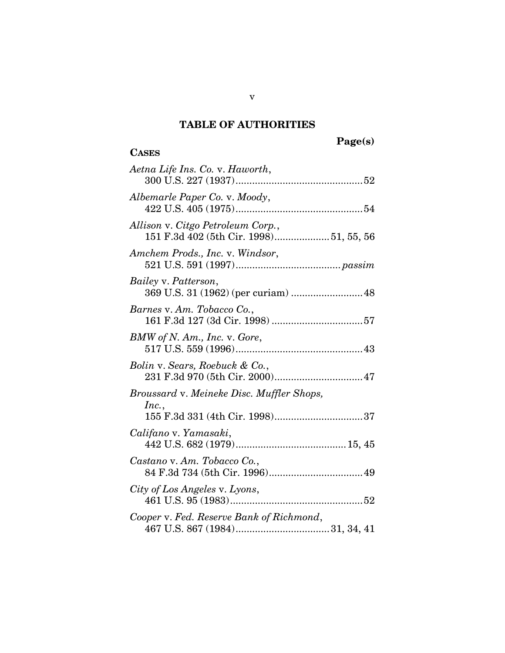### **TABLE OF AUTHORITIES**

## **Page(s)**

# **CASES**

| Aetna Life Ins. Co. v. Haworth,                                             |
|-----------------------------------------------------------------------------|
| Albemarle Paper Co. v. Moody,                                               |
| Allison v. Citgo Petroleum Corp.,<br>151 F.3d 402 (5th Cir. 1998)51, 55, 56 |
| Amchem Prods., Inc. v. Windsor,                                             |
| Bailey v. Patterson,<br>369 U.S. 31 (1962) (per curiam)  48                 |
| Barnes v. Am. Tobacco Co.,                                                  |
| BMW of N. Am., Inc. v. Gore,                                                |
| Bolin v. Sears, Roebuck & Co.,                                              |
| Broussard v. Meineke Disc. Muffler Shops,                                   |
| Inc.,                                                                       |
| Califano v. Yamasaki,                                                       |
| Castano v. Am. Tobacco Co.,                                                 |
| City of Los Angeles v. Lyons,                                               |
| Cooper v. Fed. Reserve Bank of Richmond,                                    |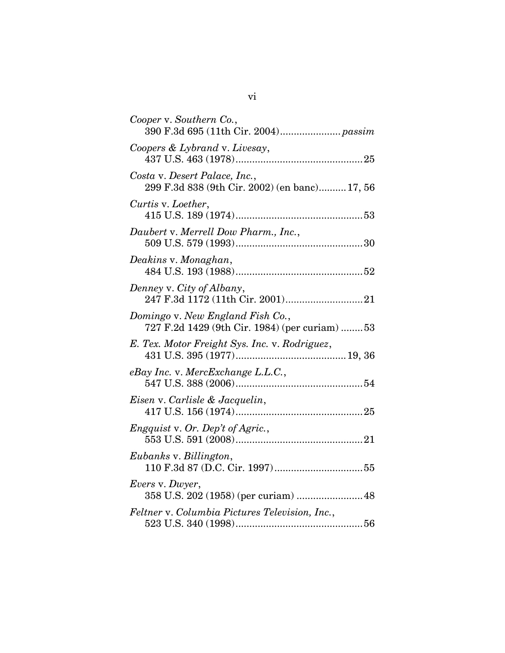| Cooper v. Southern Co.,                                                           |
|-----------------------------------------------------------------------------------|
| Coopers & Lybrand v. Livesay,                                                     |
| Costa v. Desert Palace, Inc.,<br>299 F.3d 838 (9th Cir. 2002) (en banc) 17, 56    |
| Curtis v. Loether,                                                                |
| Daubert v. Merrell Dow Pharm., Inc.,                                              |
| Deakins v. Monaghan,                                                              |
| Denney v. City of Albany,                                                         |
| Domingo v. New England Fish Co.,<br>727 F.2d 1429 (9th Cir. 1984) (per curiam) 53 |
| E. Tex. Motor Freight Sys. Inc. v. Rodriguez,                                     |
| eBay Inc. v. MercExchange L.L.C.,                                                 |
| Eisen v. Carlisle & Jacquelin,                                                    |
| Engquist v. Or. Dep't of Agric.,                                                  |
| Eubanks v. Billington,                                                            |
| <i>Evers v. Dwyer,</i><br>358 U.S. 202 (1958) (per curiam)  48                    |
| Feltner v. Columbia Pictures Television, Inc.,                                    |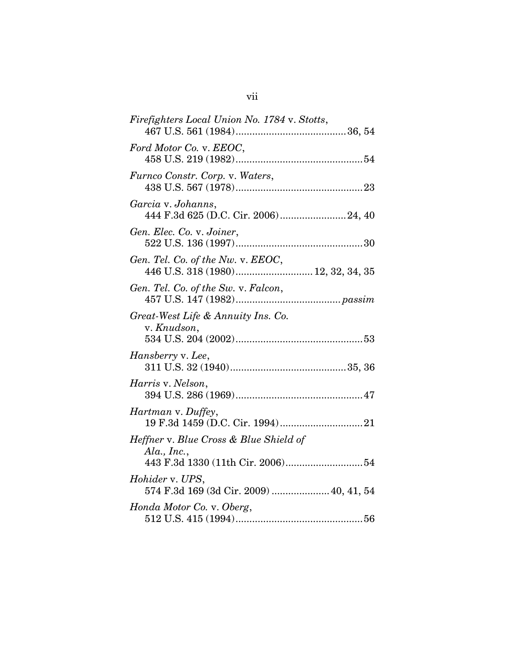| Firefighters Local Union No. 1784 v. Stotts,                            |
|-------------------------------------------------------------------------|
| Ford Motor Co. v. EEOC,                                                 |
| Furnco Constr. Corp. v. Waters,                                         |
| Garcia v. Johanns,                                                      |
| Gen. Elec. Co. v. Joiner,                                               |
| Gen. Tel. Co. of the Nw. v. EEOC,<br>446 U.S. 318 (1980) 12, 32, 34, 35 |
| Gen. Tel. Co. of the Sw. v. Falcon,                                     |
| Great-West Life & Annuity Ins. Co.<br>v. Knudson,                       |
| Hansberry v. Lee,                                                       |
| Harris v. Nelson,                                                       |
| <i>Hartman</i> v. Duffey,                                               |
| Heffner v. Blue Cross & Blue Shield of<br>$Ala$ , Inc.,                 |
| Hohider v. UPS,<br>574 F.3d 169 (3d Cir. 2009)  40, 41, 54              |
| Honda Motor Co. v. Oberg,                                               |

## vii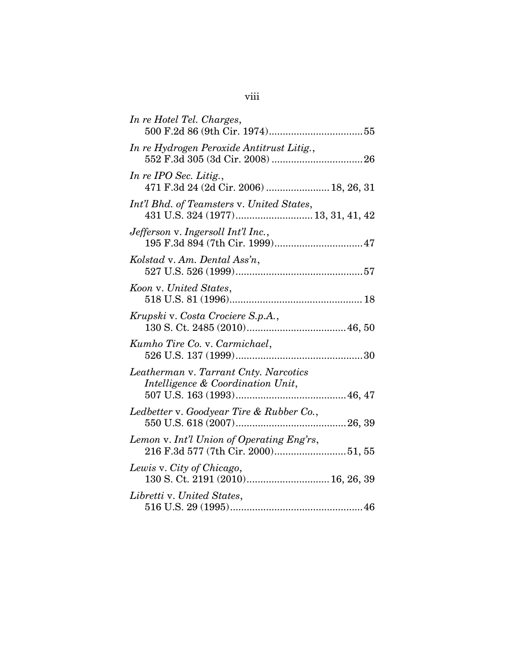| In re Hotel Tel. Charges,                                                  |
|----------------------------------------------------------------------------|
| In re Hydrogen Peroxide Antitrust Litig.,                                  |
| In re IPO Sec. Litig.,<br>471 F.3d 24 (2d Cir. 2006)  18, 26, 31           |
| Int'l Bhd. of Teamsters v. United States,                                  |
| Jefferson v. Ingersoll Int'l Inc.,                                         |
| Kolstad v. Am. Dental Ass'n,                                               |
| Koon v. United States,                                                     |
| Krupski v. Costa Crociere S.p.A.,                                          |
| Kumho Tire Co. v. Carmichael,                                              |
| Leatherman v. Tarrant Cnty. Narcotics<br>Intelligence & Coordination Unit, |
| Ledbetter v. Goodyear Tire & Rubber Co.,                                   |
| Lemon v. Int'l Union of Operating Eng'rs,                                  |
| Lewis v. City of Chicago,                                                  |
| Libretti v. United States,                                                 |

# viii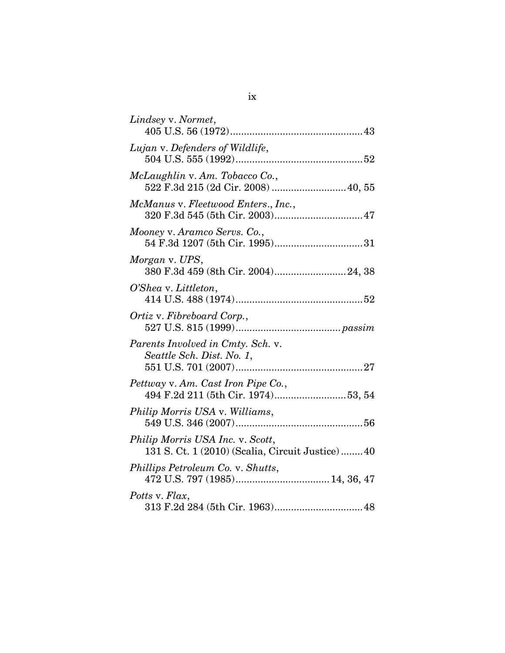| Lindsey v. Normet,                                                                    |
|---------------------------------------------------------------------------------------|
| Lujan v. Defenders of Wildlife,                                                       |
| McLaughlin v. Am. Tobacco Co.,<br>522 F.3d 215 (2d Cir. 2008)  40, 55                 |
| McManus v. Fleetwood Enters., Inc.,<br>320 F.3d 545 (5th Cir. 2003) 47                |
| Mooney v. Aramco Servs. Co.,                                                          |
| Morgan v. UPS,<br>380 F.3d 459 (8th Cir. 2004) 24, 38                                 |
| O'Shea v. Littleton,                                                                  |
| Ortiz v. Fibreboard Corp.,                                                            |
| Parents Involved in Cmty. Sch. v.<br>Seattle Sch. Dist. No. 1,                        |
| Pettway v. Am. Cast Iron Pipe Co.,                                                    |
| Philip Morris USA v. Williams,                                                        |
| Philip Morris USA Inc. v. Scott,<br>131 S. Ct. 1 (2010) (Scalia, Circuit Justice)  40 |
| Phillips Petroleum Co. v. Shutts,                                                     |
| Potts v. Flax,                                                                        |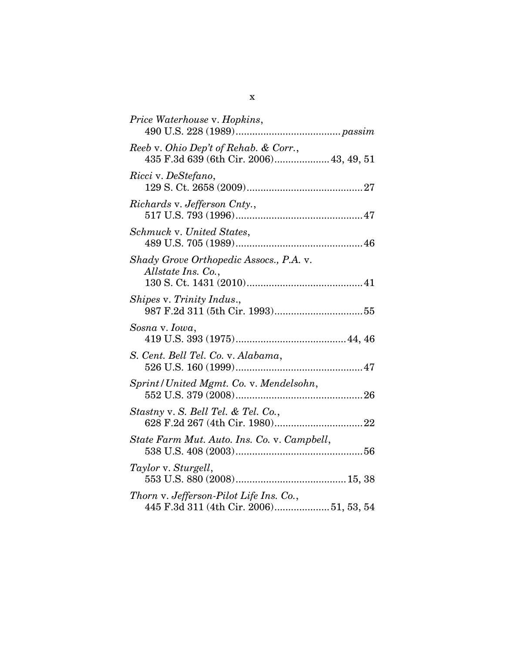| Price Waterhouse v. Hopkins,                                                      |
|-----------------------------------------------------------------------------------|
| Reeb v. Ohio Dep't of Rehab. & Corr.,<br>435 F.3d 639 (6th Cir. 2006) 43, 49, 51  |
| Ricci v. DeStefano,                                                               |
| Richards v. Jefferson Cnty.,                                                      |
| Schmuck v. United States,                                                         |
| Shady Grove Orthopedic Assocs., P.A. v.<br>Allstate Ins. Co.,                     |
| Shipes v. Trinity Indus.,                                                         |
| Sosna v. Iowa,                                                                    |
| S. Cent. Bell Tel. Co. v. Alabama,                                                |
| Sprint/United Mgmt. Co. v. Mendelsohn,                                            |
| Stastny v. S. Bell Tel. & Tel. Co.,                                               |
| State Farm Mut. Auto. Ins. Co. v. Campbell,                                       |
| Taylor v. Sturgell,                                                               |
| Thorn v. Jefferson-Pilot Life Ins. Co.,<br>445 F.3d 311 (4th Cir. 2006)51, 53, 54 |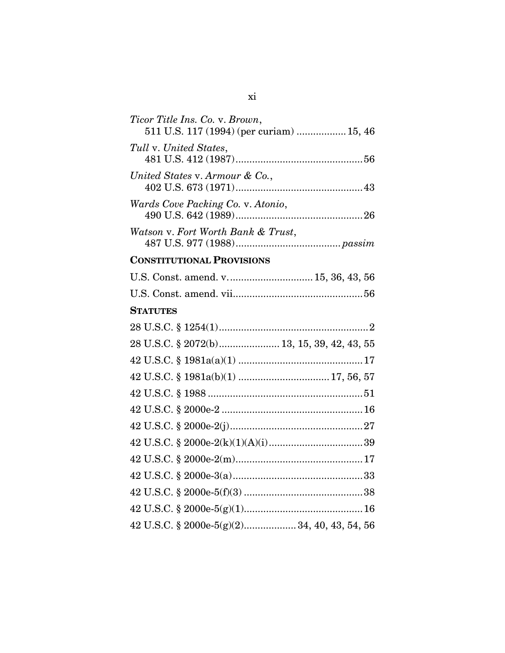| Ticor Title Ins. Co. v. Brown,<br>511 U.S. 117 (1994) (per curiam)  15, 46 |
|----------------------------------------------------------------------------|
| Tull v. United States,                                                     |
| United States v. Armour & Co.,                                             |
| Wards Cove Packing Co. v. Atonio,                                          |
| Watson v. Fort Worth Bank & Trust,                                         |
| <b>CONSTITUTIONAL PROVISIONS</b>                                           |
| U.S. Const. amend. v 15, 36, 43, 56                                        |
|                                                                            |
| <b>STATUTES</b>                                                            |
|                                                                            |
| 28 U.S.C. § 2072(b) 13, 15, 39, 42, 43, 55                                 |
|                                                                            |
|                                                                            |
|                                                                            |
|                                                                            |
|                                                                            |
|                                                                            |
|                                                                            |
|                                                                            |
|                                                                            |
|                                                                            |
| 42 U.S.C. § 2000e-5(g)(2) 34, 40, 43, 54, 56                               |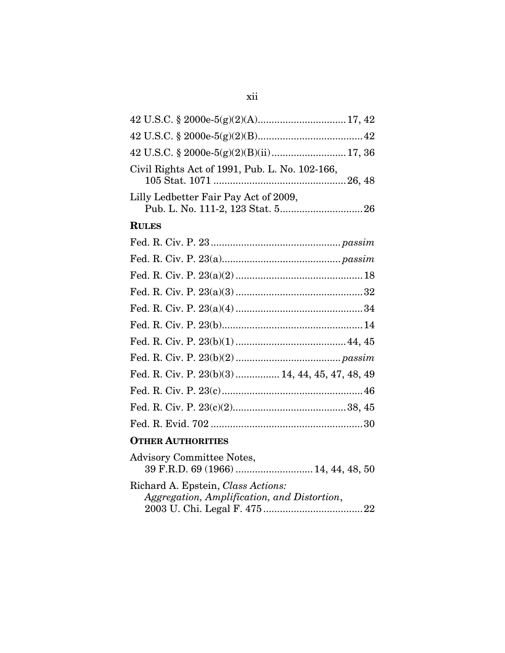| 42 U.S.C. § 2000e-5(g)(2)(B)(ii) 17, 36                                           |
|-----------------------------------------------------------------------------------|
| Civil Rights Act of 1991, Pub. L. No. 102-166,                                    |
| Lilly Ledbetter Fair Pay Act of 2009,                                             |
| <b>RULES</b>                                                                      |
|                                                                                   |
|                                                                                   |
|                                                                                   |
|                                                                                   |
|                                                                                   |
|                                                                                   |
|                                                                                   |
|                                                                                   |
| Fed. R. Civ. P. 23(b)(3)  14, 44, 45, 47, 48, 49                                  |
|                                                                                   |
|                                                                                   |
|                                                                                   |
| <b>OTHER AUTHORITIES</b>                                                          |
| <b>Advisory Committee Notes,</b><br>39 F.R.D. 69 (1966)  14, 44, 48, 50           |
| Richard A. Epstein, Class Actions:<br>Aggregation, Amplification, and Distortion, |

2003 U. Chi. Legal F. 475....................................22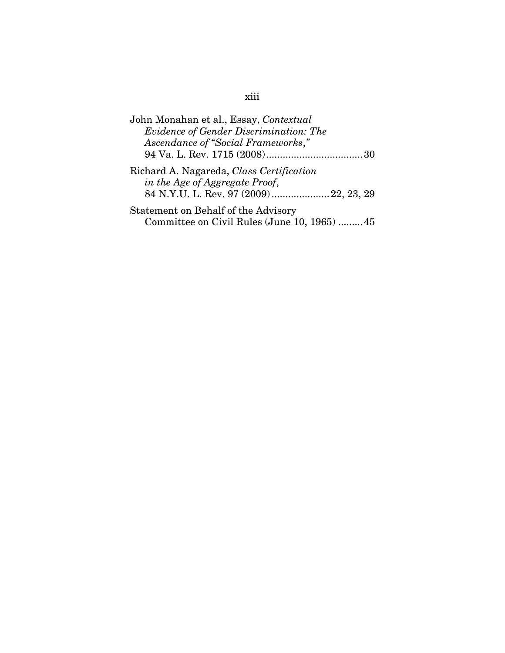| John Monahan et al., Essay, Contextual   |
|------------------------------------------|
| Evidence of Gender Discrimination: The   |
| Ascendance of "Social Frameworks,"       |
|                                          |
| Richard A. Nagareda, Class Certification |
| in the Age of Aggregate Proof,           |
| 84 N.Y.U. L. Rev. 97 (2009) 22, 23, 29   |
| $Statement$ on $Both of the Adxiomz$     |

Statement on Behalf of the Advisory Committee on Civil Rules (June 10, 1965) .........45

### xiii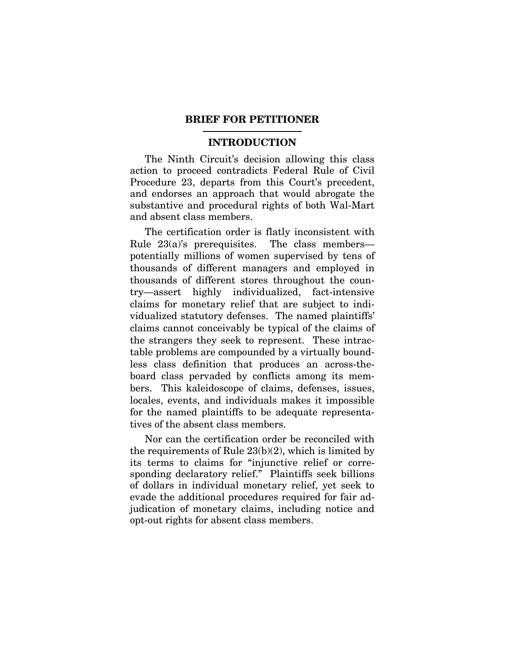#### **BRIEF FOR PETITIONER**

#### **INTRODUCTION**

The Ninth Circuit's decision allowing this class action to proceed contradicts Federal Rule of Civil Procedure 23, departs from this Court's precedent, and endorses an approach that would abrogate the substantive and procedural rights of both Wal-Mart and absent class members.

The certification order is flatly inconsistent with Rule 23(a)'s prerequisites. The class members potentially millions of women supervised by tens of thousands of different managers and employed in thousands of different stores throughout the country—assert highly individualized, fact-intensive claims for monetary relief that are subject to individualized statutory defenses. The named plaintiffs' claims cannot conceivably be typical of the claims of the strangers they seek to represent. These intractable problems are compounded by a virtually boundless class definition that produces an across-theboard class pervaded by conflicts among its members. This kaleidoscope of claims, defenses, issues, locales, events, and individuals makes it impossible for the named plaintiffs to be adequate representatives of the absent class members.

Nor can the certification order be reconciled with the requirements of Rule 23(b)(2), which is limited by its terms to claims for "injunctive relief or corresponding declaratory relief." Plaintiffs seek billions of dollars in individual monetary relief, yet seek to evade the additional procedures required for fair adjudication of monetary claims, including notice and opt-out rights for absent class members.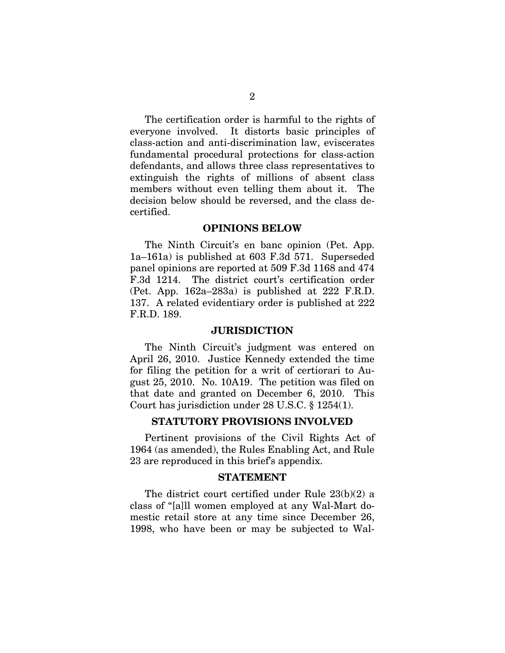The certification order is harmful to the rights of everyone involved. It distorts basic principles of class-action and anti-discrimination law, eviscerates fundamental procedural protections for class-action defendants, and allows three class representatives to extinguish the rights of millions of absent class members without even telling them about it. The decision below should be reversed, and the class decertified.

#### **OPINIONS BELOW**

The Ninth Circuit's en banc opinion (Pet. App. 1a–161a) is published at 603 F.3d 571. Superseded panel opinions are reported at 509 F.3d 1168 and 474 F.3d 1214. The district court's certification order (Pet. App. 162a–283a) is published at 222 F.R.D. 137. A related evidentiary order is published at 222 F.R.D. 189.

#### **JURISDICTION**

The Ninth Circuit's judgment was entered on April 26, 2010. Justice Kennedy extended the time for filing the petition for a writ of certiorari to August 25, 2010. No. 10A19. The petition was filed on that date and granted on December 6, 2010. This Court has jurisdiction under 28 U.S.C. § 1254(1).

#### **STATUTORY PROVISIONS INVOLVED**

Pertinent provisions of the Civil Rights Act of 1964 (as amended), the Rules Enabling Act, and Rule 23 are reproduced in this brief's appendix.

#### **STATEMENT**

The district court certified under Rule 23(b)(2) a class of "[a]ll women employed at any Wal-Mart domestic retail store at any time since December 26, 1998, who have been or may be subjected to Wal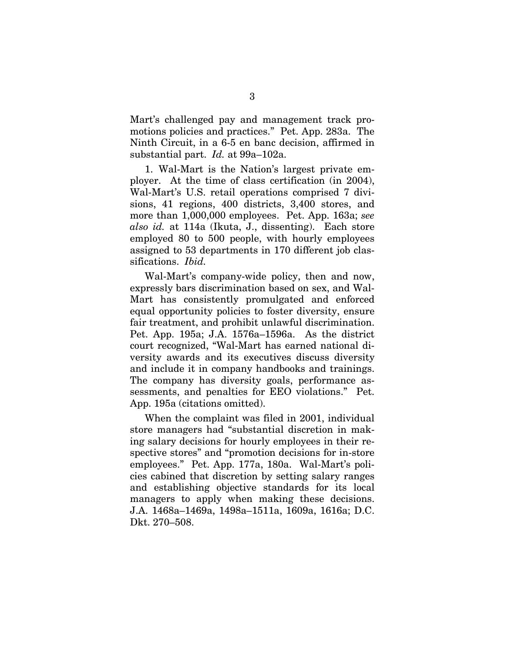Mart's challenged pay and management track promotions policies and practices." Pet. App. 283a. The Ninth Circuit, in a 6-5 en banc decision, affirmed in substantial part. *Id.* at 99a–102a.

1. Wal-Mart is the Nation's largest private employer. At the time of class certification (in 2004), Wal-Mart's U.S. retail operations comprised 7 divisions, 41 regions, 400 districts, 3,400 stores, and more than 1,000,000 employees. Pet. App. 163a; *see also id.* at 114a (Ikuta, J., dissenting). Each store employed 80 to 500 people, with hourly employees assigned to 53 departments in 170 different job classifications. *Ibid.*

Wal-Mart's company-wide policy, then and now, expressly bars discrimination based on sex, and Wal-Mart has consistently promulgated and enforced equal opportunity policies to foster diversity, ensure fair treatment, and prohibit unlawful discrimination. Pet. App. 195a; J.A. 1576a–1596a. As the district court recognized, "Wal-Mart has earned national diversity awards and its executives discuss diversity and include it in company handbooks and trainings. The company has diversity goals, performance assessments, and penalties for EEO violations." Pet. App. 195a (citations omitted).

When the complaint was filed in 2001, individual store managers had "substantial discretion in making salary decisions for hourly employees in their respective stores" and "promotion decisions for in-store employees." Pet. App. 177a, 180a. Wal-Mart's policies cabined that discretion by setting salary ranges and establishing objective standards for its local managers to apply when making these decisions. J.A. 1468a–1469a, 1498a–1511a, 1609a, 1616a; D.C. Dkt. 270–508.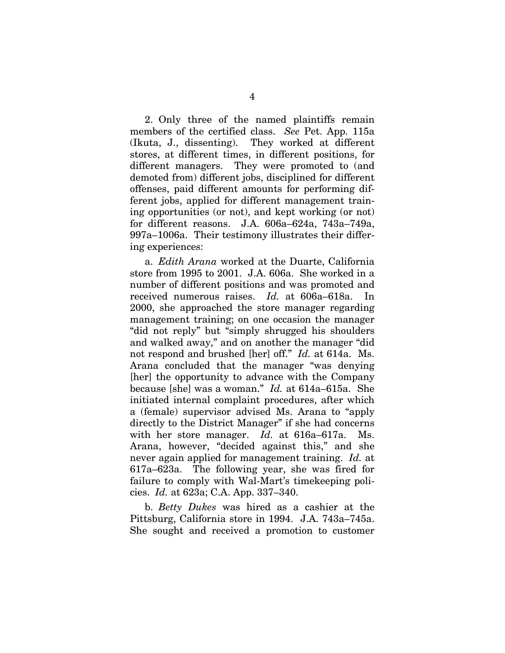2. Only three of the named plaintiffs remain members of the certified class. *See* Pet. App. 115a (Ikuta, J., dissenting). They worked at different stores, at different times, in different positions, for different managers. They were promoted to (and demoted from) different jobs, disciplined for different offenses, paid different amounts for performing different jobs, applied for different management training opportunities (or not), and kept working (or not) for different reasons. J.A. 606a–624a, 743a–749a, 997a–1006a. Their testimony illustrates their differing experiences:

a. *Edith Arana* worked at the Duarte, California store from 1995 to 2001. J.A. 606a. She worked in a number of different positions and was promoted and received numerous raises. *Id.* at 606a–618a. In 2000, she approached the store manager regarding management training; on one occasion the manager "did not reply" but "simply shrugged his shoulders and walked away," and on another the manager "did not respond and brushed [her] off." *Id.* at 614a. Ms. Arana concluded that the manager "was denying [her] the opportunity to advance with the Company because [she] was a woman." *Id.* at 614a–615a. She initiated internal complaint procedures, after which a (female) supervisor advised Ms. Arana to "apply directly to the District Manager" if she had concerns with her store manager. *Id.* at 616a–617a. Ms. Arana, however, "decided against this," and she never again applied for management training. *Id.* at 617a–623a. The following year, she was fired for failure to comply with Wal-Mart's timekeeping policies. *Id.* at 623a; C.A. App. 337–340.

b. *Betty Dukes* was hired as a cashier at the Pittsburg, California store in 1994. J.A. 743a–745a. She sought and received a promotion to customer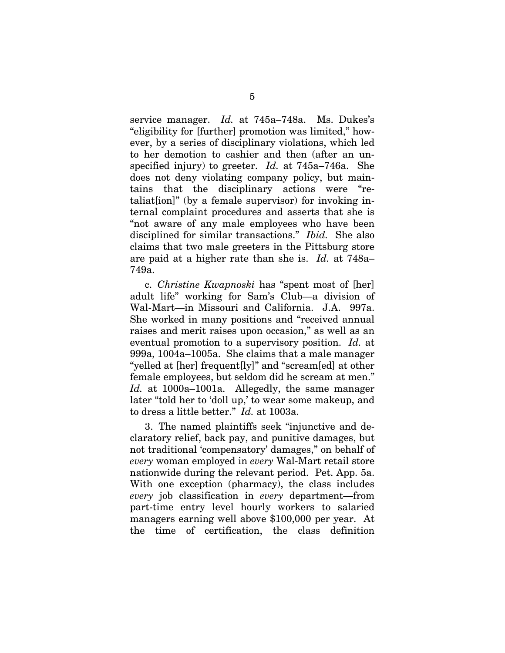service manager. *Id.* at 745a–748a. Ms. Dukes's "eligibility for [further] promotion was limited," however, by a series of disciplinary violations, which led to her demotion to cashier and then (after an unspecified injury) to greeter. *Id.* at 745a–746a. She does not deny violating company policy, but maintains that the disciplinary actions were "retaliation]" (by a female supervisor) for invoking internal complaint procedures and asserts that she is "not aware of any male employees who have been disciplined for similar transactions." *Ibid.* She also claims that two male greeters in the Pittsburg store are paid at a higher rate than she is. *Id.* at 748a– 749a.

c. *Christine Kwapnoski* has "spent most of [her] adult life" working for Sam's Club—a division of Wal-Mart—in Missouri and California. J.A. 997a. She worked in many positions and "received annual raises and merit raises upon occasion," as well as an eventual promotion to a supervisory position. *Id.* at 999a, 1004a–1005a. She claims that a male manager "yelled at [her] frequent[ly]" and "scream[ed] at other female employees, but seldom did he scream at men." *Id.* at 1000a–1001a. Allegedly, the same manager later "told her to 'doll up,' to wear some makeup, and to dress a little better." *Id.* at 1003a.

3. The named plaintiffs seek "injunctive and declaratory relief, back pay, and punitive damages, but not traditional 'compensatory' damages," on behalf of *every* woman employed in *every* Wal-Mart retail store nationwide during the relevant period. Pet. App. 5a. With one exception (pharmacy), the class includes *every* job classification in *every* department—from part-time entry level hourly workers to salaried managers earning well above \$100,000 per year. At the time of certification, the class definition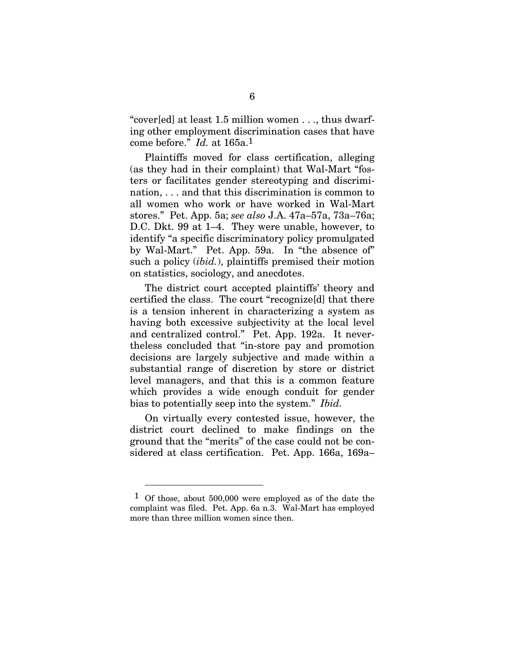"cover[ed] at least 1.5 million women . . ., thus dwarfing other employment discrimination cases that have come before." *Id.* at 165a.1

Plaintiffs moved for class certification, alleging (as they had in their complaint) that Wal-Mart "fosters or facilitates gender stereotyping and discrimination, . . . and that this discrimination is common to all women who work or have worked in Wal-Mart stores." Pet. App. 5a; *see also* J.A. 47a–57a, 73a–76a; D.C. Dkt. 99 at 1–4. They were unable, however, to identify "a specific discriminatory policy promulgated by Wal-Mart." Pet. App. 59a. In "the absence of" such a policy (*ibid.*), plaintiffs premised their motion on statistics, sociology, and anecdotes.

The district court accepted plaintiffs' theory and certified the class. The court "recognize[d] that there is a tension inherent in characterizing a system as having both excessive subjectivity at the local level and centralized control." Pet. App. 192a. It nevertheless concluded that "in-store pay and promotion decisions are largely subjective and made within a substantial range of discretion by store or district level managers, and that this is a common feature which provides a wide enough conduit for gender bias to potentially seep into the system." *Ibid.*

On virtually every contested issue, however, the district court declined to make findings on the ground that the "merits" of the case could not be considered at class certification. Pet. App. 166a, 169a–

 $\overline{a}$ 

<sup>1</sup> Of those, about 500,000 were employed as of the date the complaint was filed. Pet. App. 6a n.3. Wal-Mart has employed more than three million women since then.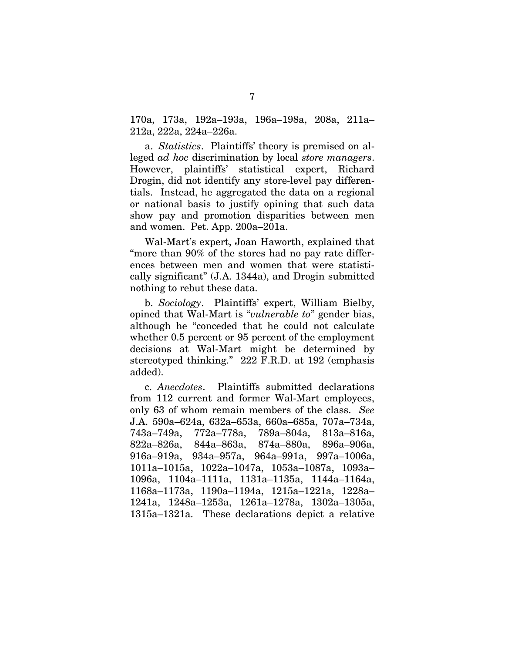170a, 173a, 192a–193a, 196a–198a, 208a, 211a– 212a, 222a, 224a–226a.

a. *Statistics*. Plaintiffs' theory is premised on alleged *ad hoc* discrimination by local *store managers*. However, plaintiffs' statistical expert, Richard Drogin, did not identify any store-level pay differentials. Instead, he aggregated the data on a regional or national basis to justify opining that such data show pay and promotion disparities between men and women. Pet. App. 200a–201a.

Wal-Mart's expert, Joan Haworth, explained that "more than 90% of the stores had no pay rate differences between men and women that were statistically significant" (J.A. 1344a), and Drogin submitted nothing to rebut these data.

b. *Sociology*. Plaintiffs' expert, William Bielby, opined that Wal-Mart is "*vulnerable to*" gender bias, although he "conceded that he could not calculate whether 0.5 percent or 95 percent of the employment decisions at Wal-Mart might be determined by stereotyped thinking." 222 F.R.D. at 192 (emphasis added).

c. *Anecdotes*. Plaintiffs submitted declarations from 112 current and former Wal-Mart employees, only 63 of whom remain members of the class. *See* J.A. 590a–624a, 632a–653a, 660a–685a, 707a–734a, 743a–749a, 772a–778a, 789a–804a, 813a–816a, 822a–826a, 844a–863a, 874a–880a, 896a–906a, 916a–919a, 934a–957a, 964a–991a, 997a–1006a, 1011a–1015a, 1022a–1047a, 1053a–1087a, 1093a– 1096a, 1104a–1111a, 1131a–1135a, 1144a–1164a, 1168a–1173a, 1190a–1194a, 1215a–1221a, 1228a– 1241a, 1248a–1253a, 1261a–1278a, 1302a–1305a, 1315a–1321a. These declarations depict a relative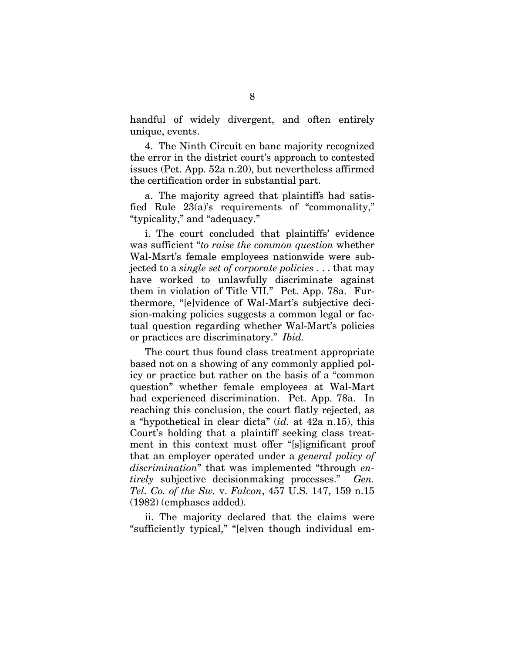handful of widely divergent, and often entirely unique, events.

4. The Ninth Circuit en banc majority recognized the error in the district court's approach to contested issues (Pet. App. 52a n.20), but nevertheless affirmed the certification order in substantial part.

a. The majority agreed that plaintiffs had satisfied Rule 23(a)'s requirements of "commonality," "typicality," and "adequacy."

i. The court concluded that plaintiffs' evidence was sufficient "*to raise the common question* whether Wal-Mart's female employees nationwide were subjected to a *single set of corporate policies* . . . that may have worked to unlawfully discriminate against them in violation of Title VII." Pet. App. 78a. Furthermore, "[e]vidence of Wal-Mart's subjective decision-making policies suggests a common legal or factual question regarding whether Wal-Mart's policies or practices are discriminatory." *Ibid.*

The court thus found class treatment appropriate based not on a showing of any commonly applied policy or practice but rather on the basis of a "common question" whether female employees at Wal-Mart had experienced discrimination. Pet. App. 78a. In reaching this conclusion, the court flatly rejected, as a "hypothetical in clear dicta" (*id.* at 42a n.15), this Court's holding that a plaintiff seeking class treatment in this context must offer "[s]ignificant proof that an employer operated under a *general policy of discrimination*" that was implemented "through *entirely* subjective decisionmaking processes." *Gen. Tel. Co. of the Sw.* v. *Falcon*, 457 U.S. 147, 159 n.15 (1982) (emphases added).

ii. The majority declared that the claims were "sufficiently typical," "[e]ven though individual em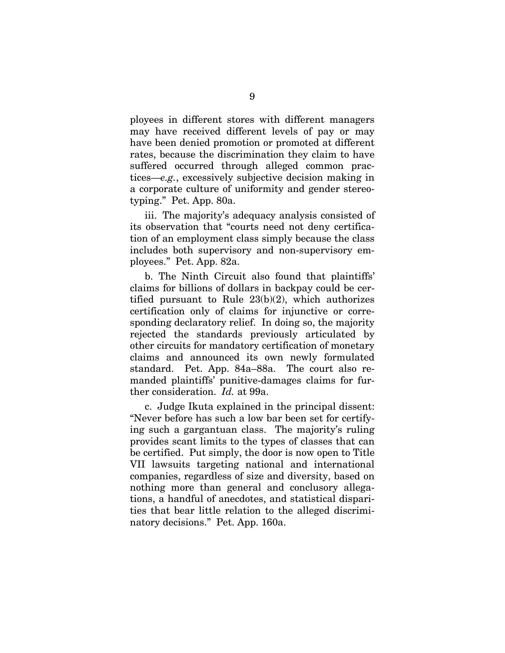ployees in different stores with different managers may have received different levels of pay or may have been denied promotion or promoted at different rates, because the discrimination they claim to have suffered occurred through alleged common practices—*e.g.*, excessively subjective decision making in a corporate culture of uniformity and gender stereotyping." Pet. App. 80a.

iii. The majority's adequacy analysis consisted of its observation that "courts need not deny certification of an employment class simply because the class includes both supervisory and non-supervisory employees." Pet. App. 82a.

b. The Ninth Circuit also found that plaintiffs' claims for billions of dollars in backpay could be certified pursuant to Rule 23(b)(2), which authorizes certification only of claims for injunctive or corresponding declaratory relief. In doing so, the majority rejected the standards previously articulated by other circuits for mandatory certification of monetary claims and announced its own newly formulated standard. Pet. App. 84a–88a. The court also remanded plaintiffs' punitive-damages claims for further consideration. *Id.* at 99a.

c. Judge Ikuta explained in the principal dissent: "Never before has such a low bar been set for certifying such a gargantuan class. The majority's ruling provides scant limits to the types of classes that can be certified. Put simply, the door is now open to Title VII lawsuits targeting national and international companies, regardless of size and diversity, based on nothing more than general and conclusory allegations, a handful of anecdotes, and statistical disparities that bear little relation to the alleged discriminatory decisions." Pet. App. 160a.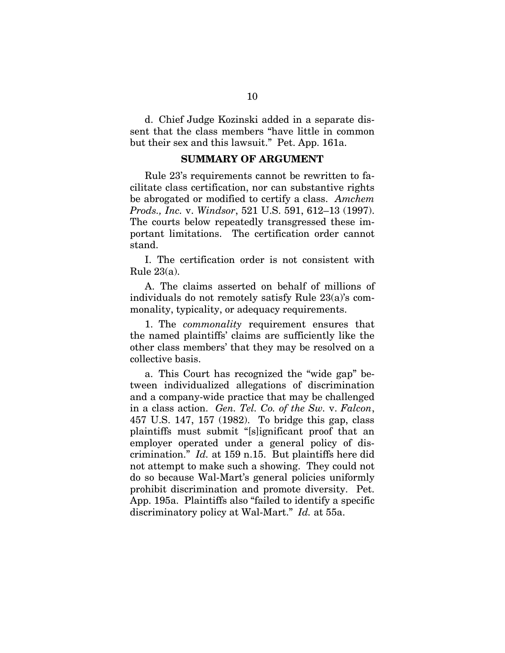d. Chief Judge Kozinski added in a separate dissent that the class members "have little in common but their sex and this lawsuit." Pet. App. 161a.

#### **SUMMARY OF ARGUMENT**

Rule 23's requirements cannot be rewritten to facilitate class certification, nor can substantive rights be abrogated or modified to certify a class. *Amchem Prods., Inc.* v. *Windsor*, 521 U.S. 591, 612–13 (1997). The courts below repeatedly transgressed these important limitations. The certification order cannot stand.

I. The certification order is not consistent with Rule  $23(a)$ .

A. The claims asserted on behalf of millions of individuals do not remotely satisfy Rule 23(a)'s commonality, typicality, or adequacy requirements.

1. The *commonality* requirement ensures that the named plaintiffs' claims are sufficiently like the other class members' that they may be resolved on a collective basis.

a. This Court has recognized the "wide gap" between individualized allegations of discrimination and a company-wide practice that may be challenged in a class action. *Gen. Tel. Co. of the Sw.* v. *Falcon*, 457 U.S. 147, 157 (1982). To bridge this gap, class plaintiffs must submit "[s]ignificant proof that an employer operated under a general policy of discrimination." *Id.* at 159 n.15. But plaintiffs here did not attempt to make such a showing. They could not do so because Wal-Mart's general policies uniformly prohibit discrimination and promote diversity. Pet. App. 195a. Plaintiffs also "failed to identify a specific discriminatory policy at Wal-Mart." *Id.* at 55a.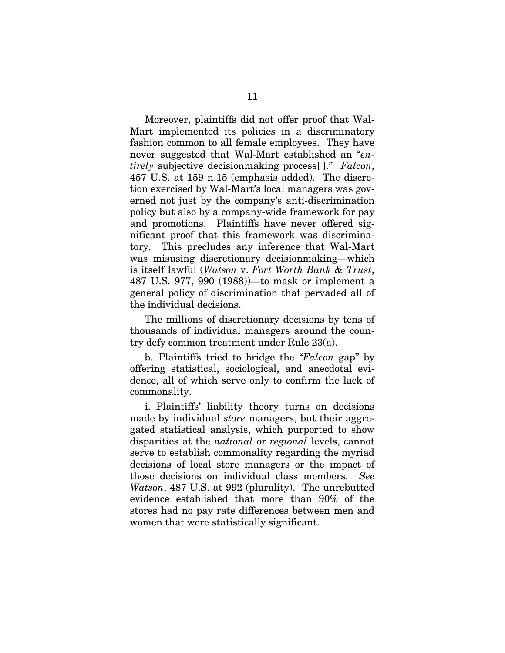Moreover, plaintiffs did not offer proof that Wal-Mart implemented its policies in a discriminatory fashion common to all female employees. They have never suggested that Wal-Mart established an "*entirely* subjective decisionmaking process[ ]." *Falcon*, 457 U.S. at 159 n.15 (emphasis added). The discretion exercised by Wal-Mart's local managers was governed not just by the company's anti-discrimination policy but also by a company-wide framework for pay and promotions. Plaintiffs have never offered significant proof that this framework was discriminatory. This precludes any inference that Wal-Mart was misusing discretionary decisionmaking—which is itself lawful (*Watson* v. *Fort Worth Bank & Trust*, 487 U.S. 977, 990 (1988))—to mask or implement a general policy of discrimination that pervaded all of the individual decisions.

The millions of discretionary decisions by tens of thousands of individual managers around the country defy common treatment under Rule 23(a).

b. Plaintiffs tried to bridge the "*Falcon* gap" by offering statistical, sociological, and anecdotal evidence, all of which serve only to confirm the lack of commonality.

i. Plaintiffs' liability theory turns on decisions made by individual *store* managers, but their aggregated statistical analysis, which purported to show disparities at the *national* or *regional* levels, cannot serve to establish commonality regarding the myriad decisions of local store managers or the impact of those decisions on individual class members. *See Watson*, 487 U.S. at 992 (plurality). The unrebutted evidence established that more than 90% of the stores had no pay rate differences between men and women that were statistically significant.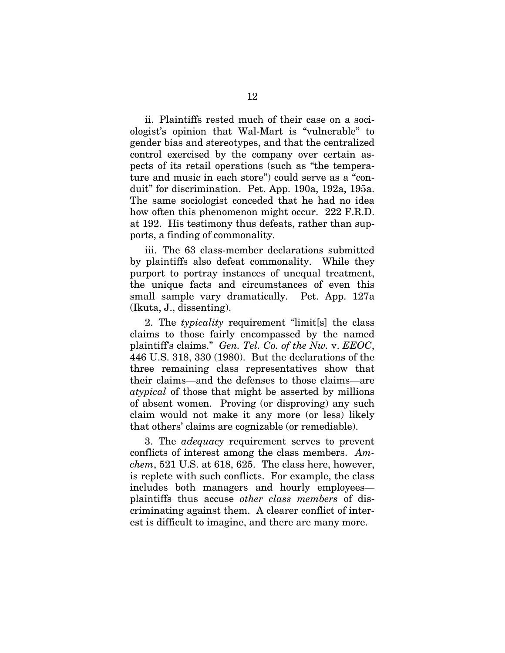ii. Plaintiffs rested much of their case on a sociologist's opinion that Wal-Mart is "vulnerable" to gender bias and stereotypes, and that the centralized control exercised by the company over certain aspects of its retail operations (such as "the temperature and music in each store") could serve as a "conduit" for discrimination. Pet. App. 190a, 192a, 195a. The same sociologist conceded that he had no idea how often this phenomenon might occur. 222 F.R.D. at 192. His testimony thus defeats, rather than supports, a finding of commonality.

iii. The 63 class-member declarations submitted by plaintiffs also defeat commonality. While they purport to portray instances of unequal treatment, the unique facts and circumstances of even this small sample vary dramatically. Pet. App. 127a (Ikuta, J., dissenting).

2. The *typicality* requirement "limit[s] the class claims to those fairly encompassed by the named plaintiff's claims." *Gen. Tel. Co. of the Nw.* v. *EEOC*, 446 U.S. 318, 330 (1980). But the declarations of the three remaining class representatives show that their claims—and the defenses to those claims—are *atypical* of those that might be asserted by millions of absent women. Proving (or disproving) any such claim would not make it any more (or less) likely that others' claims are cognizable (or remediable).

3. The *adequacy* requirement serves to prevent conflicts of interest among the class members. *Amchem*, 521 U.S. at 618, 625. The class here, however, is replete with such conflicts. For example, the class includes both managers and hourly employees plaintiffs thus accuse *other class members* of discriminating against them. A clearer conflict of interest is difficult to imagine, and there are many more.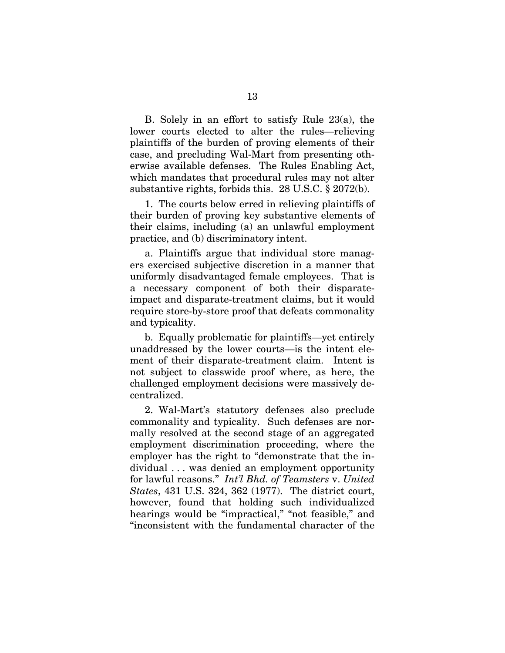B. Solely in an effort to satisfy Rule 23(a), the lower courts elected to alter the rules—relieving plaintiffs of the burden of proving elements of their case, and precluding Wal-Mart from presenting otherwise available defenses. The Rules Enabling Act, which mandates that procedural rules may not alter substantive rights, forbids this. 28 U.S.C. § 2072(b).

1. The courts below erred in relieving plaintiffs of their burden of proving key substantive elements of their claims, including (a) an unlawful employment practice, and (b) discriminatory intent.

a. Plaintiffs argue that individual store managers exercised subjective discretion in a manner that uniformly disadvantaged female employees. That is a necessary component of both their disparateimpact and disparate-treatment claims, but it would require store-by-store proof that defeats commonality and typicality.

b. Equally problematic for plaintiffs—yet entirely unaddressed by the lower courts—is the intent element of their disparate-treatment claim. Intent is not subject to classwide proof where, as here, the challenged employment decisions were massively decentralized.

2. Wal-Mart's statutory defenses also preclude commonality and typicality. Such defenses are normally resolved at the second stage of an aggregated employment discrimination proceeding, where the employer has the right to "demonstrate that the individual . . . was denied an employment opportunity for lawful reasons." *Int'l Bhd. of Teamsters* v. *United States*, 431 U.S. 324, 362 (1977). The district court, however, found that holding such individualized hearings would be "impractical," "not feasible," and "inconsistent with the fundamental character of the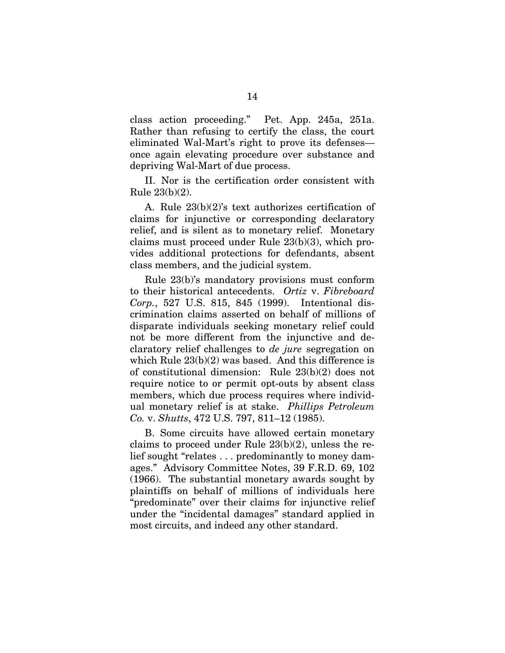class action proceeding." Pet. App. 245a, 251a. Rather than refusing to certify the class, the court eliminated Wal-Mart's right to prove its defenses once again elevating procedure over substance and depriving Wal-Mart of due process.

II. Nor is the certification order consistent with Rule 23(b)(2).

A. Rule 23(b)(2)'s text authorizes certification of claims for injunctive or corresponding declaratory relief, and is silent as to monetary relief. Monetary claims must proceed under Rule 23(b)(3), which provides additional protections for defendants, absent class members, and the judicial system.

Rule 23(b)'s mandatory provisions must conform to their historical antecedents. *Ortiz* v. *Fibreboard Corp.*, 527 U.S. 815, 845 (1999). Intentional discrimination claims asserted on behalf of millions of disparate individuals seeking monetary relief could not be more different from the injunctive and declaratory relief challenges to *de jure* segregation on which Rule 23(b)(2) was based. And this difference is of constitutional dimension: Rule 23(b)(2) does not require notice to or permit opt-outs by absent class members, which due process requires where individual monetary relief is at stake. *Phillips Petroleum Co.* v. *Shutts*, 472 U.S. 797, 811–12 (1985).

B. Some circuits have allowed certain monetary claims to proceed under Rule 23(b)(2), unless the relief sought "relates . . . predominantly to money damages." Advisory Committee Notes, 39 F.R.D. 69, 102 (1966). The substantial monetary awards sought by plaintiffs on behalf of millions of individuals here "predominate" over their claims for injunctive relief under the "incidental damages" standard applied in most circuits, and indeed any other standard.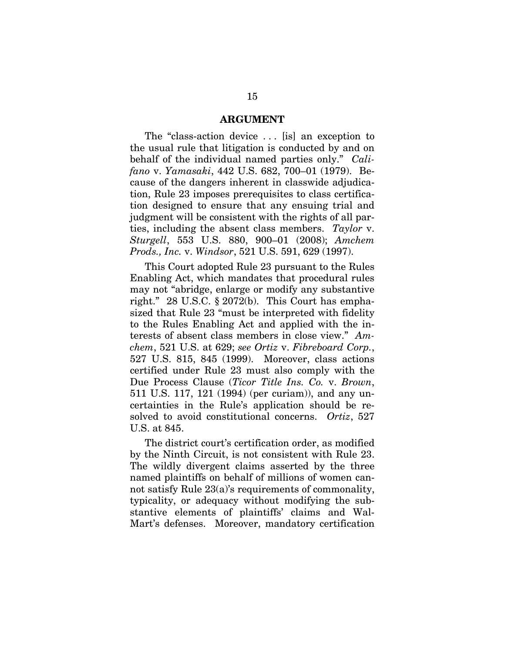#### **ARGUMENT**

The "class-action device . . . [is] an exception to the usual rule that litigation is conducted by and on behalf of the individual named parties only." *Califano* v. *Yamasaki*, 442 U.S. 682, 700–01 (1979). Because of the dangers inherent in classwide adjudication, Rule 23 imposes prerequisites to class certification designed to ensure that any ensuing trial and judgment will be consistent with the rights of all parties, including the absent class members. *Taylor* v. *Sturgell*, 553 U.S. 880, 900–01 (2008); *Amchem Prods., Inc.* v. *Windsor*, 521 U.S. 591, 629 (1997).

This Court adopted Rule 23 pursuant to the Rules Enabling Act, which mandates that procedural rules may not "abridge, enlarge or modify any substantive right." 28 U.S.C. § 2072(b). This Court has emphasized that Rule 23 "must be interpreted with fidelity to the Rules Enabling Act and applied with the interests of absent class members in close view." *Amchem*, 521 U.S. at 629; *see Ortiz* v. *Fibreboard Corp.*, 527 U.S. 815, 845 (1999). Moreover, class actions certified under Rule 23 must also comply with the Due Process Clause (*Ticor Title Ins. Co.* v. *Brown*, 511 U.S. 117, 121 (1994) (per curiam)), and any uncertainties in the Rule's application should be resolved to avoid constitutional concerns. *Ortiz*, 527 U.S. at 845.

The district court's certification order, as modified by the Ninth Circuit, is not consistent with Rule 23. The wildly divergent claims asserted by the three named plaintiffs on behalf of millions of women cannot satisfy Rule 23(a)'s requirements of commonality, typicality, or adequacy without modifying the substantive elements of plaintiffs' claims and Wal-Mart's defenses. Moreover, mandatory certification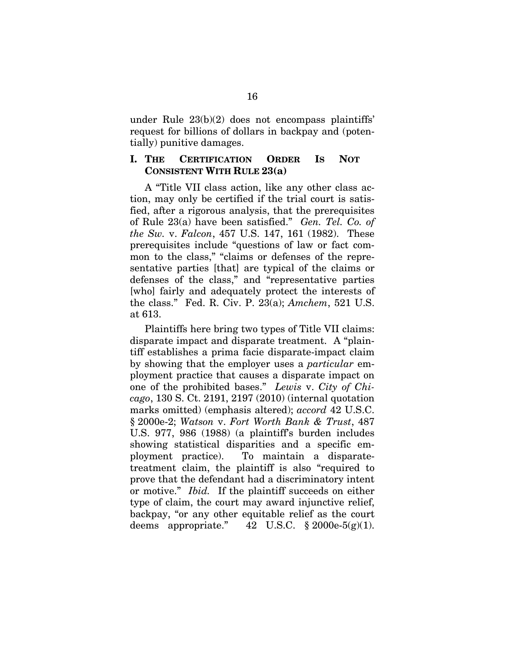under Rule 23(b)(2) does not encompass plaintiffs' request for billions of dollars in backpay and (potentially) punitive damages.

#### **I. THE CERTIFICATION ORDER IS NOT CONSISTENT WITH RULE 23(a)**

A "Title VII class action, like any other class action, may only be certified if the trial court is satisfied, after a rigorous analysis, that the prerequisites of Rule 23(a) have been satisfied." *Gen. Tel. Co. of the Sw.* v. *Falcon*, 457 U.S. 147, 161 (1982). These prerequisites include "questions of law or fact common to the class," "claims or defenses of the representative parties [that] are typical of the claims or defenses of the class," and "representative parties [who] fairly and adequately protect the interests of the class." Fed. R. Civ. P. 23(a); *Amchem*, 521 U.S. at 613.

Plaintiffs here bring two types of Title VII claims: disparate impact and disparate treatment. A "plaintiff establishes a prima facie disparate-impact claim by showing that the employer uses a *particular* employment practice that causes a disparate impact on one of the prohibited bases." *Lewis* v. *City of Chicago*, 130 S. Ct. 2191, 2197 (2010) (internal quotation marks omitted) (emphasis altered); *accord* 42 U.S.C. § 2000e-2; *Watson* v. *Fort Worth Bank & Trust*, 487 U.S. 977, 986 (1988) (a plaintiff's burden includes showing statistical disparities and a specific employment practice). To maintain a disparatetreatment claim, the plaintiff is also "required to prove that the defendant had a discriminatory intent or motive." *Ibid.* If the plaintiff succeeds on either type of claim, the court may award injunctive relief, backpay, "or any other equitable relief as the court deems appropriate."  $42 \text{ U.S.C. } § 2000 \text{e-}5(g)(1)$ .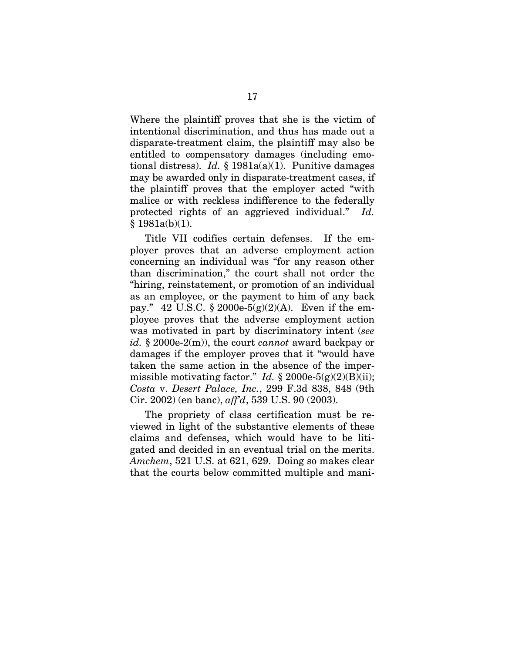Where the plaintiff proves that she is the victim of intentional discrimination, and thus has made out a disparate-treatment claim, the plaintiff may also be entitled to compensatory damages (including emotional distress). *Id.* § 1981a(a)(1). Punitive damages may be awarded only in disparate-treatment cases, if the plaintiff proves that the employer acted "with malice or with reckless indifference to the federally protected rights of an aggrieved individual." *Id.* § 1981a(b)(1).

Title VII codifies certain defenses. If the employer proves that an adverse employment action concerning an individual was "for any reason other than discrimination," the court shall not order the "hiring, reinstatement, or promotion of an individual as an employee, or the payment to him of any back pay." 42 U.S.C.  $\S 2000e-5(g)(2)(A)$ . Even if the employee proves that the adverse employment action was motivated in part by discriminatory intent (*see id.* § 2000e-2(m)), the court *cannot* award backpay or damages if the employer proves that it "would have taken the same action in the absence of the impermissible motivating factor." *Id.*  $\S 2000e-5(g)(2)(B)(ii)$ ; *Costa* v. *Desert Palace, Inc.*, 299 F.3d 838, 848 (9th Cir. 2002) (en banc), *aff'd*, 539 U.S. 90 (2003).

The propriety of class certification must be reviewed in light of the substantive elements of these claims and defenses, which would have to be litigated and decided in an eventual trial on the merits. *Amchem*, 521 U.S. at 621, 629. Doing so makes clear that the courts below committed multiple and mani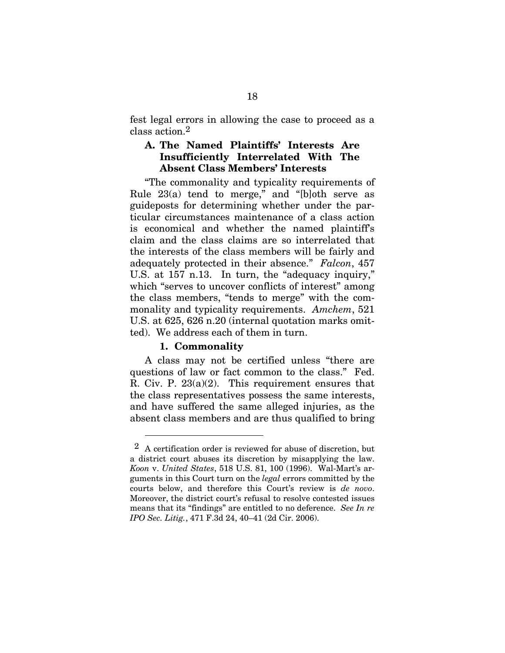fest legal errors in allowing the case to proceed as a class action.2

#### **A. The Named Plaintiffs' Interests Are Insufficiently Interrelated With The Absent Class Members' Interests**

"The commonality and typicality requirements of Rule  $23(a)$  tend to merge," and "[b]oth serve as guideposts for determining whether under the particular circumstances maintenance of a class action is economical and whether the named plaintiff's claim and the class claims are so interrelated that the interests of the class members will be fairly and adequately protected in their absence." *Falcon*, 457 U.S. at 157 n.13. In turn, the "adequacy inquiry," which "serves to uncover conflicts of interest" among the class members, "tends to merge" with the commonality and typicality requirements. *Amchem*, 521 U.S. at 625, 626 n.20 (internal quotation marks omitted). We address each of them in turn.

#### **1. Commonality**

 $\overline{a}$ 

A class may not be certified unless "there are questions of law or fact common to the class." Fed. R. Civ. P. 23(a)(2). This requirement ensures that the class representatives possess the same interests, and have suffered the same alleged injuries, as the absent class members and are thus qualified to bring

 $2\,$  A certification order is reviewed for abuse of discretion, but a district court abuses its discretion by misapplying the law. *Koon* v. *United States*, 518 U.S. 81, 100 (1996). Wal-Mart's arguments in this Court turn on the *legal* errors committed by the courts below, and therefore this Court's review is *de novo*. Moreover, the district court's refusal to resolve contested issues means that its "findings" are entitled to no deference. *See In re IPO Sec. Litig.*, 471 F.3d 24, 40–41 (2d Cir. 2006).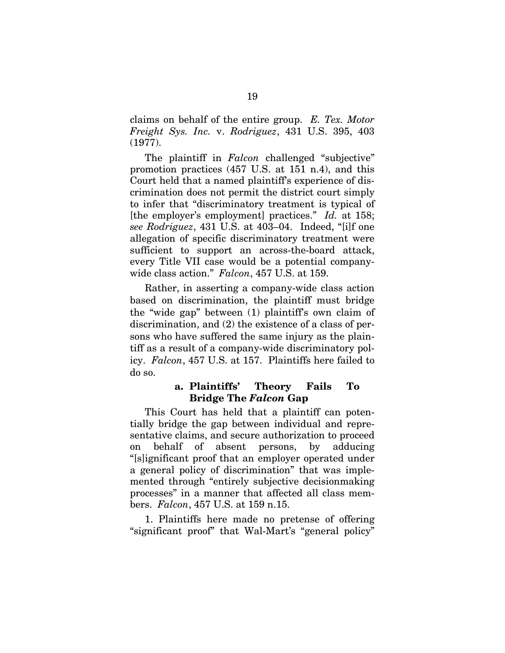claims on behalf of the entire group. *E. Tex. Motor Freight Sys. Inc.* v. *Rodriguez*, 431 U.S. 395, 403 (1977).

The plaintiff in *Falcon* challenged "subjective" promotion practices (457 U.S. at 151 n.4), and this Court held that a named plaintiff's experience of discrimination does not permit the district court simply to infer that "discriminatory treatment is typical of [the employer's employment] practices." *Id.* at 158; *see Rodriguez*, 431 U.S. at 403–04. Indeed, "[i]f one allegation of specific discriminatory treatment were sufficient to support an across-the-board attack, every Title VII case would be a potential companywide class action." *Falcon*, 457 U.S. at 159.

Rather, in asserting a company-wide class action based on discrimination, the plaintiff must bridge the "wide gap" between (1) plaintiff's own claim of discrimination, and (2) the existence of a class of persons who have suffered the same injury as the plaintiff as a result of a company-wide discriminatory policy. *Falcon*, 457 U.S. at 157. Plaintiffs here failed to do so.

#### **a. Plaintiffs' Theory Fails To Bridge The** *Falcon* **Gap**

This Court has held that a plaintiff can potentially bridge the gap between individual and representative claims, and secure authorization to proceed on behalf of absent persons, by adducing "[s]ignificant proof that an employer operated under a general policy of discrimination" that was implemented through "entirely subjective decisionmaking processes" in a manner that affected all class members. *Falcon*, 457 U.S. at 159 n.15.

1. Plaintiffs here made no pretense of offering "significant proof" that Wal-Mart's "general policy"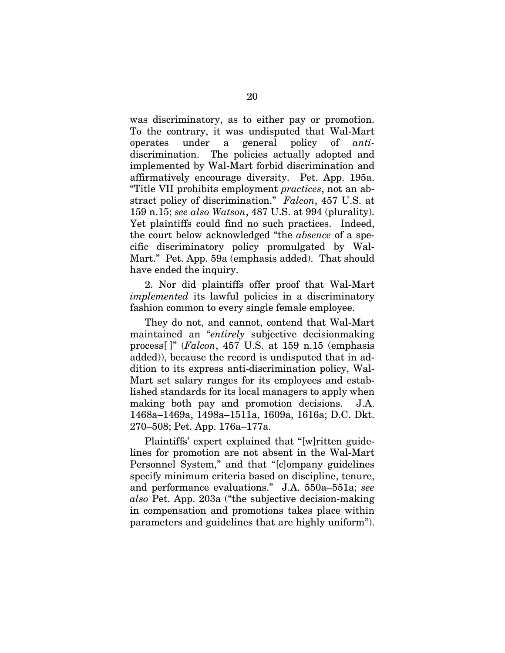was discriminatory, as to either pay or promotion. To the contrary, it was undisputed that Wal-Mart operates under a general policy of *anti*discrimination. The policies actually adopted and implemented by Wal-Mart forbid discrimination and affirmatively encourage diversity. Pet. App. 195a. "Title VII prohibits employment *practices*, not an abstract policy of discrimination." *Falcon*, 457 U.S. at 159 n.15; *see also Watson*, 487 U.S. at 994 (plurality). Yet plaintiffs could find no such practices. Indeed, the court below acknowledged "the *absence* of a specific discriminatory policy promulgated by Wal-Mart." Pet. App. 59a (emphasis added). That should have ended the inquiry.

2. Nor did plaintiffs offer proof that Wal-Mart *implemented* its lawful policies in a discriminatory fashion common to every single female employee.

They do not, and cannot, contend that Wal-Mart maintained an "*entirely* subjective decisionmaking process[ ]" (*Falcon*, 457 U.S. at 159 n.15 (emphasis added)), because the record is undisputed that in addition to its express anti-discrimination policy, Wal-Mart set salary ranges for its employees and established standards for its local managers to apply when making both pay and promotion decisions. J.A. 1468a–1469a, 1498a–1511a, 1609a, 1616a; D.C. Dkt. 270–508; Pet. App. 176a–177a.

Plaintiffs' expert explained that "[w]ritten guidelines for promotion are not absent in the Wal-Mart Personnel System," and that "[c]ompany guidelines specify minimum criteria based on discipline, tenure, and performance evaluations." J.A. 550a–551a; *see also* Pet. App. 203a ("the subjective decision-making in compensation and promotions takes place within parameters and guidelines that are highly uniform").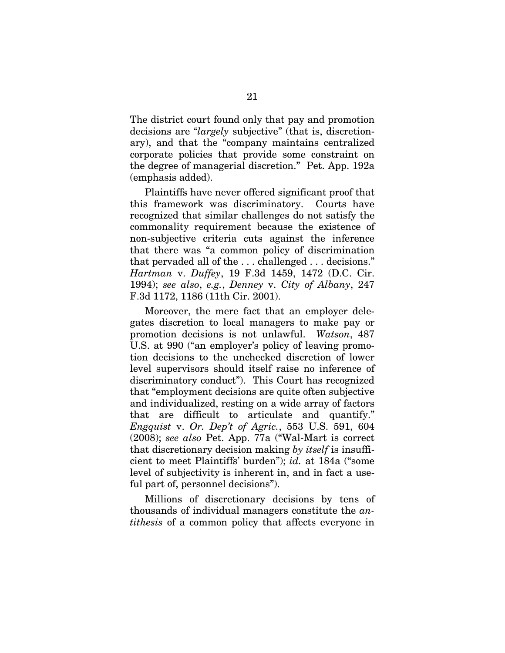The district court found only that pay and promotion decisions are "*largely* subjective" (that is, discretionary), and that the "company maintains centralized corporate policies that provide some constraint on the degree of managerial discretion." Pet. App. 192a (emphasis added).

Plaintiffs have never offered significant proof that this framework was discriminatory. Courts have recognized that similar challenges do not satisfy the commonality requirement because the existence of non-subjective criteria cuts against the inference that there was "a common policy of discrimination that pervaded all of the . . . challenged . . . decisions." *Hartman* v. *Duffey*, 19 F.3d 1459, 1472 (D.C. Cir. 1994); *see also*, *e.g.*, *Denney* v. *City of Albany*, 247 F.3d 1172, 1186 (11th Cir. 2001).

Moreover, the mere fact that an employer delegates discretion to local managers to make pay or promotion decisions is not unlawful. *Watson*, 487 U.S. at 990 ("an employer's policy of leaving promotion decisions to the unchecked discretion of lower level supervisors should itself raise no inference of discriminatory conduct"). This Court has recognized that "employment decisions are quite often subjective and individualized, resting on a wide array of factors that are difficult to articulate and quantify." *Engquist* v. *Or. Dep't of Agric.*, 553 U.S. 591, 604 (2008); *see also* Pet. App. 77a ("Wal-Mart is correct that discretionary decision making *by itself* is insufficient to meet Plaintiffs' burden"); *id.* at 184a ("some level of subjectivity is inherent in, and in fact a useful part of, personnel decisions").

Millions of discretionary decisions by tens of thousands of individual managers constitute the *antithesis* of a common policy that affects everyone in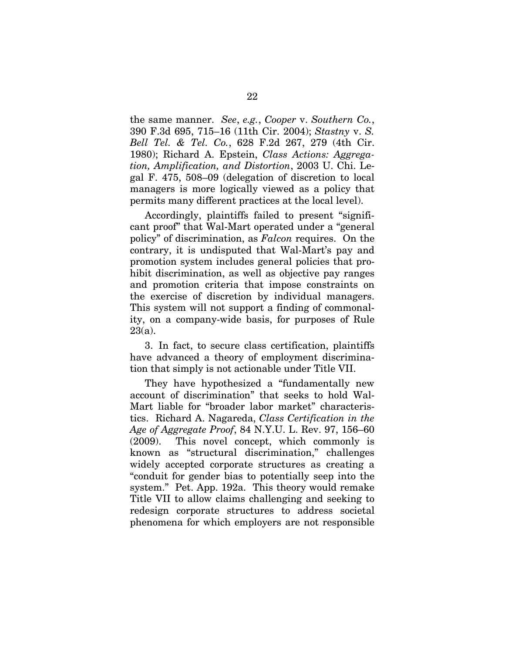the same manner. *See*, *e.g.*, *Cooper* v. *Southern Co.*, 390 F.3d 695, 715–16 (11th Cir. 2004); *Stastny* v. *S. Bell Tel. & Tel. Co.*, 628 F.2d 267, 279 (4th Cir. 1980); Richard A. Epstein, *Class Actions: Aggregation, Amplification, and Distortion*, 2003 U. Chi. Legal F. 475, 508–09 (delegation of discretion to local managers is more logically viewed as a policy that permits many different practices at the local level).

Accordingly, plaintiffs failed to present "significant proof" that Wal-Mart operated under a "general policy" of discrimination, as *Falcon* requires. On the contrary, it is undisputed that Wal-Mart's pay and promotion system includes general policies that prohibit discrimination, as well as objective pay ranges and promotion criteria that impose constraints on the exercise of discretion by individual managers. This system will not support a finding of commonality, on a company-wide basis, for purposes of Rule 23(a).

3. In fact, to secure class certification, plaintiffs have advanced a theory of employment discrimination that simply is not actionable under Title VII.

They have hypothesized a "fundamentally new account of discrimination" that seeks to hold Wal-Mart liable for "broader labor market" characteristics. Richard A. Nagareda, *Class Certification in the Age of Aggregate Proof*, 84 N.Y.U. L. Rev. 97, 156–60 (2009). This novel concept, which commonly is known as "structural discrimination," challenges widely accepted corporate structures as creating a "conduit for gender bias to potentially seep into the system." Pet. App. 192a. This theory would remake Title VII to allow claims challenging and seeking to redesign corporate structures to address societal phenomena for which employers are not responsible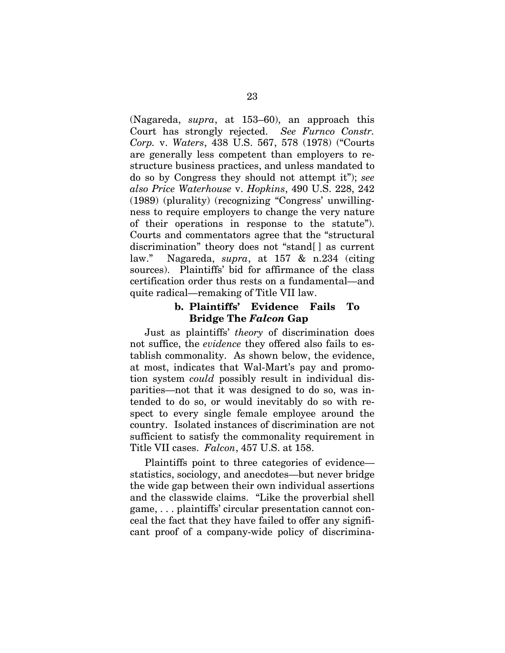(Nagareda, *supra*, at 153–60), an approach this Court has strongly rejected. *See Furnco Constr. Corp.* v. *Waters*, 438 U.S. 567, 578 (1978) ("Courts are generally less competent than employers to restructure business practices, and unless mandated to do so by Congress they should not attempt it"); *see also Price Waterhouse* v. *Hopkins*, 490 U.S. 228, 242 (1989) (plurality) (recognizing "Congress' unwillingness to require employers to change the very nature of their operations in response to the statute"). Courts and commentators agree that the "structural discrimination" theory does not "stand[ ] as current law." Nagareda, *supra*, at 157 & n.234 (citing sources). Plaintiffs' bid for affirmance of the class certification order thus rests on a fundamental—and quite radical—remaking of Title VII law.

# **b. Plaintiffs' Evidence Fails To Bridge The** *Falcon* **Gap**

Just as plaintiffs' *theory* of discrimination does not suffice, the *evidence* they offered also fails to establish commonality. As shown below, the evidence, at most, indicates that Wal-Mart's pay and promotion system *could* possibly result in individual disparities—not that it was designed to do so, was intended to do so, or would inevitably do so with respect to every single female employee around the country. Isolated instances of discrimination are not sufficient to satisfy the commonality requirement in Title VII cases. *Falcon*, 457 U.S. at 158.

Plaintiffs point to three categories of evidence statistics, sociology, and anecdotes—but never bridge the wide gap between their own individual assertions and the classwide claims. "Like the proverbial shell game, . . . plaintiffs' circular presentation cannot conceal the fact that they have failed to offer any significant proof of a company-wide policy of discrimina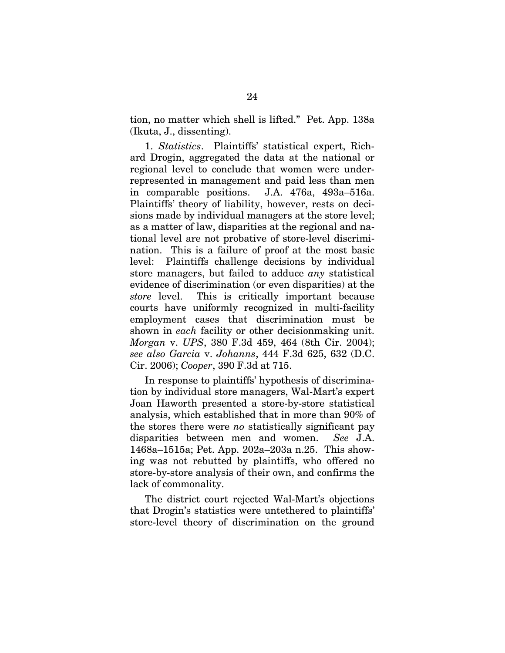tion, no matter which shell is lifted." Pet. App. 138a (Ikuta, J., dissenting).

1. *Statistics*. Plaintiffs' statistical expert, Richard Drogin, aggregated the data at the national or regional level to conclude that women were underrepresented in management and paid less than men in comparable positions. J.A. 476a, 493a–516a. Plaintiffs' theory of liability, however, rests on decisions made by individual managers at the store level; as a matter of law, disparities at the regional and national level are not probative of store-level discrimination. This is a failure of proof at the most basic level: Plaintiffs challenge decisions by individual store managers, but failed to adduce *any* statistical evidence of discrimination (or even disparities) at the *store* level. This is critically important because courts have uniformly recognized in multi-facility employment cases that discrimination must be shown in *each* facility or other decisionmaking unit. *Morgan* v. *UPS*, 380 F.3d 459, 464 (8th Cir. 2004); *see also Garcia* v. *Johanns*, 444 F.3d 625, 632 (D.C. Cir. 2006); *Cooper*, 390 F.3d at 715.

In response to plaintiffs' hypothesis of discrimination by individual store managers, Wal-Mart's expert Joan Haworth presented a store-by-store statistical analysis, which established that in more than 90% of the stores there were *no* statistically significant pay disparities between men and women. *See* J.A. 1468a–1515a; Pet. App. 202a–203a n.25. This showing was not rebutted by plaintiffs, who offered no store-by-store analysis of their own, and confirms the lack of commonality.

The district court rejected Wal-Mart's objections that Drogin's statistics were untethered to plaintiffs' store-level theory of discrimination on the ground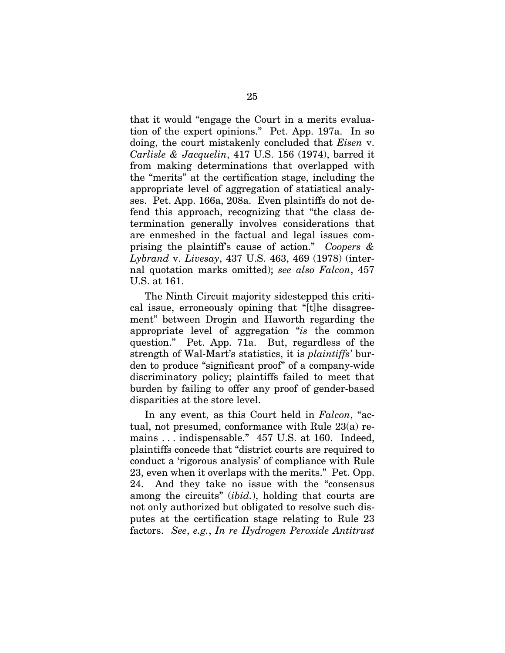that it would "engage the Court in a merits evaluation of the expert opinions." Pet. App. 197a. In so doing, the court mistakenly concluded that *Eisen* v. *Carlisle & Jacquelin*, 417 U.S. 156 (1974), barred it from making determinations that overlapped with the "merits" at the certification stage, including the appropriate level of aggregation of statistical analyses. Pet. App. 166a, 208a. Even plaintiffs do not defend this approach, recognizing that "the class determination generally involves considerations that are enmeshed in the factual and legal issues comprising the plaintiff's cause of action." *Coopers & Lybrand* v. *Livesay*, 437 U.S. 463, 469 (1978) (internal quotation marks omitted); *see also Falcon*, 457 U.S. at 161.

The Ninth Circuit majority sidestepped this critical issue, erroneously opining that "[t]he disagreement" between Drogin and Haworth regarding the appropriate level of aggregation "*is* the common question." Pet. App. 71a. But, regardless of the strength of Wal-Mart's statistics, it is *plaintiffs'* burden to produce "significant proof" of a company-wide discriminatory policy; plaintiffs failed to meet that burden by failing to offer any proof of gender-based disparities at the store level.

In any event, as this Court held in *Falcon*, "actual, not presumed, conformance with Rule 23(a) remains . . . indispensable." 457 U.S. at 160. Indeed, plaintiffs concede that "district courts are required to conduct a 'rigorous analysis' of compliance with Rule 23, even when it overlaps with the merits." Pet. Opp. 24. And they take no issue with the "consensus among the circuits" (*ibid.*), holding that courts are not only authorized but obligated to resolve such disputes at the certification stage relating to Rule 23 factors. *See*, *e.g.*, *In re Hydrogen Peroxide Antitrust*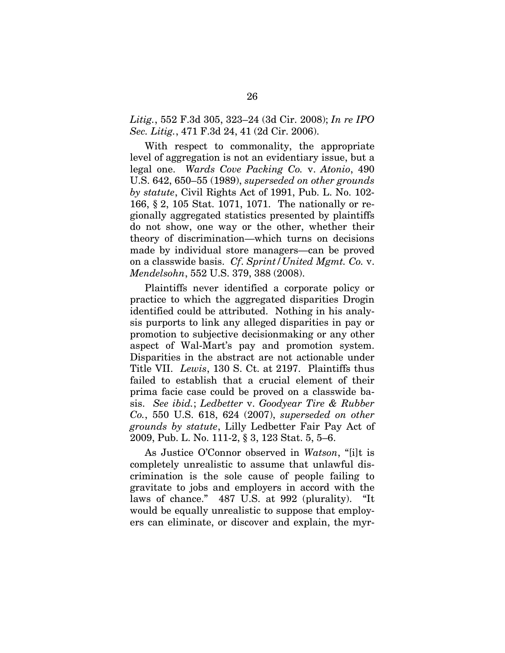*Litig.*, 552 F.3d 305, 323–24 (3d Cir. 2008); *In re IPO Sec. Litig.*, 471 F.3d 24, 41 (2d Cir. 2006).

With respect to commonality, the appropriate level of aggregation is not an evidentiary issue, but a legal one. *Wards Cove Packing Co.* v. *Atonio*, 490 U.S. 642, 650–55 (1989), *superseded on other grounds by statute*, Civil Rights Act of 1991, Pub. L. No. 102- 166, § 2, 105 Stat. 1071, 1071. The nationally or regionally aggregated statistics presented by plaintiffs do not show, one way or the other, whether their theory of discrimination—which turns on decisions made by individual store managers—can be proved on a classwide basis. *Cf*. *Sprint/United Mgmt. Co.* v. *Mendelsohn*, 552 U.S. 379, 388 (2008).

Plaintiffs never identified a corporate policy or practice to which the aggregated disparities Drogin identified could be attributed. Nothing in his analysis purports to link any alleged disparities in pay or promotion to subjective decisionmaking or any other aspect of Wal-Mart's pay and promotion system. Disparities in the abstract are not actionable under Title VII. *Lewis*, 130 S. Ct. at 2197. Plaintiffs thus failed to establish that a crucial element of their prima facie case could be proved on a classwide basis.*See ibid.*; *Ledbetter* v. *Goodyear Tire & Rubber Co.*, 550 U.S. 618, 624 (2007), *superseded on other grounds by statute*, Lilly Ledbetter Fair Pay Act of 2009, Pub. L. No. 111-2, § 3, 123 Stat. 5, 5–6.

As Justice O'Connor observed in *Watson*, "[i]t is completely unrealistic to assume that unlawful discrimination is the sole cause of people failing to gravitate to jobs and employers in accord with the laws of chance." 487 U.S. at 992 (plurality). "It would be equally unrealistic to suppose that employers can eliminate, or discover and explain, the myr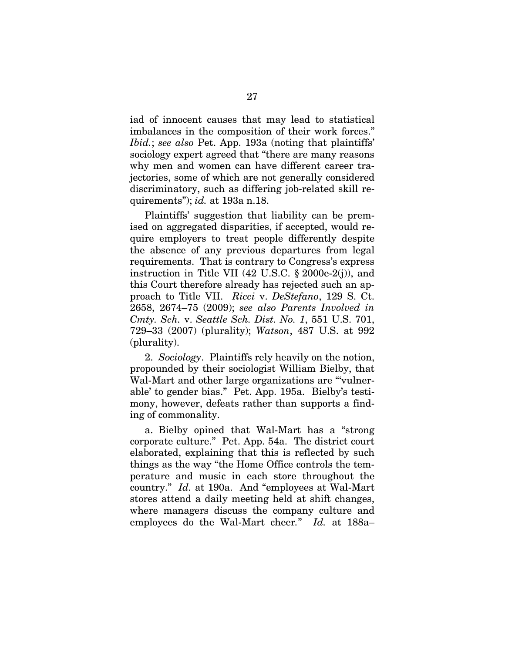iad of innocent causes that may lead to statistical imbalances in the composition of their work forces." *Ibid.*; *see also* Pet. App. 193a (noting that plaintiffs' sociology expert agreed that "there are many reasons why men and women can have different career trajectories, some of which are not generally considered discriminatory, such as differing job-related skill requirements"); *id.* at 193a n.18.

Plaintiffs' suggestion that liability can be premised on aggregated disparities, if accepted, would require employers to treat people differently despite the absence of any previous departures from legal requirements. That is contrary to Congress's express instruction in Title VII (42 U.S.C. § 2000e-2(j)), and this Court therefore already has rejected such an approach to Title VII. *Ricci* v. *DeStefano*, 129 S. Ct. 2658, 2674–75 (2009); *see also Parents Involved in Cmty. Sch.* v. *Seattle Sch. Dist. No. 1*, 551 U.S. 701, 729–33 (2007) (plurality); *Watson*, 487 U.S. at 992 (plurality).

2. *Sociology*. Plaintiffs rely heavily on the notion, propounded by their sociologist William Bielby, that Wal-Mart and other large organizations are "'vulnerable' to gender bias." Pet. App. 195a. Bielby's testimony, however, defeats rather than supports a finding of commonality.

a. Bielby opined that Wal-Mart has a "strong corporate culture." Pet. App. 54a. The district court elaborated, explaining that this is reflected by such things as the way "the Home Office controls the temperature and music in each store throughout the country." *Id.* at 190a. And "employees at Wal-Mart stores attend a daily meeting held at shift changes, where managers discuss the company culture and employees do the Wal-Mart cheer*.*" *Id.* at 188a–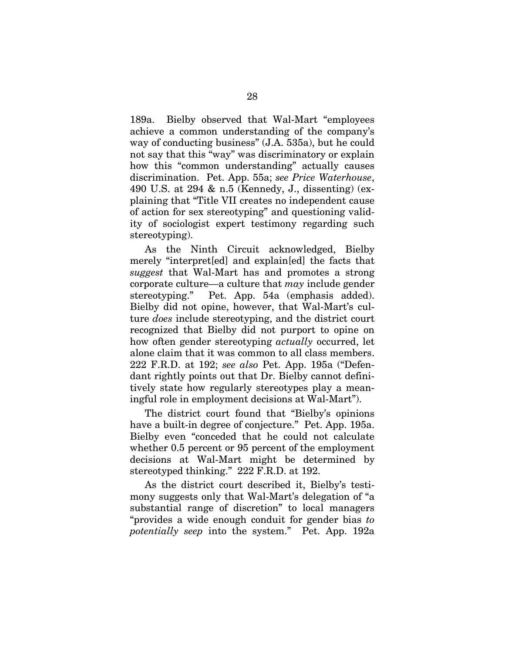189a. Bielby observed that Wal-Mart "employees achieve a common understanding of the company's way of conducting business" (J.A. 535a), but he could not say that this "way" was discriminatory or explain how this "common understanding" actually causes discrimination. Pet. App. 55a; *see Price Waterhouse*, 490 U.S. at 294 & n.5 (Kennedy, J., dissenting) (explaining that "Title VII creates no independent cause of action for sex stereotyping" and questioning validity of sociologist expert testimony regarding such stereotyping).

As the Ninth Circuit acknowledged, Bielby merely "interpret[ed] and explain[ed] the facts that *suggest* that Wal-Mart has and promotes a strong corporate culture—a culture that *may* include gender stereotyping." Pet. App. 54a (emphasis added). Bielby did not opine, however, that Wal-Mart's culture *does* include stereotyping, and the district court recognized that Bielby did not purport to opine on how often gender stereotyping *actually* occurred, let alone claim that it was common to all class members. 222 F.R.D. at 192; *see also* Pet. App. 195a ("Defendant rightly points out that Dr. Bielby cannot definitively state how regularly stereotypes play a meaningful role in employment decisions at Wal-Mart").

The district court found that "Bielby's opinions have a built-in degree of conjecture." Pet. App. 195a. Bielby even "conceded that he could not calculate whether 0.5 percent or 95 percent of the employment decisions at Wal-Mart might be determined by stereotyped thinking." 222 F.R.D. at 192.

As the district court described it, Bielby's testimony suggests only that Wal-Mart's delegation of "a substantial range of discretion" to local managers "provides a wide enough conduit for gender bias *to potentially seep* into the system." Pet. App. 192a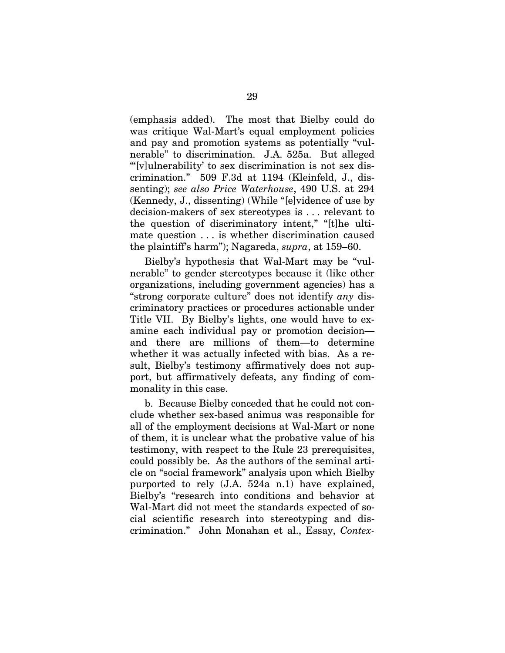(emphasis added). The most that Bielby could do was critique Wal-Mart's equal employment policies and pay and promotion systems as potentially "vulnerable" to discrimination. J.A. 525a. But alleged "'[v]ulnerability' to sex discrimination is not sex discrimination." 509 F.3d at 1194 (Kleinfeld, J., dissenting); *see also Price Waterhouse*, 490 U.S. at 294 (Kennedy, J., dissenting) (While "[e]vidence of use by decision-makers of sex stereotypes is . . . relevant to the question of discriminatory intent," "[t]he ultimate question . . . is whether discrimination caused the plaintiff's harm"); Nagareda, *supra*, at 159–60.

Bielby's hypothesis that Wal-Mart may be "vulnerable" to gender stereotypes because it (like other organizations, including government agencies) has a "strong corporate culture" does not identify *any* discriminatory practices or procedures actionable under Title VII. By Bielby's lights, one would have to examine each individual pay or promotion decision and there are millions of them—to determine whether it was actually infected with bias. As a result, Bielby's testimony affirmatively does not support, but affirmatively defeats, any finding of commonality in this case.

b. Because Bielby conceded that he could not conclude whether sex-based animus was responsible for all of the employment decisions at Wal-Mart or none of them, it is unclear what the probative value of his testimony, with respect to the Rule 23 prerequisites, could possibly be. As the authors of the seminal article on "social framework" analysis upon which Bielby purported to rely (J.A. 524a n.1) have explained, Bielby's "research into conditions and behavior at Wal-Mart did not meet the standards expected of social scientific research into stereotyping and discrimination." John Monahan et al., Essay, *Contex-*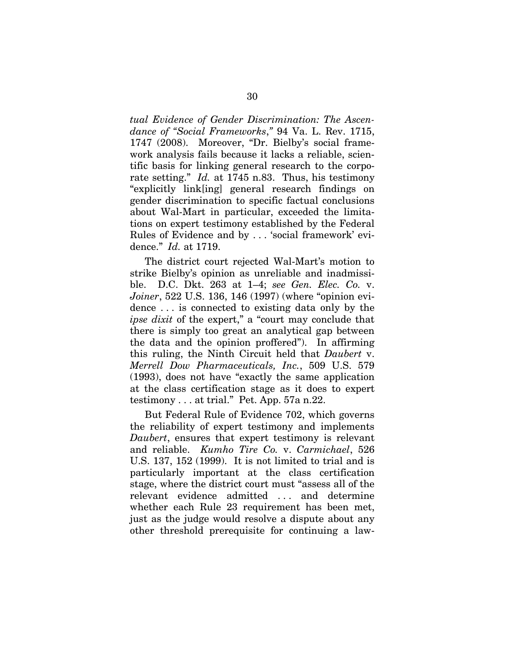*tual Evidence of Gender Discrimination: The Ascendance of "Social Frameworks*,*"* 94 Va. L. Rev. 1715, 1747 (2008). Moreover, "Dr. Bielby's social framework analysis fails because it lacks a reliable, scientific basis for linking general research to the corporate setting." *Id.* at 1745 n.83. Thus, his testimony "explicitly link[ing] general research findings on gender discrimination to specific factual conclusions about Wal-Mart in particular, exceeded the limitations on expert testimony established by the Federal Rules of Evidence and by . . . 'social framework' evidence." *Id.* at 1719.

The district court rejected Wal-Mart's motion to strike Bielby's opinion as unreliable and inadmissible. D.C. Dkt. 263 at 1–4; *see Gen. Elec. Co.* v. *Joiner*, 522 U.S. 136, 146 (1997) (where "opinion evidence . . . is connected to existing data only by the *ipse dixit* of the expert," a "court may conclude that there is simply too great an analytical gap between the data and the opinion proffered"). In affirming this ruling, the Ninth Circuit held that *Daubert* v. *Merrell Dow Pharmaceuticals, Inc.*, 509 U.S. 579 (1993), does not have "exactly the same application at the class certification stage as it does to expert testimony . . . at trial." Pet. App. 57a n.22.

But Federal Rule of Evidence 702, which governs the reliability of expert testimony and implements *Daubert*, ensures that expert testimony is relevant and reliable. *Kumho Tire Co.* v. *Carmichael*, 526 U.S. 137, 152 (1999). It is not limited to trial and is particularly important at the class certification stage, where the district court must "assess all of the relevant evidence admitted . . . and determine whether each Rule 23 requirement has been met, just as the judge would resolve a dispute about any other threshold prerequisite for continuing a law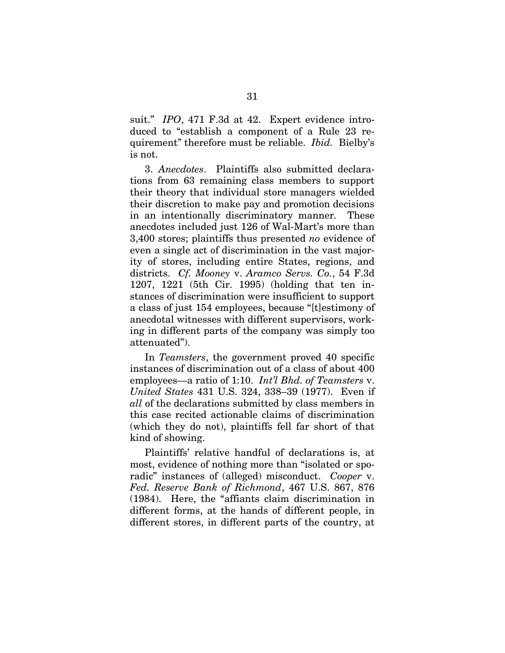suit." *IPO*, 471 F.3d at 42. Expert evidence introduced to "establish a component of a Rule 23 requirement" therefore must be reliable. *Ibid.* Bielby's is not.

3. *Anecdotes*. Plaintiffs also submitted declarations from 63 remaining class members to support their theory that individual store managers wielded their discretion to make pay and promotion decisions in an intentionally discriminatory manner*.* These anecdotes included just 126 of Wal-Mart's more than 3,400 stores; plaintiffs thus presented *no* evidence of even a single act of discrimination in the vast majority of stores, including entire States, regions, and districts. *Cf. Mooney* v. *Aramco Servs. Co.*, 54 F.3d 1207, 1221 (5th Cir. 1995) (holding that ten instances of discrimination were insufficient to support a class of just 154 employees, because "[t]estimony of anecdotal witnesses with different supervisors, working in different parts of the company was simply too attenuated").

In *Teamsters*, the government proved 40 specific instances of discrimination out of a class of about 400 employees—a ratio of 1:10. *Int'l Bhd. of Teamsters* v. *United States* 431 U.S. 324, 338–39 (1977). Even if *all* of the declarations submitted by class members in this case recited actionable claims of discrimination (which they do not), plaintiffs fell far short of that kind of showing.

Plaintiffs' relative handful of declarations is, at most, evidence of nothing more than "isolated or sporadic" instances of (alleged) misconduct. *Cooper* v. *Fed. Reserve Bank of Richmond*, 467 U.S. 867, 876 (1984). Here, the "affiants claim discrimination in different forms, at the hands of different people, in different stores, in different parts of the country, at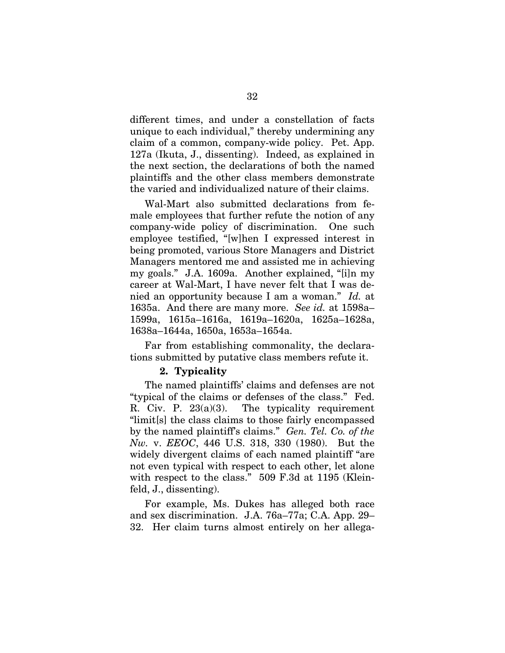different times, and under a constellation of facts unique to each individual," thereby undermining any claim of a common, company-wide policy. Pet. App. 127a (Ikuta, J., dissenting). Indeed, as explained in the next section, the declarations of both the named plaintiffs and the other class members demonstrate the varied and individualized nature of their claims.

Wal-Mart also submitted declarations from female employees that further refute the notion of any company-wide policy of discrimination. One such employee testified, "[w]hen I expressed interest in being promoted, various Store Managers and District Managers mentored me and assisted me in achieving my goals." J.A. 1609a. Another explained, "[i]n my career at Wal-Mart, I have never felt that I was denied an opportunity because I am a woman." *Id.* at 1635a. And there are many more. *See id.* at 1598a– 1599a, 1615a–1616a, 1619a–1620a, 1625a–1628a, 1638a–1644a, 1650a, 1653a–1654a.

Far from establishing commonality, the declarations submitted by putative class members refute it.

### **2. Typicality**

The named plaintiffs' claims and defenses are not "typical of the claims or defenses of the class." Fed. R. Civ. P. 23(a)(3). The typicality requirement "limit[s] the class claims to those fairly encompassed by the named plaintiff's claims." *Gen. Tel. Co. of the Nw.* v. *EEOC*, 446 U.S. 318, 330 (1980). But the widely divergent claims of each named plaintiff "are not even typical with respect to each other, let alone with respect to the class." 509 F.3d at 1195 (Kleinfeld, J., dissenting).

For example, Ms. Dukes has alleged both race and sex discrimination. J.A. 76a–77a; C.A. App. 29– 32. Her claim turns almost entirely on her allega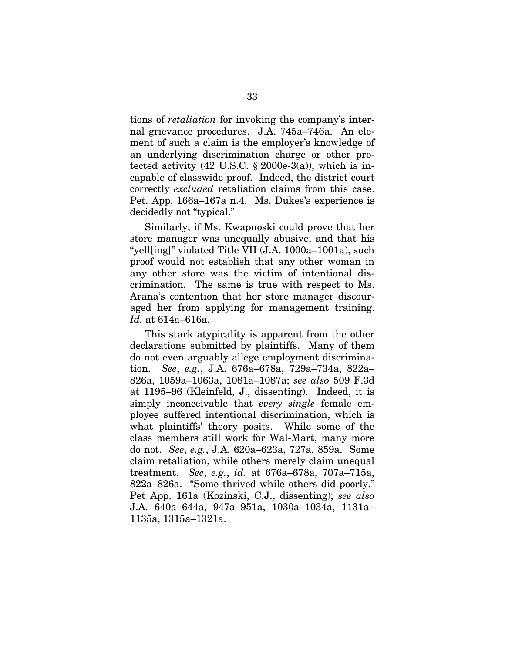tions of *retaliation* for invoking the company's internal grievance procedures. J.A. 745a–746a. An element of such a claim is the employer's knowledge of an underlying discrimination charge or other protected activity  $(42 \text{ U.S.C. } § 2000e-3(a))$ , which is incapable of classwide proof. Indeed, the district court correctly *excluded* retaliation claims from this case. Pet. App. 166a–167a n.4. Ms. Dukes's experience is decidedly not "typical."

Similarly, if Ms. Kwapnoski could prove that her store manager was unequally abusive, and that his "yell[ing]" violated Title VII (J.A. 1000a–1001a), such proof would not establish that any other woman in any other store was the victim of intentional discrimination. The same is true with respect to Ms. Arana's contention that her store manager discouraged her from applying for management training. *Id.* at 614a–616a.

This stark atypicality is apparent from the other declarations submitted by plaintiffs. Many of them do not even arguably allege employment discrimination. *See*, *e.g.*, J.A. 676a–678a, 729a–734a, 822a– 826a, 1059a–1063a, 1081a–1087a; *see also* 509 F.3d at 1195–96 (Kleinfeld, J., dissenting). Indeed, it is simply inconceivable that *every single* female employee suffered intentional discrimination, which is what plaintiffs' theory posits. While some of the class members still work for Wal-Mart, many more do not. *See*, *e.g.*, J.A. 620a–623a, 727a, 859a. Some claim retaliation, while others merely claim unequal treatment. *See*, *e.g.*, *id.* at 676a–678a, 707a–715a, 822a–826a. "Some thrived while others did poorly." Pet App. 161a (Kozinski, C.J., dissenting); *see also*  J.A. 640a–644a, 947a–951a, 1030a–1034a, 1131a– 1135a, 1315a–1321a.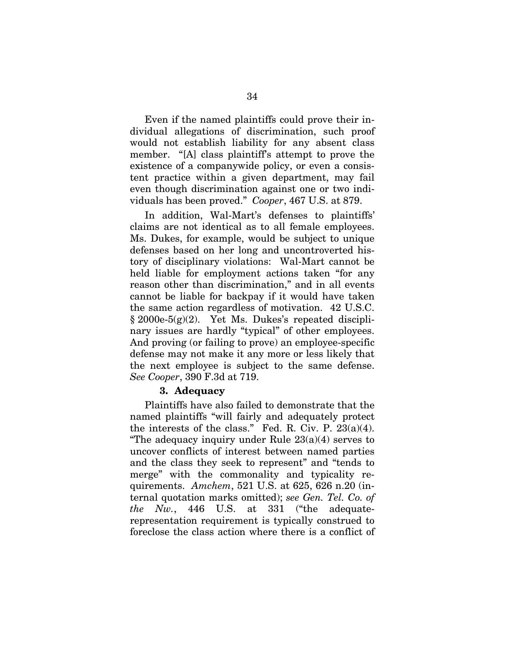Even if the named plaintiffs could prove their individual allegations of discrimination, such proof would not establish liability for any absent class member. "[A] class plaintiff's attempt to prove the existence of a companywide policy, or even a consistent practice within a given department, may fail even though discrimination against one or two individuals has been proved." *Cooper*, 467 U.S. at 879.

In addition, Wal-Mart's defenses to plaintiffs' claims are not identical as to all female employees. Ms. Dukes, for example, would be subject to unique defenses based on her long and uncontroverted history of disciplinary violations: Wal-Mart cannot be held liable for employment actions taken "for any reason other than discrimination," and in all events cannot be liable for backpay if it would have taken the same action regardless of motivation. 42 U.S.C. § 2000e-5(g)(2). Yet Ms. Dukes's repeated disciplinary issues are hardly "typical" of other employees. And proving (or failing to prove) an employee-specific defense may not make it any more or less likely that the next employee is subject to the same defense. *See Cooper*, 390 F.3d at 719.

### **3. Adequacy**

Plaintiffs have also failed to demonstrate that the named plaintiffs "will fairly and adequately protect the interests of the class." Fed. R. Civ. P.  $23(a)(4)$ . "The adequacy inquiry under Rule  $23(a)(4)$  serves to uncover conflicts of interest between named parties and the class they seek to represent" and "tends to merge" with the commonality and typicality requirements. *Amchem*, 521 U.S. at 625, 626 n.20 (internal quotation marks omitted); *see Gen. Tel. Co. of the Nw.*, 446 U.S. at 331 ("the adequaterepresentation requirement is typically construed to foreclose the class action where there is a conflict of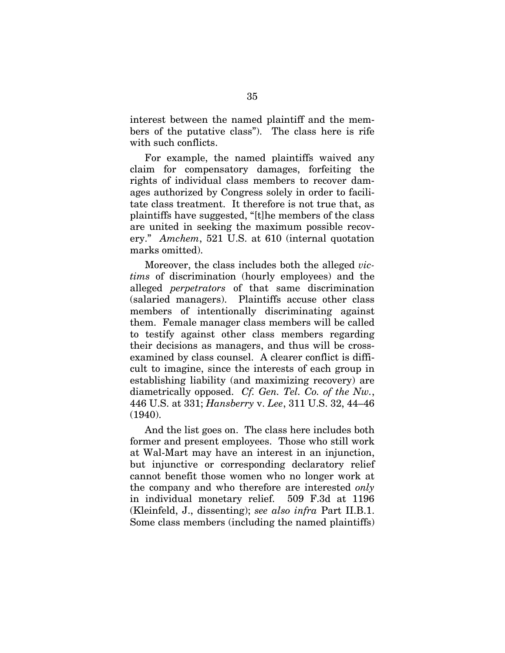interest between the named plaintiff and the members of the putative class"). The class here is rife with such conflicts.

For example, the named plaintiffs waived any claim for compensatory damages, forfeiting the rights of individual class members to recover damages authorized by Congress solely in order to facilitate class treatment. It therefore is not true that, as plaintiffs have suggested, "[t]he members of the class are united in seeking the maximum possible recovery." *Amchem*, 521 U.S. at 610 (internal quotation marks omitted).

Moreover, the class includes both the alleged *victims* of discrimination (hourly employees) and the alleged *perpetrators* of that same discrimination (salaried managers). Plaintiffs accuse other class members of intentionally discriminating against them. Female manager class members will be called to testify against other class members regarding their decisions as managers, and thus will be crossexamined by class counsel. A clearer conflict is difficult to imagine, since the interests of each group in establishing liability (and maximizing recovery) are diametrically opposed. *Cf. Gen. Tel. Co. of the Nw.*, 446 U.S. at 331; *Hansberry* v. *Lee*, 311 U.S. 32, 44–46 (1940).

And the list goes on. The class here includes both former and present employees. Those who still work at Wal-Mart may have an interest in an injunction, but injunctive or corresponding declaratory relief cannot benefit those women who no longer work at the company and who therefore are interested *only* in individual monetary relief. 509 F.3d at 1196 (Kleinfeld, J., dissenting); *see also infra* Part II.B.1. Some class members (including the named plaintiffs)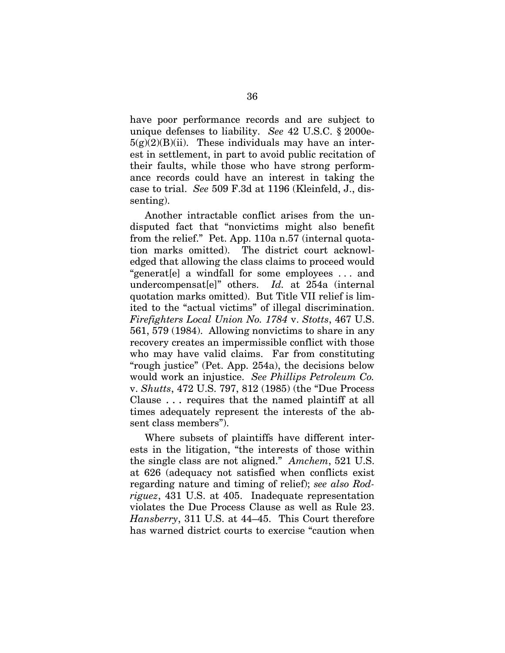have poor performance records and are subject to unique defenses to liability. *See* 42 U.S.C. § 2000e- $5(g)(2)(B)(ii)$ . These individuals may have an interest in settlement, in part to avoid public recitation of their faults, while those who have strong performance records could have an interest in taking the case to trial. *See* 509 F.3d at 1196 (Kleinfeld, J., dissenting).

Another intractable conflict arises from the undisputed fact that "nonvictims might also benefit from the relief." Pet. App. 110a n.57 (internal quotation marks omitted). The district court acknowledged that allowing the class claims to proceed would "generat[e] a windfall for some employees . . . and undercompensat[e]" others. *Id.* at 254a (internal quotation marks omitted). But Title VII relief is limited to the "actual victims" of illegal discrimination. *Firefighters Local Union No. 1784* v. *Stotts*, 467 U.S. 561, 579 (1984). Allowing nonvictims to share in any recovery creates an impermissible conflict with those who may have valid claims. Far from constituting "rough justice" (Pet. App. 254a), the decisions below would work an injustice. *See Phillips Petroleum Co.*  v. *Shutts*, 472 U.S. 797, 812 (1985) (the "Due Process Clause . . . requires that the named plaintiff at all times adequately represent the interests of the absent class members").

Where subsets of plaintiffs have different interests in the litigation, "the interests of those within the single class are not aligned." *Amchem*, 521 U.S. at 626 (adequacy not satisfied when conflicts exist regarding nature and timing of relief); *see also Rodriguez*, 431 U.S. at 405. Inadequate representation violates the Due Process Clause as well as Rule 23. *Hansberry*, 311 U.S. at 44–45. This Court therefore has warned district courts to exercise "caution when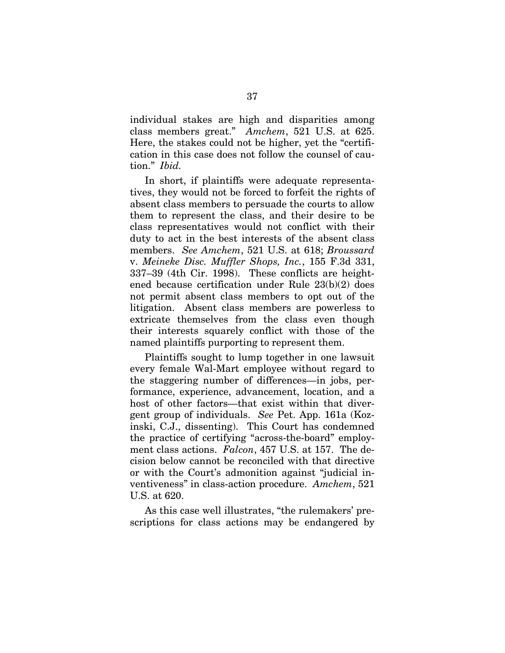individual stakes are high and disparities among class members great." *Amchem*, 521 U.S. at 625. Here, the stakes could not be higher, yet the "certification in this case does not follow the counsel of caution." *Ibid.*

In short, if plaintiffs were adequate representatives, they would not be forced to forfeit the rights of absent class members to persuade the courts to allow them to represent the class, and their desire to be class representatives would not conflict with their duty to act in the best interests of the absent class members. *See Amchem*, 521 U.S. at 618; *Broussard*  v. *Meineke Disc. Muffler Shops, Inc.*, 155 F.3d 331, 337–39 (4th Cir. 1998). These conflicts are heightened because certification under Rule 23(b)(2) does not permit absent class members to opt out of the litigation. Absent class members are powerless to extricate themselves from the class even though their interests squarely conflict with those of the named plaintiffs purporting to represent them.

Plaintiffs sought to lump together in one lawsuit every female Wal-Mart employee without regard to the staggering number of differences—in jobs, performance, experience, advancement, location, and a host of other factors—that exist within that divergent group of individuals. *See* Pet. App. 161a (Kozinski, C.J., dissenting). This Court has condemned the practice of certifying "across-the-board" employment class actions. *Falcon*, 457 U.S. at 157. The decision below cannot be reconciled with that directive or with the Court's admonition against "judicial inventiveness" in class-action procedure. *Amchem*, 521 U.S. at 620.

As this case well illustrates, "the rulemakers' prescriptions for class actions may be endangered by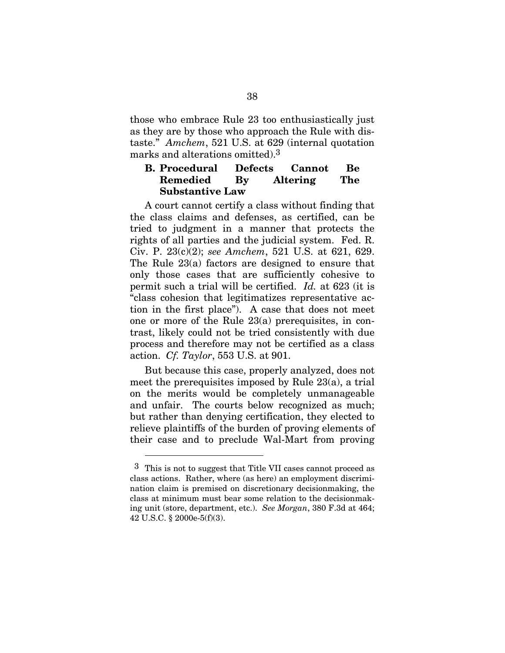those who embrace Rule 23 too enthusiastically just as they are by those who approach the Rule with distaste." *Amchem*, 521 U.S. at 629 (internal quotation marks and alterations omitted).3

# **B. Procedural Defects Cannot Be Remedied By Altering The Substantive Law**

A court cannot certify a class without finding that the class claims and defenses, as certified, can be tried to judgment in a manner that protects the rights of all parties and the judicial system. Fed. R. Civ. P. 23(c)(2); *see Amchem*, 521 U.S. at 621, 629. The Rule 23(a) factors are designed to ensure that only those cases that are sufficiently cohesive to permit such a trial will be certified. *Id.* at 623 (it is "class cohesion that legitimatizes representative action in the first place"). A case that does not meet one or more of the Rule 23(a) prerequisites, in contrast, likely could not be tried consistently with due process and therefore may not be certified as a class action. *Cf. Taylor*, 553 U.S. at 901.

But because this case, properly analyzed, does not meet the prerequisites imposed by Rule 23(a), a trial on the merits would be completely unmanageable and unfair. The courts below recognized as much; but rather than denying certification, they elected to relieve plaintiffs of the burden of proving elements of their case and to preclude Wal-Mart from proving

 $\overline{a}$ 

 $3$  This is not to suggest that Title VII cases cannot proceed as class actions. Rather, where (as here) an employment discrimination claim is premised on discretionary decisionmaking, the class at minimum must bear some relation to the decisionmaking unit (store, department, etc.). *See Morgan*, 380 F.3d at 464; 42 U.S.C. § 2000e-5(f)(3).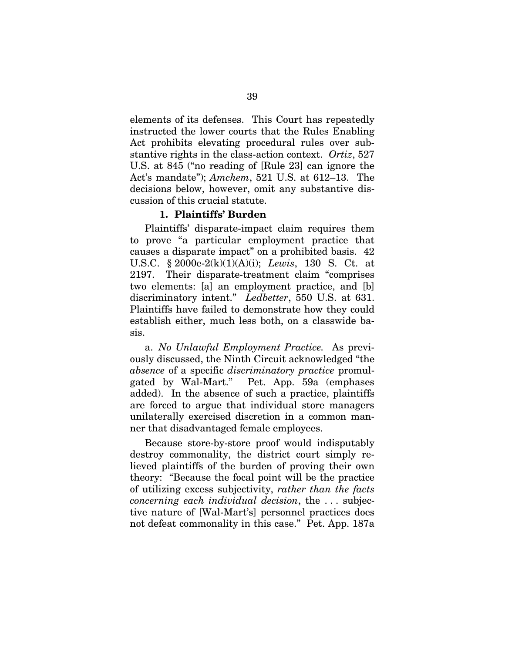elements of its defenses. This Court has repeatedly instructed the lower courts that the Rules Enabling Act prohibits elevating procedural rules over substantive rights in the class-action context. *Ortiz*, 527 U.S. at 845 ("no reading of [Rule 23] can ignore the Act's mandate"); *Amchem*, 521 U.S. at 612–13. The decisions below, however, omit any substantive discussion of this crucial statute.

# **1. Plaintiffs' Burden**

Plaintiffs' disparate-impact claim requires them to prove "a particular employment practice that causes a disparate impact" on a prohibited basis. 42 U.S.C. § 2000e-2(k)(1)(A)(i); *Lewis*, 130 S. Ct. at 2197. Their disparate-treatment claim "comprises two elements: [a] an employment practice, and [b] discriminatory intent." *Ledbetter*, 550 U.S. at 631. Plaintiffs have failed to demonstrate how they could establish either, much less both, on a classwide basis.

a. *No Unlawful Employment Practice.* As previously discussed, the Ninth Circuit acknowledged "the *absence* of a specific *discriminatory practice* promulgated by Wal-Mart." Pet. App. 59a (emphases added). In the absence of such a practice, plaintiffs are forced to argue that individual store managers unilaterally exercised discretion in a common manner that disadvantaged female employees.

Because store-by-store proof would indisputably destroy commonality, the district court simply relieved plaintiffs of the burden of proving their own theory: "Because the focal point will be the practice of utilizing excess subjectivity, *rather than the facts concerning each individual decision*, the . . . subjective nature of [Wal-Mart's] personnel practices does not defeat commonality in this case." Pet. App. 187a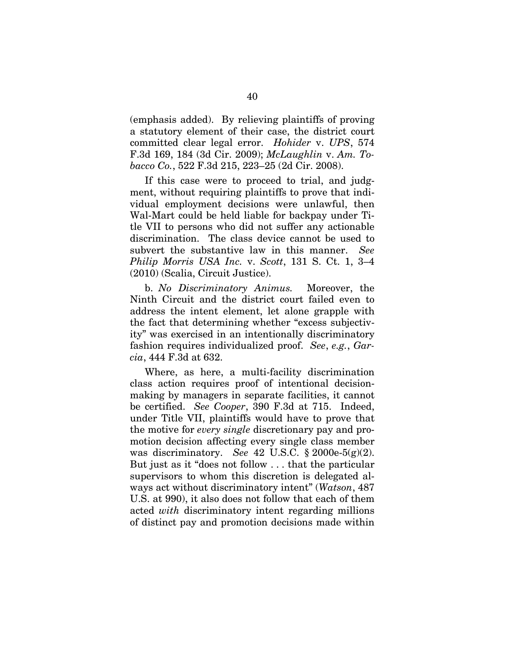(emphasis added). By relieving plaintiffs of proving a statutory element of their case, the district court committed clear legal error. *Hohider* v. *UPS*, 574 F.3d 169, 184 (3d Cir. 2009); *McLaughlin* v. *Am. Tobacco Co.*, 522 F.3d 215, 223–25 (2d Cir. 2008).

If this case were to proceed to trial, and judgment, without requiring plaintiffs to prove that individual employment decisions were unlawful, then Wal-Mart could be held liable for backpay under Title VII to persons who did not suffer any actionable discrimination. The class device cannot be used to subvert the substantive law in this manner. *See Philip Morris USA Inc.* v. *Scott*, 131 S. Ct. 1, 3–4 (2010) (Scalia, Circuit Justice).

b. *No Discriminatory Animus.* Moreover, the Ninth Circuit and the district court failed even to address the intent element, let alone grapple with the fact that determining whether "excess subjectivity" was exercised in an intentionally discriminatory fashion requires individualized proof. *See*, *e.g.*, *Garcia*, 444 F.3d at 632.

Where, as here, a multi-facility discrimination class action requires proof of intentional decisionmaking by managers in separate facilities, it cannot be certified. *See Cooper*, 390 F.3d at 715. Indeed, under Title VII, plaintiffs would have to prove that the motive for *every single* discretionary pay and promotion decision affecting every single class member was discriminatory. *See* 42 U.S.C. § 2000e-5(g)(2). But just as it "does not follow . . . that the particular supervisors to whom this discretion is delegated always act without discriminatory intent" (*Watson*, 487 U.S. at 990), it also does not follow that each of them acted *with* discriminatory intent regarding millions of distinct pay and promotion decisions made within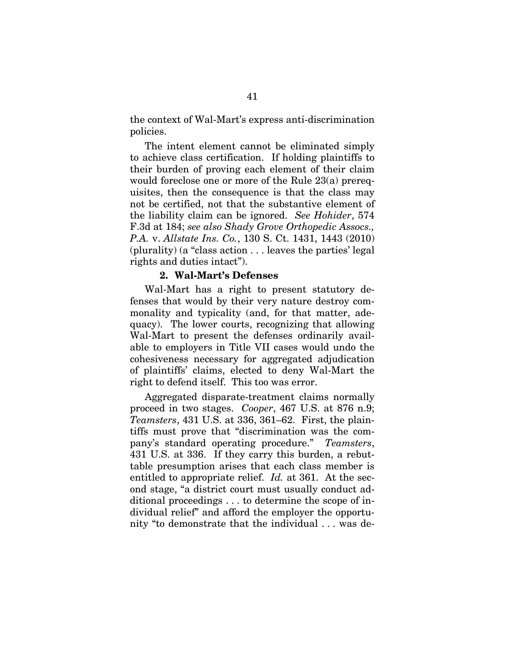the context of Wal-Mart's express anti-discrimination policies.

The intent element cannot be eliminated simply to achieve class certification. If holding plaintiffs to their burden of proving each element of their claim would foreclose one or more of the Rule 23(a) prerequisites, then the consequence is that the class may not be certified, not that the substantive element of the liability claim can be ignored. *See Hohider*, 574 F.3d at 184; *see also Shady Grove Orthopedic Assocs., P.A.* v. *Allstate Ins. Co.*, 130 S. Ct. 1431, 1443 (2010) (plurality) (a "class action . . . leaves the parties' legal rights and duties intact").

#### **2. Wal-Mart's Defenses**

Wal-Mart has a right to present statutory defenses that would by their very nature destroy commonality and typicality (and, for that matter, adequacy). The lower courts, recognizing that allowing Wal-Mart to present the defenses ordinarily available to employers in Title VII cases would undo the cohesiveness necessary for aggregated adjudication of plaintiffs' claims, elected to deny Wal-Mart the right to defend itself. This too was error.

Aggregated disparate-treatment claims normally proceed in two stages. *Cooper*, 467 U.S. at 876 n.9; *Teamsters*, 431 U.S. at 336, 361–62. First, the plaintiffs must prove that "discrimination was the company's standard operating procedure." *Teamsters*, 431 U.S. at 336. If they carry this burden, a rebuttable presumption arises that each class member is entitled to appropriate relief. *Id.* at 361. At the second stage, "a district court must usually conduct additional proceedings . . . to determine the scope of individual relief" and afford the employer the opportunity "to demonstrate that the individual . . . was de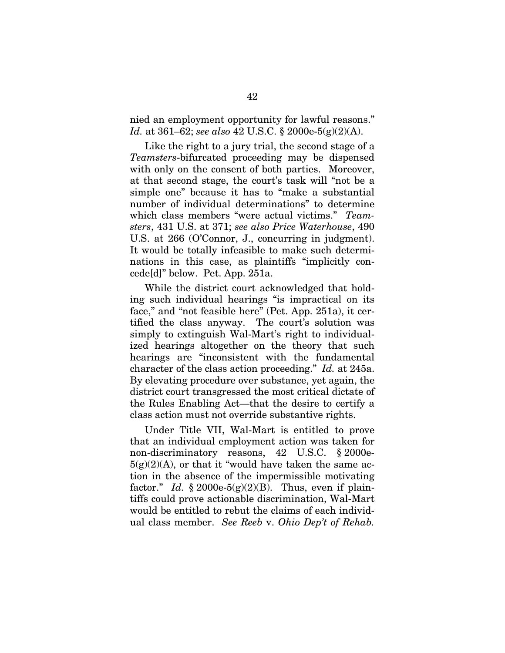nied an employment opportunity for lawful reasons." *Id.* at 361–62; *see also* 42 U.S.C. § 2000e-5(g)(2)(A).

Like the right to a jury trial, the second stage of a *Teamsters*-bifurcated proceeding may be dispensed with only on the consent of both parties. Moreover, at that second stage, the court's task will "not be a simple one" because it has to "make a substantial number of individual determinations" to determine which class members "were actual victims." *Teamsters*, 431 U.S. at 371; *see also Price Waterhouse*, 490 U.S. at 266 (O'Connor, J., concurring in judgment). It would be totally infeasible to make such determinations in this case, as plaintiffs "implicitly concede[d]" below. Pet. App. 251a.

While the district court acknowledged that holding such individual hearings "is impractical on its face," and "not feasible here" (Pet. App. 251a), it certified the class anyway. The court's solution was simply to extinguish Wal-Mart's right to individualized hearings altogether on the theory that such hearings are "inconsistent with the fundamental character of the class action proceeding." *Id.* at 245a. By elevating procedure over substance, yet again, the district court transgressed the most critical dictate of the Rules Enabling Act—that the desire to certify a class action must not override substantive rights.

Under Title VII, Wal-Mart is entitled to prove that an individual employment action was taken for non-discriminatory reasons, 42 U.S.C. § 2000e- $5(g)(2)(A)$ , or that it "would have taken the same action in the absence of the impermissible motivating factor." *Id.*  $\S 2000e-5(g)(2)(B)$ . Thus, even if plaintiffs could prove actionable discrimination, Wal-Mart would be entitled to rebut the claims of each individual class member. *See Reeb* v. *Ohio Dep't of Rehab.*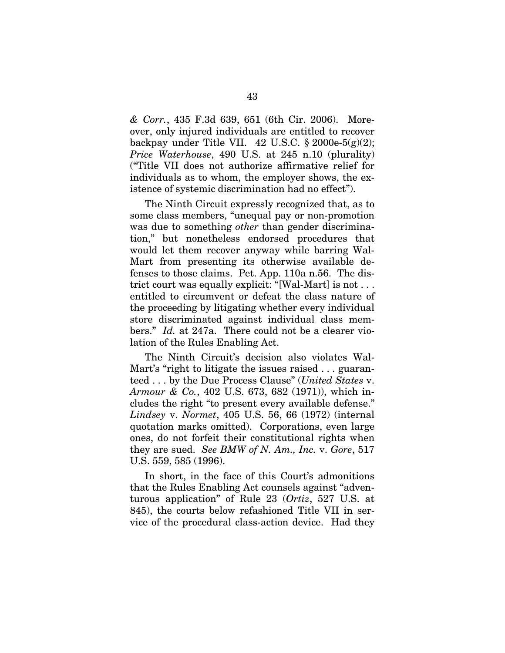*& Corr.*, 435 F.3d 639, 651 (6th Cir. 2006). Moreover, only injured individuals are entitled to recover backpay under Title VII.  $42 \text{ U.S.C. }$  \$ 2000e-5(g)(2); *Price Waterhouse*, 490 U.S. at 245 n.10 (plurality) ("Title VII does not authorize affirmative relief for individuals as to whom, the employer shows, the existence of systemic discrimination had no effect").

The Ninth Circuit expressly recognized that, as to some class members, "unequal pay or non-promotion was due to something *other* than gender discrimination," but nonetheless endorsed procedures that would let them recover anyway while barring Wal-Mart from presenting its otherwise available defenses to those claims. Pet. App. 110a n.56. The district court was equally explicit: "[Wal-Mart] is not . . . entitled to circumvent or defeat the class nature of the proceeding by litigating whether every individual store discriminated against individual class members." *Id.* at 247a. There could not be a clearer violation of the Rules Enabling Act.

The Ninth Circuit's decision also violates Wal-Mart's "right to litigate the issues raised ... guaranteed . . . by the Due Process Clause" (*United States* v. *Armour & Co.*, 402 U.S. 673, 682 (1971)), which includes the right "to present every available defense." *Lindsey* v. *Normet*, 405 U.S. 56, 66 (1972) (internal quotation marks omitted). Corporations, even large ones, do not forfeit their constitutional rights when they are sued. *See BMW of N. Am., Inc.* v. *Gore*, 517 U.S. 559, 585 (1996).

In short, in the face of this Court's admonitions that the Rules Enabling Act counsels against "adventurous application" of Rule 23 (*Ortiz*, 527 U.S. at 845), the courts below refashioned Title VII in service of the procedural class-action device. Had they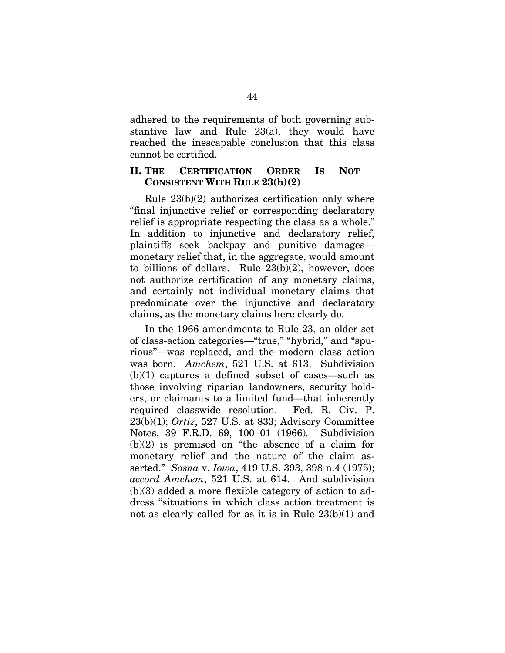adhered to the requirements of both governing substantive law and Rule 23(a), they would have reached the inescapable conclusion that this class cannot be certified.

### **II. THE CERTIFICATION ORDER IS NOT CONSISTENT WITH RULE 23(b)(2)**

Rule 23(b)(2) authorizes certification only where "final injunctive relief or corresponding declaratory relief is appropriate respecting the class as a whole." In addition to injunctive and declaratory relief, plaintiffs seek backpay and punitive damages monetary relief that, in the aggregate, would amount to billions of dollars. Rule 23(b)(2), however, does not authorize certification of any monetary claims, and certainly not individual monetary claims that predominate over the injunctive and declaratory claims, as the monetary claims here clearly do.

In the 1966 amendments to Rule 23, an older set of class-action categories—"true," "hybrid," and "spurious"—was replaced, and the modern class action was born. *Amchem*, 521 U.S. at 613. Subdivision  $(b)(1)$  captures a defined subset of cases—such as those involving riparian landowners, security holders, or claimants to a limited fund—that inherently required classwide resolution. Fed. R. Civ. P. 23(b)(1); *Ortiz*, 527 U.S. at 833; Advisory Committee Notes, 39 F.R.D. 69, 100–01 (1966)*.* Subdivision  $(b)(2)$  is premised on "the absence of a claim for monetary relief and the nature of the claim asserted." *Sosna* v. *Iowa*, 419 U.S. 393, 398 n.4 (1975); *accord Amchem*, 521 U.S. at 614. And subdivision (b)(3) added a more flexible category of action to address "situations in which class action treatment is not as clearly called for as it is in Rule 23(b)(1) and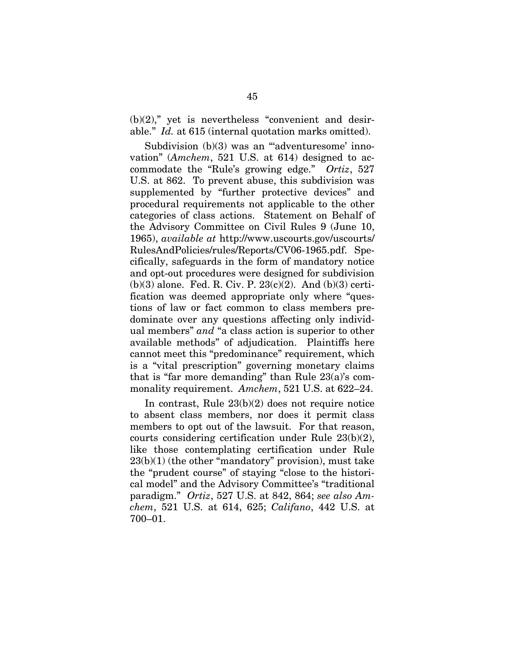$(b)(2)$ ," yet is nevertheless "convenient and desirable." *Id.* at 615 (internal quotation marks omitted).

Subdivision (b)(3) was an ""adventuresome' innovation" (*Amchem*, 521 U.S. at 614) designed to accommodate the "Rule's growing edge." *Ortiz*, 527 U.S. at 862. To prevent abuse, this subdivision was supplemented by "further protective devices" and procedural requirements not applicable to the other categories of class actions. Statement on Behalf of the Advisory Committee on Civil Rules 9 (June 10, 1965), *available at* http://www.uscourts.gov/uscourts/ RulesAndPolicies/rules/Reports/CV06-1965.pdf. Specifically, safeguards in the form of mandatory notice and opt-out procedures were designed for subdivision  $(b)(3)$  alone. Fed. R. Civ. P. 23 $(c)(2)$ . And  $(b)(3)$  certification was deemed appropriate only where "questions of law or fact common to class members predominate over any questions affecting only individual members" *and* "a class action is superior to other available methods" of adjudication. Plaintiffs here cannot meet this "predominance" requirement, which is a "vital prescription" governing monetary claims that is "far more demanding" than Rule 23(a)'s commonality requirement. *Amchem*, 521 U.S. at 622–24.

In contrast, Rule 23(b)(2) does not require notice to absent class members, nor does it permit class members to opt out of the lawsuit. For that reason, courts considering certification under Rule 23(b)(2), like those contemplating certification under Rule 23(b)(1) (the other "mandatory" provision), must take the "prudent course" of staying "close to the historical model" and the Advisory Committee's "traditional paradigm." *Ortiz*, 527 U.S. at 842, 864; *see also Amchem*, 521 U.S. at 614, 625; *Califano*, 442 U.S. at 700–01.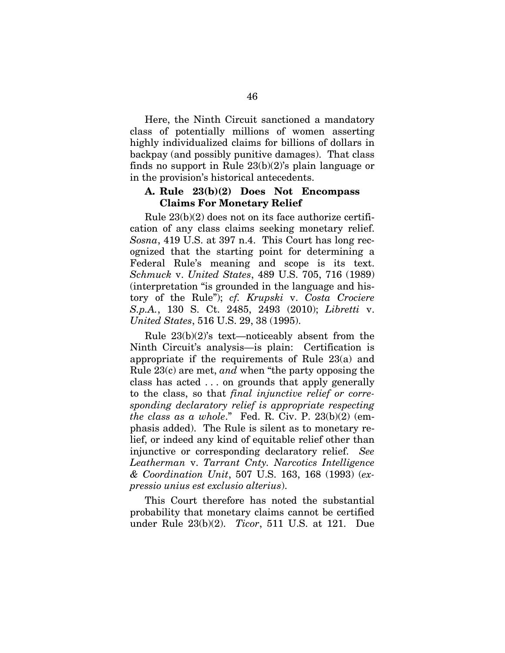Here, the Ninth Circuit sanctioned a mandatory class of potentially millions of women asserting highly individualized claims for billions of dollars in backpay (and possibly punitive damages). That class finds no support in Rule 23(b)(2)'s plain language or in the provision's historical antecedents.

# **A. Rule 23(b)(2) Does Not Encompass Claims For Monetary Relief**

Rule 23(b)(2) does not on its face authorize certification of any class claims seeking monetary relief. *Sosna*, 419 U.S. at 397 n.4. This Court has long recognized that the starting point for determining a Federal Rule's meaning and scope is its text. *Schmuck* v. *United States*, 489 U.S. 705, 716 (1989) (interpretation "is grounded in the language and history of the Rule"); *cf. Krupski* v. *Costa Crociere S.p.A.*, 130 S. Ct. 2485, 2493 (2010); *Libretti* v. *United States*, 516 U.S. 29, 38 (1995).

Rule 23(b)(2)'s text—noticeably absent from the Ninth Circuit's analysis—is plain: Certification is appropriate if the requirements of Rule 23(a) and Rule 23(c) are met, *and* when "the party opposing the class has acted . . . on grounds that apply generally to the class, so that *final injunctive relief or corresponding declaratory relief is appropriate respecting the class as a whole*." Fed. R. Civ. P. 23(b)(2) (emphasis added). The Rule is silent as to monetary relief, or indeed any kind of equitable relief other than injunctive or corresponding declaratory relief. *See Leatherman* v. *Tarrant Cnty. Narcotics Intelligence & Coordination Unit*, 507 U.S. 163, 168 (1993) (*expressio unius est exclusio alterius*).

This Court therefore has noted the substantial probability that monetary claims cannot be certified under Rule 23(b)(2). *Ticor*, 511 U.S. at 121. Due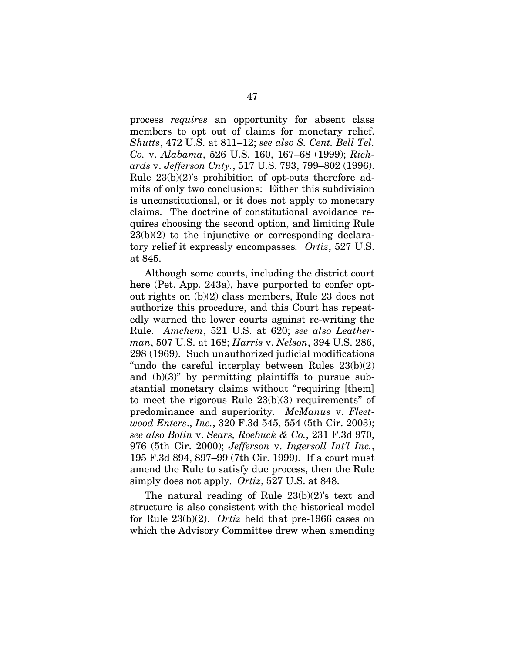process *requires* an opportunity for absent class members to opt out of claims for monetary relief. *Shutts*, 472 U.S. at 811–12; *see also S. Cent. Bell Tel. Co.* v. *Alabama*, 526 U.S. 160, 167–68 (1999); *Richards* v. *Jefferson Cnty.*, 517 U.S. 793, 799–802 (1996). Rule 23(b)(2)'s prohibition of opt-outs therefore admits of only two conclusions: Either this subdivision is unconstitutional, or it does not apply to monetary claims. The doctrine of constitutional avoidance requires choosing the second option, and limiting Rule  $23(b)(2)$  to the injunctive or corresponding declaratory relief it expressly encompasses*. Ortiz*, 527 U.S. at 845.

Although some courts, including the district court here (Pet. App. 243a), have purported to confer optout rights on (b)(2) class members, Rule 23 does not authorize this procedure, and this Court has repeatedly warned the lower courts against re-writing the Rule. *Amchem*, 521 U.S. at 620; *see also Leatherman*, 507 U.S. at 168; *Harris* v. *Nelson*, 394 U.S. 286, 298 (1969). Such unauthorized judicial modifications "undo the careful interplay between Rules  $23(b)(2)$ and  $(b)(3)$ " by permitting plaintiffs to pursue substantial monetary claims without "requiring [them] to meet the rigorous Rule  $23(b)(3)$  requirements" of predominance and superiority. *McManus* v. *Fleetwood Enters*., *Inc.*, 320 F.3d 545, 554 (5th Cir. 2003); *see also Bolin* v. *Sears, Roebuck & Co.*, 231 F.3d 970, 976 (5th Cir. 2000); *Jefferson* v. *Ingersoll Int'l Inc.*, 195 F.3d 894, 897–99 (7th Cir. 1999). If a court must amend the Rule to satisfy due process, then the Rule simply does not apply. *Ortiz*, 527 U.S. at 848.

The natural reading of Rule 23(b)(2)'s text and structure is also consistent with the historical model for Rule 23(b)(2). *Ortiz* held that pre-1966 cases on which the Advisory Committee drew when amending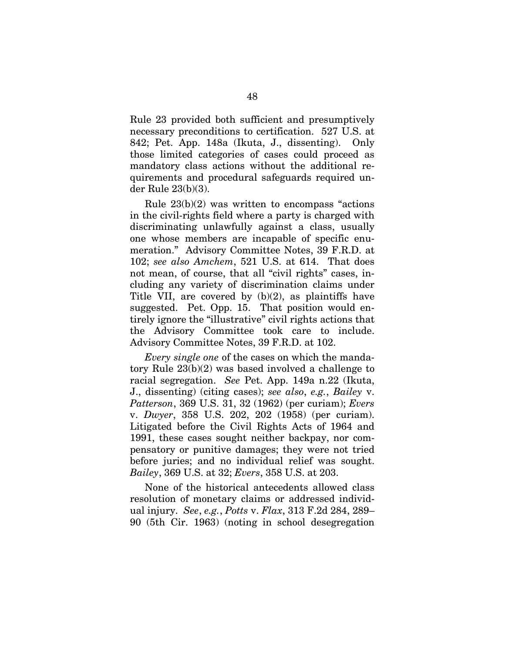Rule 23 provided both sufficient and presumptively necessary preconditions to certification. 527 U.S. at 842; Pet. App. 148a (Ikuta, J., dissenting). Only those limited categories of cases could proceed as mandatory class actions without the additional requirements and procedural safeguards required under Rule 23(b)(3).

Rule 23(b)(2) was written to encompass "actions in the civil-rights field where a party is charged with discriminating unlawfully against a class, usually one whose members are incapable of specific enumeration." Advisory Committee Notes, 39 F.R.D. at 102; *see also Amchem*, 521 U.S. at 614. That does not mean, of course, that all "civil rights" cases, including any variety of discrimination claims under Title VII, are covered by (b)(2), as plaintiffs have suggested. Pet. Opp. 15. That position would entirely ignore the "illustrative" civil rights actions that the Advisory Committee took care to include. Advisory Committee Notes, 39 F.R.D. at 102.

*Every single one* of the cases on which the mandatory Rule 23(b)(2) was based involved a challenge to racial segregation. *See* Pet. App. 149a n.22 (Ikuta, J., dissenting) (citing cases); *see also*, *e.g.*, *Bailey* v. *Patterson*, 369 U.S. 31, 32 (1962) (per curiam); *Evers*  v. *Dwyer*, 358 U.S. 202, 202 (1958) (per curiam). Litigated before the Civil Rights Acts of 1964 and 1991, these cases sought neither backpay, nor compensatory or punitive damages; they were not tried before juries; and no individual relief was sought. *Bailey*, 369 U.S. at 32; *Evers*, 358 U.S. at 203.

None of the historical antecedents allowed class resolution of monetary claims or addressed individual injury. *See*, *e.g.*, *Potts* v. *Flax*, 313 F.2d 284, 289– 90 (5th Cir. 1963) (noting in school desegregation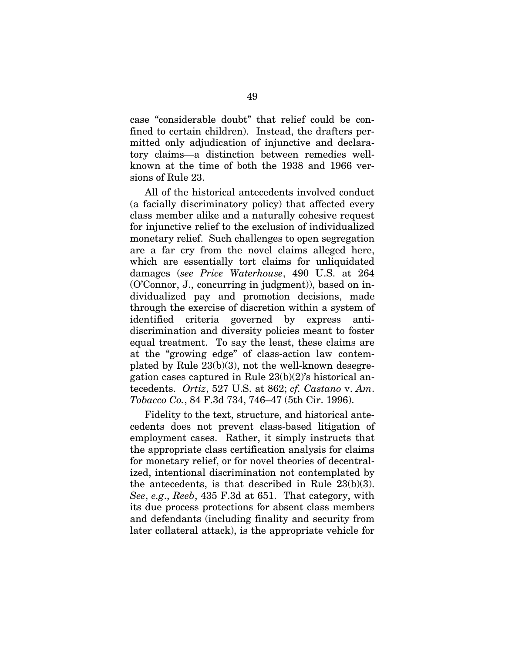case "considerable doubt" that relief could be confined to certain children). Instead, the drafters permitted only adjudication of injunctive and declaratory claims—a distinction between remedies wellknown at the time of both the 1938 and 1966 versions of Rule 23.

All of the historical antecedents involved conduct (a facially discriminatory policy) that affected every class member alike and a naturally cohesive request for injunctive relief to the exclusion of individualized monetary relief. Such challenges to open segregation are a far cry from the novel claims alleged here, which are essentially tort claims for unliquidated damages (*see Price Waterhouse*, 490 U.S. at 264 (O'Connor, J., concurring in judgment)), based on individualized pay and promotion decisions, made through the exercise of discretion within a system of identified criteria governed by express antidiscrimination and diversity policies meant to foster equal treatment. To say the least, these claims are at the "growing edge" of class-action law contemplated by Rule 23(b)(3), not the well-known desegregation cases captured in Rule 23(b)(2)'s historical antecedents. *Ortiz*, 527 U.S. at 862; *cf. Castano* v. *Am*. *Tobacco Co.*, 84 F.3d 734, 746–47 (5th Cir. 1996).

Fidelity to the text, structure, and historical antecedents does not prevent class-based litigation of employment cases. Rather, it simply instructs that the appropriate class certification analysis for claims for monetary relief, or for novel theories of decentralized, intentional discrimination not contemplated by the antecedents, is that described in Rule 23(b)(3). *See*, *e.g*., *Reeb*, 435 F.3d at 651. That category, with its due process protections for absent class members and defendants (including finality and security from later collateral attack), is the appropriate vehicle for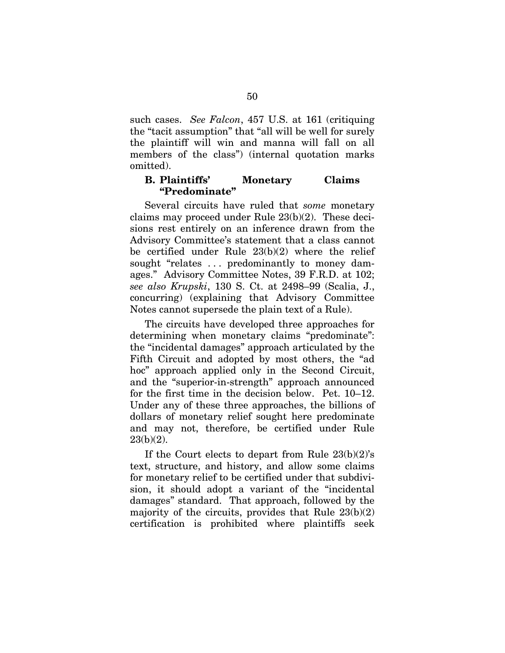such cases. *See Falcon*, 457 U.S. at 161 (critiquing the "tacit assumption" that "all will be well for surely the plaintiff will win and manna will fall on all members of the class") (internal quotation marks omitted).

## **B. Plaintiffs' Monetary Claims "Predominate"**

Several circuits have ruled that *some* monetary claims may proceed under Rule 23(b)(2). These decisions rest entirely on an inference drawn from the Advisory Committee's statement that a class cannot be certified under Rule 23(b)(2) where the relief sought "relates . . . predominantly to money damages." Advisory Committee Notes, 39 F.R.D. at 102; *see also Krupski*, 130 S. Ct. at 2498–99 (Scalia, J., concurring) (explaining that Advisory Committee Notes cannot supersede the plain text of a Rule).

The circuits have developed three approaches for determining when monetary claims "predominate": the "incidental damages" approach articulated by the Fifth Circuit and adopted by most others, the "ad hoc" approach applied only in the Second Circuit, and the "superior-in-strength" approach announced for the first time in the decision below. Pet. 10–12. Under any of these three approaches, the billions of dollars of monetary relief sought here predominate and may not, therefore, be certified under Rule 23(b)(2).

If the Court elects to depart from Rule  $23(b)(2)$ 's text, structure, and history, and allow some claims for monetary relief to be certified under that subdivision, it should adopt a variant of the "incidental damages" standard. That approach, followed by the majority of the circuits, provides that Rule 23(b)(2) certification is prohibited where plaintiffs seek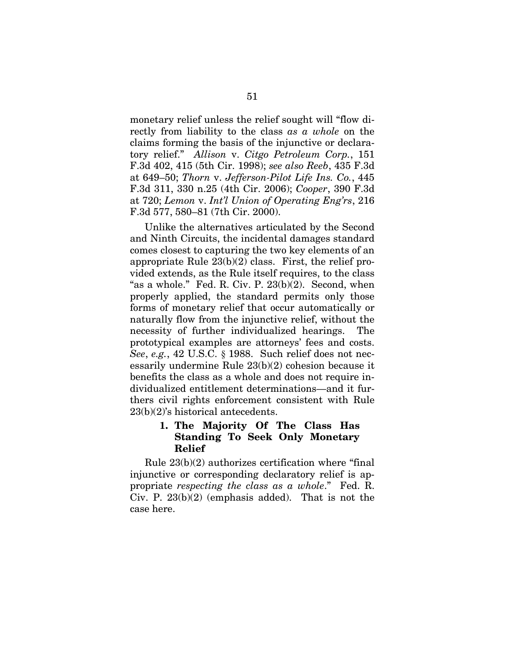monetary relief unless the relief sought will "flow directly from liability to the class *as a whole* on the claims forming the basis of the injunctive or declaratory relief." *Allison* v. *Citgo Petroleum Corp.*, 151 F.3d 402, 415 (5th Cir. 1998); *see also Reeb*, 435 F.3d at 649–50; *Thorn* v. *Jefferson-Pilot Life Ins. Co.*, 445 F.3d 311, 330 n.25 (4th Cir. 2006); *Cooper*, 390 F.3d at 720; *Lemon* v. *Int'l Union of Operating Eng'rs*, 216 F.3d 577, 580–81 (7th Cir. 2000).

Unlike the alternatives articulated by the Second and Ninth Circuits, the incidental damages standard comes closest to capturing the two key elements of an appropriate Rule  $23(b)(2)$  class. First, the relief provided extends, as the Rule itself requires, to the class "as a whole." Fed. R. Civ. P. 23(b)(2). Second, when properly applied, the standard permits only those forms of monetary relief that occur automatically or naturally flow from the injunctive relief, without the necessity of further individualized hearings. The prototypical examples are attorneys' fees and costs. *See*, *e.g.*, 42 U.S.C. § 1988. Such relief does not necessarily undermine Rule 23(b)(2) cohesion because it benefits the class as a whole and does not require individualized entitlement determinations—and it furthers civil rights enforcement consistent with Rule 23(b)(2)'s historical antecedents.

# **1. The Majority Of The Class Has Standing To Seek Only Monetary Relief**

Rule 23(b)(2) authorizes certification where "final injunctive or corresponding declaratory relief is appropriate *respecting the class as a whole*." Fed. R. Civ. P. 23(b)(2) (emphasis added). That is not the case here.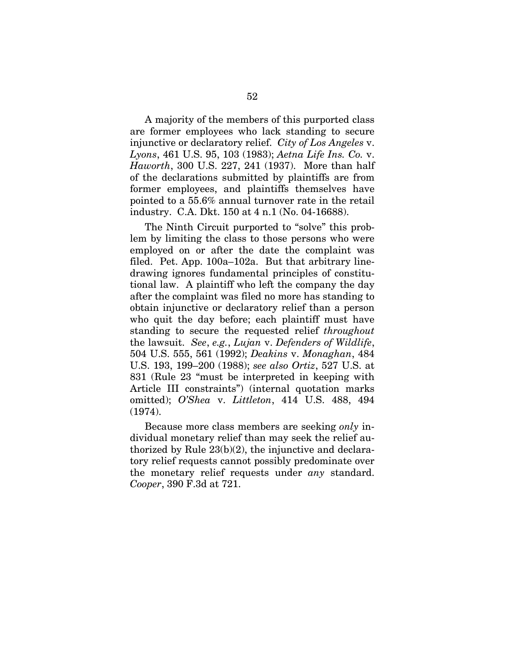A majority of the members of this purported class are former employees who lack standing to secure injunctive or declaratory relief. *City of Los Angeles* v. *Lyons*, 461 U.S. 95, 103 (1983); *Aetna Life Ins. Co.* v. *Haworth*, 300 U.S. 227, 241 (1937). More than half of the declarations submitted by plaintiffs are from former employees, and plaintiffs themselves have pointed to a 55.6% annual turnover rate in the retail industry. C.A. Dkt. 150 at 4 n.1 (No. 04-16688).

The Ninth Circuit purported to "solve" this problem by limiting the class to those persons who were employed on or after the date the complaint was filed. Pet. App. 100a–102a. But that arbitrary linedrawing ignores fundamental principles of constitutional law. A plaintiff who left the company the day after the complaint was filed no more has standing to obtain injunctive or declaratory relief than a person who quit the day before; each plaintiff must have standing to secure the requested relief *throughout* the lawsuit. *See*, *e.g.*, *Lujan* v. *Defenders of Wildlife*, 504 U.S. 555, 561 (1992); *Deakins* v. *Monaghan*, 484 U.S. 193, 199–200 (1988); *see also Ortiz*, 527 U.S. at 831 (Rule 23 "must be interpreted in keeping with Article III constraints") (internal quotation marks omitted); *O'Shea* v. *Littleton*, 414 U.S. 488, 494 (1974).

Because more class members are seeking *only* individual monetary relief than may seek the relief authorized by Rule 23(b)(2), the injunctive and declaratory relief requests cannot possibly predominate over the monetary relief requests under *any* standard. *Cooper*, 390 F.3d at 721.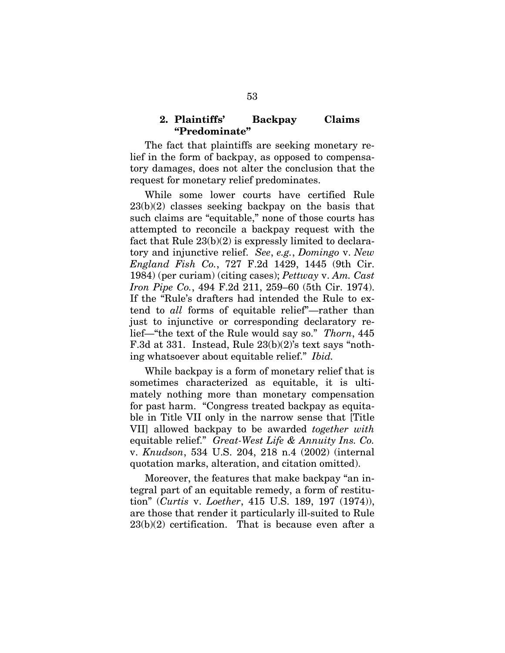## **2. Plaintiffs' Backpay Claims "Predominate"**

The fact that plaintiffs are seeking monetary relief in the form of backpay, as opposed to compensatory damages, does not alter the conclusion that the request for monetary relief predominates.

While some lower courts have certified Rule 23(b)(2) classes seeking backpay on the basis that such claims are "equitable," none of those courts has attempted to reconcile a backpay request with the fact that Rule 23(b)(2) is expressly limited to declaratory and injunctive relief. *See*, *e.g.*, *Domingo* v. *New England Fish Co.*, 727 F.2d 1429, 1445 (9th Cir. 1984) (per curiam) (citing cases); *Pettway* v. *Am. Cast Iron Pipe Co.*, 494 F.2d 211, 259–60 (5th Cir. 1974). If the "Rule's drafters had intended the Rule to extend to *all* forms of equitable relief"—rather than just to injunctive or corresponding declaratory relief—"the text of the Rule would say so." *Thorn*, 445 F.3d at 331. Instead, Rule 23(b)(2)'s text says "nothing whatsoever about equitable relief." *Ibid.*

While backpay is a form of monetary relief that is sometimes characterized as equitable, it is ultimately nothing more than monetary compensation for past harm. "Congress treated backpay as equitable in Title VII only in the narrow sense that [Title VII] allowed backpay to be awarded *together with*  equitable relief." *Great-West Life & Annuity Ins. Co.*  v. *Knudson*, 534 U.S. 204, 218 n.4 (2002) (internal quotation marks, alteration, and citation omitted).

Moreover, the features that make backpay "an integral part of an equitable remedy, a form of restitution" (*Curtis* v. *Loether*, 415 U.S. 189, 197 (1974)), are those that render it particularly ill-suited to Rule 23(b)(2) certification. That is because even after a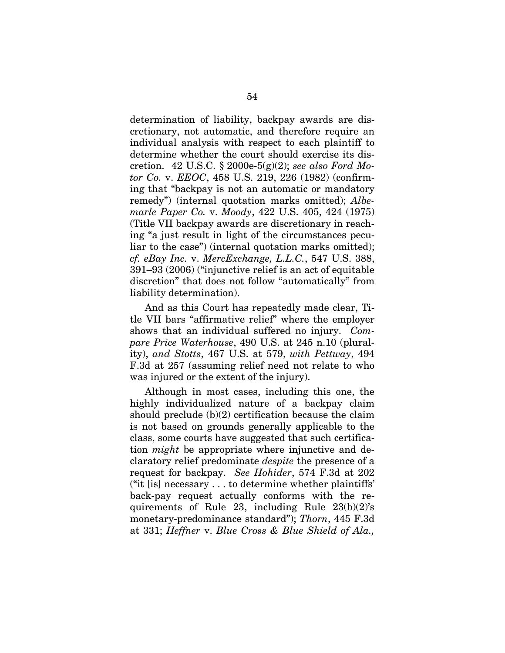determination of liability, backpay awards are discretionary, not automatic, and therefore require an individual analysis with respect to each plaintiff to determine whether the court should exercise its discretion. 42 U.S.C. § 2000e-5(g)(2); *see also Ford Motor Co.* v. *EEOC*, 458 U.S. 219, 226 (1982) (confirming that "backpay is not an automatic or mandatory remedy") (internal quotation marks omitted); *Albemarle Paper Co.* v. *Moody*, 422 U.S. 405, 424 (1975) (Title VII backpay awards are discretionary in reaching "a just result in light of the circumstances peculiar to the case") (internal quotation marks omitted); *cf. eBay Inc.* v. *MercExchange, L.L.C.*, 547 U.S. 388, 391–93 (2006) ("injunctive relief is an act of equitable discretion" that does not follow "automatically" from liability determination).

And as this Court has repeatedly made clear, Title VII bars "affirmative relief" where the employer shows that an individual suffered no injury. *Compare Price Waterhouse*, 490 U.S. at 245 n.10 (plurality), *and Stotts*, 467 U.S. at 579, *with Pettway*, 494 F.3d at 257 (assuming relief need not relate to who was injured or the extent of the injury).

Although in most cases, including this one, the highly individualized nature of a backpay claim should preclude  $(b)(2)$  certification because the claim is not based on grounds generally applicable to the class, some courts have suggested that such certification *might* be appropriate where injunctive and declaratory relief predominate *despite* the presence of a request for backpay. *See Hohider*, 574 F.3d at 202 ("it [is] necessary . . . to determine whether plaintiffs' back-pay request actually conforms with the requirements of Rule 23, including Rule 23(b)(2)'s monetary-predominance standard"); *Thorn*, 445 F.3d at 331; *Heffner* v. *Blue Cross & Blue Shield of Ala.,*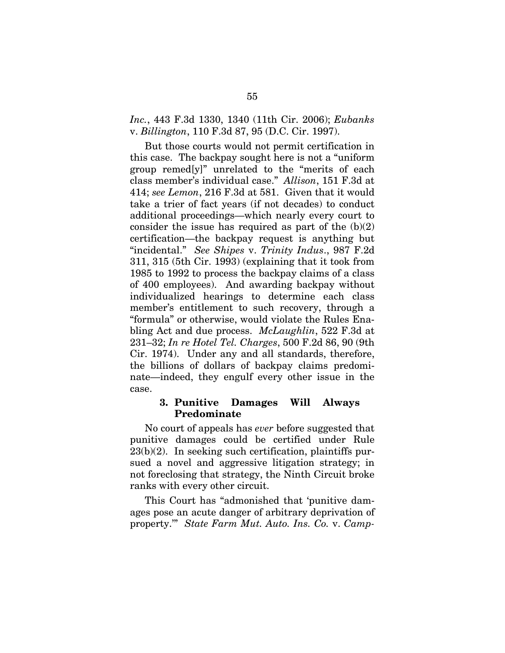*Inc.*, 443 F.3d 1330, 1340 (11th Cir. 2006); *Eubanks*  v. *Billington*, 110 F.3d 87, 95 (D.C. Cir. 1997).

But those courts would not permit certification in this case. The backpay sought here is not a "uniform group remed[y]" unrelated to the "merits of each class member's individual case." *Allison*, 151 F.3d at 414; *see Lemon*, 216 F.3d at 581. Given that it would take a trier of fact years (if not decades) to conduct additional proceedings—which nearly every court to consider the issue has required as part of the  $(b)(2)$ certification—the backpay request is anything but "incidental." *See Shipes* v. *Trinity Indus*., 987 F.2d 311, 315 (5th Cir. 1993) (explaining that it took from 1985 to 1992 to process the backpay claims of a class of 400 employees). And awarding backpay without individualized hearings to determine each class member's entitlement to such recovery, through a "formula" or otherwise, would violate the Rules Enabling Act and due process. *McLaughlin*, 522 F.3d at 231–32; *In re Hotel Tel. Charges*, 500 F.2d 86, 90 (9th Cir. 1974). Under any and all standards, therefore, the billions of dollars of backpay claims predominate—indeed, they engulf every other issue in the case.

# **3. Punitive Damages Will Always Predominate**

No court of appeals has *ever* before suggested that punitive damages could be certified under Rule  $23(b)(2)$ . In seeking such certification, plaintiffs pursued a novel and aggressive litigation strategy; in not foreclosing that strategy, the Ninth Circuit broke ranks with every other circuit.

This Court has "admonished that 'punitive damages pose an acute danger of arbitrary deprivation of property.'" *State Farm Mut. Auto. Ins. Co.* v. *Camp-*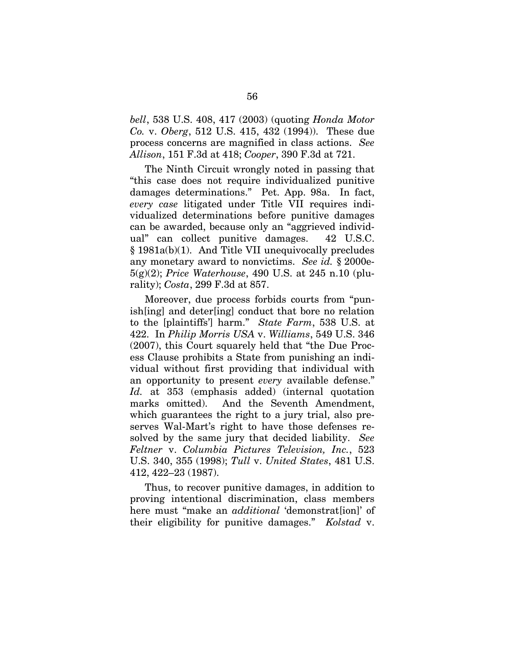*bell*, 538 U.S. 408, 417 (2003) (quoting *Honda Motor Co.* v. *Oberg*, 512 U.S. 415, 432 (1994)). These due process concerns are magnified in class actions. *See Allison*, 151 F.3d at 418; *Cooper*, 390 F.3d at 721.

The Ninth Circuit wrongly noted in passing that "this case does not require individualized punitive damages determinations." Pet. App. 98a. In fact, *every case* litigated under Title VII requires individualized determinations before punitive damages can be awarded, because only an "aggrieved individual" can collect punitive damages. 42 U.S.C. § 1981a(b)(1). And Title VII unequivocally precludes any monetary award to nonvictims. *See id.* § 2000e-5(g)(2); *Price Waterhouse*, 490 U.S. at 245 n.10 (plurality); *Costa*, 299 F.3d at 857.

Moreover, due process forbids courts from "punish[ing] and deter[ing] conduct that bore no relation to the [plaintiffs'] harm." *State Farm*, 538 U.S. at 422. In *Philip Morris USA* v. *Williams*, 549 U.S. 346 (2007), this Court squarely held that "the Due Process Clause prohibits a State from punishing an individual without first providing that individual with an opportunity to present *every* available defense." *Id.* at 353 (emphasis added) (internal quotation marks omitted). And the Seventh Amendment, which guarantees the right to a jury trial, also preserves Wal-Mart's right to have those defenses resolved by the same jury that decided liability. *See Feltner* v. *Columbia Pictures Television, Inc.*, 523 U.S. 340, 355 (1998); *Tull* v. *United States*, 481 U.S. 412, 422–23 (1987).

Thus, to recover punitive damages, in addition to proving intentional discrimination, class members here must "make an *additional* 'demonstrat[ion]' of their eligibility for punitive damages." *Kolstad* v.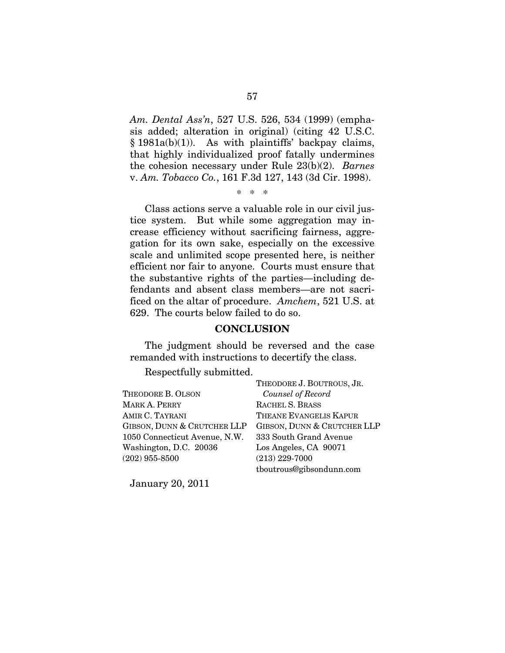*Am. Dental Ass'n*, 527 U.S. 526, 534 (1999) (emphasis added; alteration in original) (citing 42 U.S.C.  $§ 1981a(b)(1)$ . As with plaintiffs' backpay claims, that highly individualized proof fatally undermines the cohesion necessary under Rule 23(b)(2). *Barnes*  v. *Am. Tobacco Co.*, 161 F.3d 127, 143 (3d Cir. 1998).

\* \* \*

Class actions serve a valuable role in our civil justice system. But while some aggregation may increase efficiency without sacrificing fairness, aggregation for its own sake, especially on the excessive scale and unlimited scope presented here, is neither efficient nor fair to anyone. Courts must ensure that the substantive rights of the parties—including defendants and absent class members—are not sacrificed on the altar of procedure. *Amchem*, 521 U.S. at 629. The courts below failed to do so.

### **CONCLUSION**

The judgment should be reversed and the case remanded with instructions to decertify the class.

Respectfully submitted.

|                               | THEODORE J. BOUTROUS, JR.   |
|-------------------------------|-----------------------------|
| THEODORE B. OLSON             | Counsel of Record           |
| MARK A. PERRY                 | RACHEL S. BRASS             |
| AMIR C. TAYRANI               | THEANE EVANGELIS KAPUR      |
| GIBSON, DUNN & CRUTCHER LLP   | GIBSON, DUNN & CRUTCHER LLP |
| 1050 Connecticut Avenue, N.W. | 333 South Grand Avenue      |
| Washington, D.C. 20036        | Los Angeles, CA 90071       |
| $(202)$ 955-8500              | $(213)$ 229-7000            |
|                               | tboutrous@gibsondunn.com    |

January 20, 2011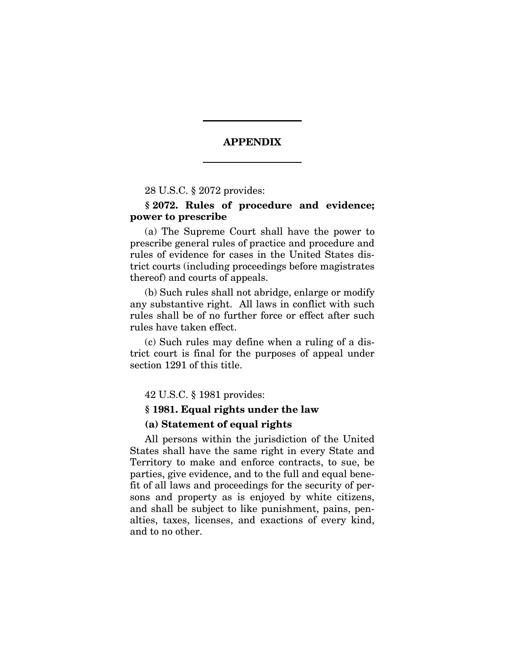## **APPENDIX**

28 U.S.C. § 2072 provides:

# **§ 2072. Rules of procedure and evidence; power to prescribe**

(a) The Supreme Court shall have the power to prescribe general rules of practice and procedure and rules of evidence for cases in the United States district courts (including proceedings before magistrates thereof) and courts of appeals.

(b) Such rules shall not abridge, enlarge or modify any substantive right. All laws in conflict with such rules shall be of no further force or effect after such rules have taken effect.

(c) Such rules may define when a ruling of a district court is final for the purposes of appeal under section 1291 of this title.

42 U.S.C. § 1981 provides:

### **§ 1981. Equal rights under the law**

### **(a) Statement of equal rights**

All persons within the jurisdiction of the United States shall have the same right in every State and Territory to make and enforce contracts, to sue, be parties, give evidence, and to the full and equal benefit of all laws and proceedings for the security of persons and property as is enjoyed by white citizens, and shall be subject to like punishment, pains, penalties, taxes, licenses, and exactions of every kind, and to no other.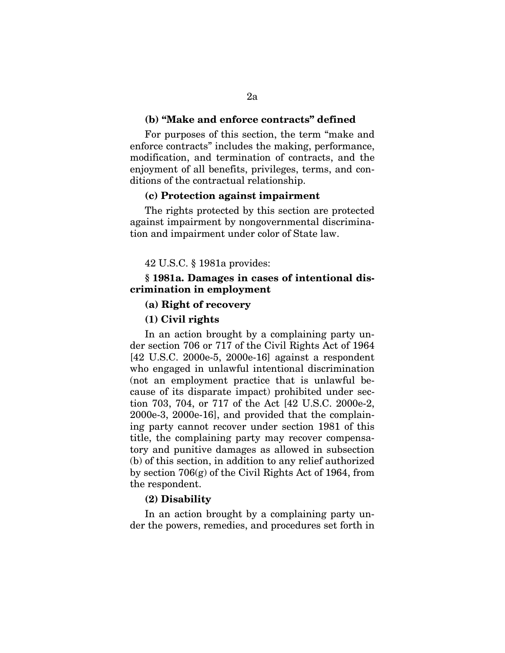### **(b) "Make and enforce contracts" defined**

For purposes of this section, the term "make and enforce contracts" includes the making, performance, modification, and termination of contracts, and the enjoyment of all benefits, privileges, terms, and conditions of the contractual relationship.

### **(c) Protection against impairment**

The rights protected by this section are protected against impairment by nongovernmental discrimination and impairment under color of State law.

42 U.S.C. § 1981a provides:

## **§ 1981a. Damages in cases of intentional discrimination in employment**

### **(a) Right of recovery**

#### **(1) Civil rights**

In an action brought by a complaining party under section 706 or 717 of the Civil Rights Act of 1964 [42 U.S.C. 2000e-5, 2000e-16] against a respondent who engaged in unlawful intentional discrimination (not an employment practice that is unlawful because of its disparate impact) prohibited under section 703, 704, or 717 of the Act [42 U.S.C. 2000e-2, 2000e-3, 2000e-16], and provided that the complaining party cannot recover under section 1981 of this title, the complaining party may recover compensatory and punitive damages as allowed in subsection (b) of this section, in addition to any relief authorized by section 706(g) of the Civil Rights Act of 1964, from the respondent.

## **(2) Disability**

In an action brought by a complaining party under the powers, remedies, and procedures set forth in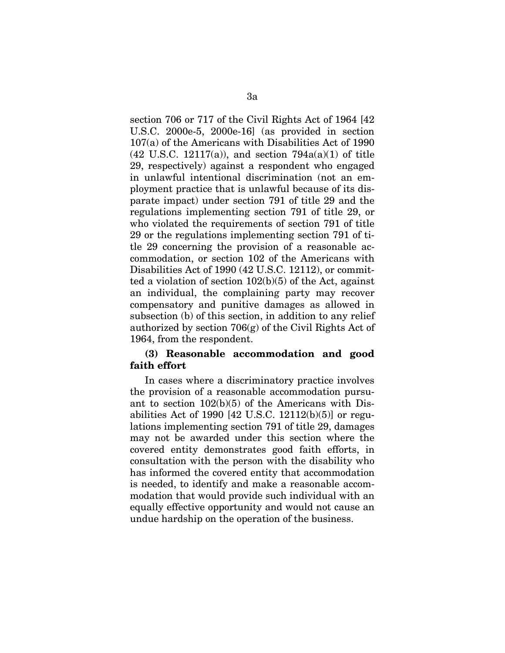section 706 or 717 of the Civil Rights Act of 1964 [42 U.S.C. 2000e-5, 2000e-16] (as provided in section 107(a) of the Americans with Disabilities Act of 1990  $(42 \text{ U.S.C. } 12117(a))$ , and section  $794a(a)(1)$  of title 29, respectively) against a respondent who engaged in unlawful intentional discrimination (not an employment practice that is unlawful because of its disparate impact) under section 791 of title 29 and the regulations implementing section 791 of title 29, or who violated the requirements of section 791 of title 29 or the regulations implementing section 791 of title 29 concerning the provision of a reasonable accommodation, or section 102 of the Americans with Disabilities Act of 1990 (42 U.S.C. 12112), or committed a violation of section  $102(b)(5)$  of the Act, against an individual, the complaining party may recover compensatory and punitive damages as allowed in subsection (b) of this section, in addition to any relief authorized by section 706(g) of the Civil Rights Act of 1964, from the respondent.

## **(3) Reasonable accommodation and good faith effort**

In cases where a discriminatory practice involves the provision of a reasonable accommodation pursuant to section 102(b)(5) of the Americans with Disabilities Act of 1990 [42 U.S.C. 12112(b)(5)] or regulations implementing section 791 of title 29, damages may not be awarded under this section where the covered entity demonstrates good faith efforts, in consultation with the person with the disability who has informed the covered entity that accommodation is needed, to identify and make a reasonable accommodation that would provide such individual with an equally effective opportunity and would not cause an undue hardship on the operation of the business.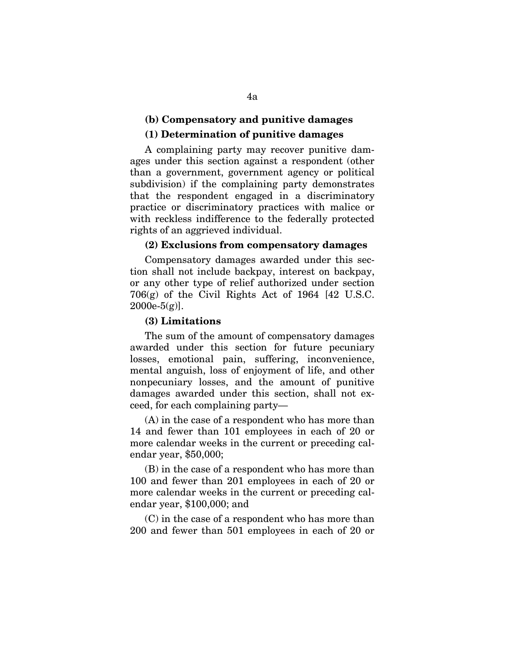## **(b) Compensatory and punitive damages**

## **(1) Determination of punitive damages**

A complaining party may recover punitive damages under this section against a respondent (other than a government, government agency or political subdivision) if the complaining party demonstrates that the respondent engaged in a discriminatory practice or discriminatory practices with malice or with reckless indifference to the federally protected rights of an aggrieved individual.

## **(2) Exclusions from compensatory damages**

Compensatory damages awarded under this section shall not include backpay, interest on backpay, or any other type of relief authorized under section 706(g) of the Civil Rights Act of 1964 [42 U.S.C.  $2000e-5(g)$ ].

### **(3) Limitations**

The sum of the amount of compensatory damages awarded under this section for future pecuniary losses, emotional pain, suffering, inconvenience, mental anguish, loss of enjoyment of life, and other nonpecuniary losses, and the amount of punitive damages awarded under this section, shall not exceed, for each complaining party—

(A) in the case of a respondent who has more than 14 and fewer than 101 employees in each of 20 or more calendar weeks in the current or preceding calendar year, \$50,000;

(B) in the case of a respondent who has more than 100 and fewer than 201 employees in each of 20 or more calendar weeks in the current or preceding calendar year, \$100,000; and

(C) in the case of a respondent who has more than 200 and fewer than 501 employees in each of 20 or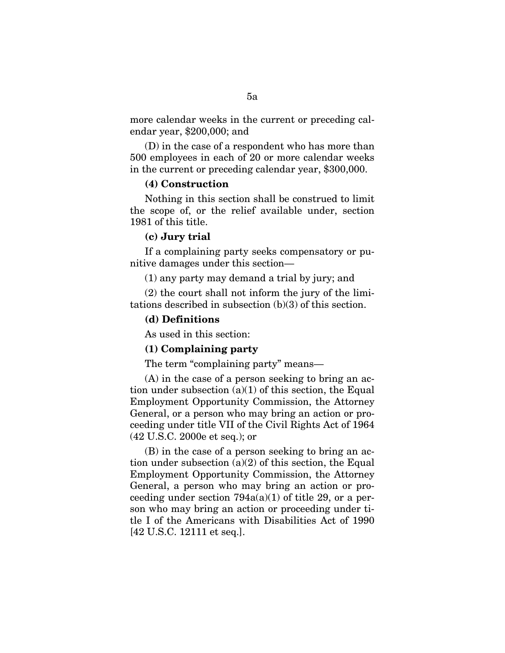more calendar weeks in the current or preceding calendar year, \$200,000; and

(D) in the case of a respondent who has more than 500 employees in each of 20 or more calendar weeks in the current or preceding calendar year, \$300,000.

### **(4) Construction**

Nothing in this section shall be construed to limit the scope of, or the relief available under, section 1981 of this title.

## **(c) Jury trial**

If a complaining party seeks compensatory or punitive damages under this section—

(1) any party may demand a trial by jury; and

(2) the court shall not inform the jury of the limitations described in subsection (b)(3) of this section.

## **(d) Definitions**

As used in this section:

## **(1) Complaining party**

The term "complaining party" means—

(A) in the case of a person seeking to bring an action under subsection  $(a)(1)$  of this section, the Equal Employment Opportunity Commission, the Attorney General, or a person who may bring an action or proceeding under title VII of the Civil Rights Act of 1964 (42 U.S.C. 2000e et seq.); or

(B) in the case of a person seeking to bring an action under subsection  $(a)(2)$  of this section, the Equal Employment Opportunity Commission, the Attorney General, a person who may bring an action or proceeding under section  $794a(a)(1)$  of title 29, or a person who may bring an action or proceeding under title I of the Americans with Disabilities Act of 1990 [42 U.S.C. 12111 et seq.].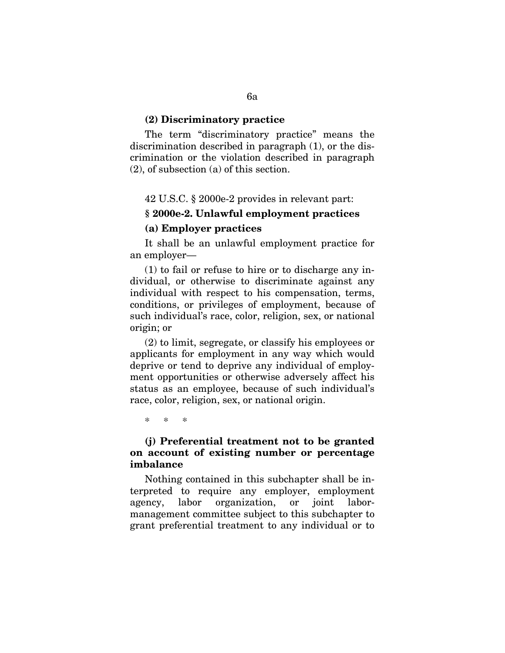### **(2) Discriminatory practice**

The term "discriminatory practice" means the discrimination described in paragraph (1), or the discrimination or the violation described in paragraph (2), of subsection (a) of this section.

42 U.S.C. § 2000e-2 provides in relevant part:

# **§ 2000e-2. Unlawful employment practices**

## **(a) Employer practices**

It shall be an unlawful employment practice for an employer—

(1) to fail or refuse to hire or to discharge any individual, or otherwise to discriminate against any individual with respect to his compensation, terms, conditions, or privileges of employment, because of such individual's race, color, religion, sex, or national origin; or

(2) to limit, segregate, or classify his employees or applicants for employment in any way which would deprive or tend to deprive any individual of employment opportunities or otherwise adversely affect his status as an employee, because of such individual's race, color, religion, sex, or national origin.

\* \* \*

## **(j) Preferential treatment not to be granted on account of existing number or percentage imbalance**

Nothing contained in this subchapter shall be interpreted to require any employer, employment agency, labor organization, or joint labormanagement committee subject to this subchapter to grant preferential treatment to any individual or to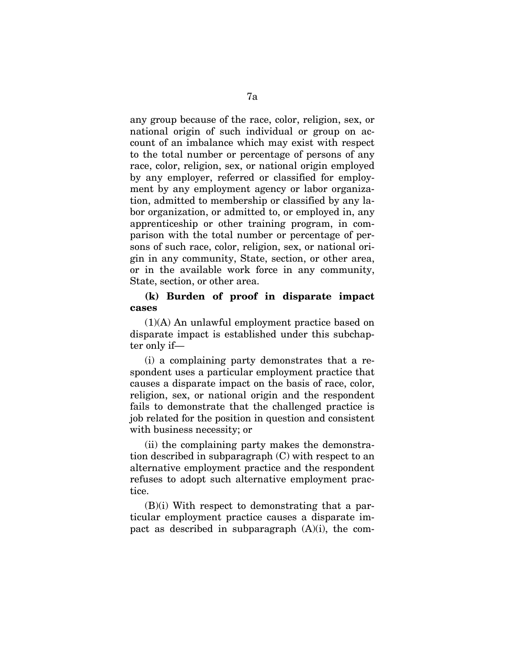any group because of the race, color, religion, sex, or national origin of such individual or group on account of an imbalance which may exist with respect to the total number or percentage of persons of any race, color, religion, sex, or national origin employed by any employer, referred or classified for employment by any employment agency or labor organization, admitted to membership or classified by any labor organization, or admitted to, or employed in, any apprenticeship or other training program, in comparison with the total number or percentage of persons of such race, color, religion, sex, or national origin in any community, State, section, or other area, or in the available work force in any community, State, section, or other area.

## **(k) Burden of proof in disparate impact cases**

(1)(A) An unlawful employment practice based on disparate impact is established under this subchapter only if—

(i) a complaining party demonstrates that a respondent uses a particular employment practice that causes a disparate impact on the basis of race, color, religion, sex, or national origin and the respondent fails to demonstrate that the challenged practice is job related for the position in question and consistent with business necessity; or

(ii) the complaining party makes the demonstration described in subparagraph (C) with respect to an alternative employment practice and the respondent refuses to adopt such alternative employment practice.

(B)(i) With respect to demonstrating that a particular employment practice causes a disparate impact as described in subparagraph  $(A)(i)$ , the com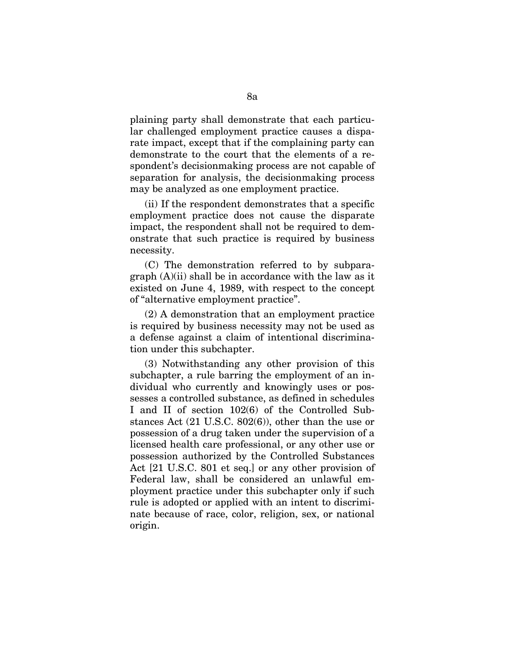plaining party shall demonstrate that each particular challenged employment practice causes a disparate impact, except that if the complaining party can demonstrate to the court that the elements of a respondent's decisionmaking process are not capable of separation for analysis, the decisionmaking process may be analyzed as one employment practice.

(ii) If the respondent demonstrates that a specific employment practice does not cause the disparate impact, the respondent shall not be required to demonstrate that such practice is required by business necessity.

(C) The demonstration referred to by subparagraph (A)(ii) shall be in accordance with the law as it existed on June 4, 1989, with respect to the concept of "alternative employment practice".

(2) A demonstration that an employment practice is required by business necessity may not be used as a defense against a claim of intentional discrimination under this subchapter.

(3) Notwithstanding any other provision of this subchapter, a rule barring the employment of an individual who currently and knowingly uses or possesses a controlled substance, as defined in schedules I and II of section 102(6) of the Controlled Substances Act (21 U.S.C. 802(6)), other than the use or possession of a drug taken under the supervision of a licensed health care professional, or any other use or possession authorized by the Controlled Substances Act [21 U.S.C. 801 et seq.] or any other provision of Federal law, shall be considered an unlawful employment practice under this subchapter only if such rule is adopted or applied with an intent to discriminate because of race, color, religion, sex, or national origin.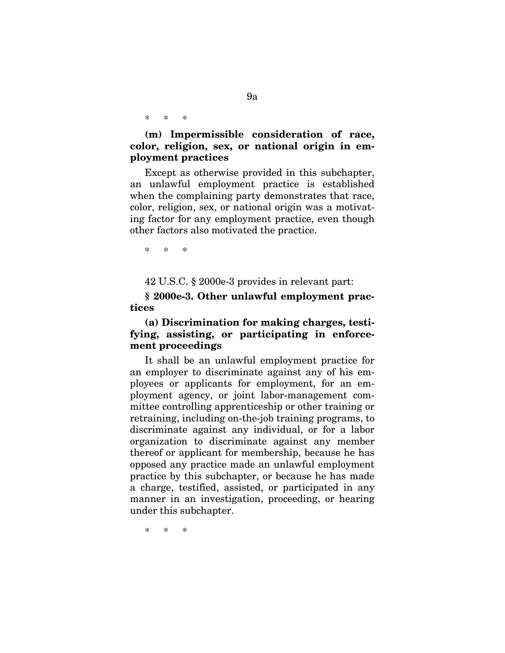\* \* \*

# **(m) Impermissible consideration of race, color, religion, sex, or national origin in employment practices**

Except as otherwise provided in this subchapter, an unlawful employment practice is established when the complaining party demonstrates that race. color, religion, sex, or national origin was a motivating factor for any employment practice, even though other factors also motivated the practice.

\* \* \*

42 U.S.C. § 2000e-3 provides in relevant part:

**§ 2000e-3. Other unlawful employment practices** 

# **(a) Discrimination for making charges, testifying, assisting, or participating in enforcement proceedings**

It shall be an unlawful employment practice for an employer to discriminate against any of his employees or applicants for employment, for an employment agency, or joint labor-management committee controlling apprenticeship or other training or retraining, including on-the-job training programs, to discriminate against any individual, or for a labor organization to discriminate against any member thereof or applicant for membership, because he has opposed any practice made an unlawful employment practice by this subchapter, or because he has made a charge, testified, assisted, or participated in any manner in an investigation, proceeding, or hearing under this subchapter.

\* \* \*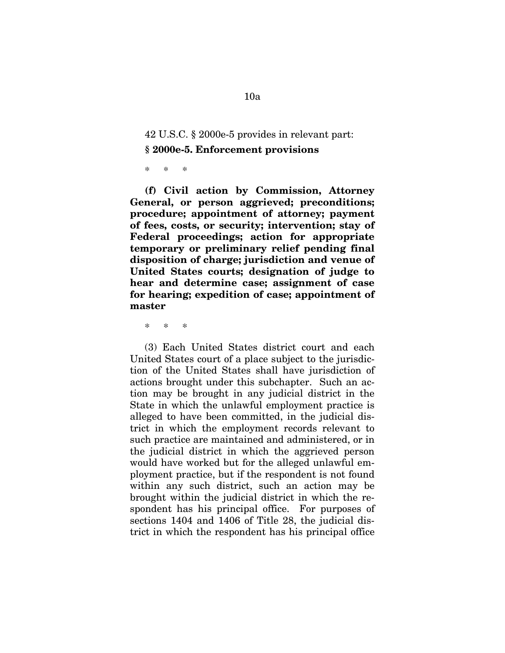# 42 U.S.C. § 2000e-5 provides in relevant part: **§ 2000e-5. Enforcement provisions**

\* \* \*

**(f) Civil action by Commission, Attorney General, or person aggrieved; preconditions; procedure; appointment of attorney; payment of fees, costs, or security; intervention; stay of Federal proceedings; action for appropriate temporary or preliminary relief pending final disposition of charge; jurisdiction and venue of United States courts; designation of judge to hear and determine case; assignment of case for hearing; expedition of case; appointment of master** 

\* \* \*

(3) Each United States district court and each United States court of a place subject to the jurisdiction of the United States shall have jurisdiction of actions brought under this subchapter. Such an action may be brought in any judicial district in the State in which the unlawful employment practice is alleged to have been committed, in the judicial district in which the employment records relevant to such practice are maintained and administered, or in the judicial district in which the aggrieved person would have worked but for the alleged unlawful employment practice, but if the respondent is not found within any such district, such an action may be brought within the judicial district in which the respondent has his principal office. For purposes of sections 1404 and 1406 of Title 28, the judicial district in which the respondent has his principal office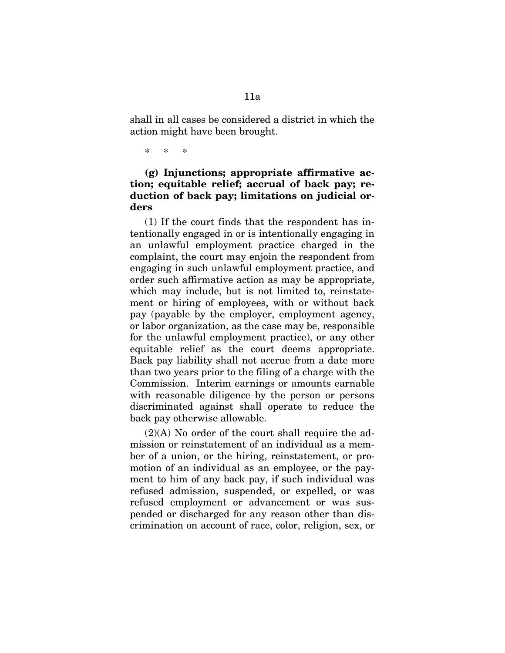shall in all cases be considered a district in which the action might have been brought.

\* \* \*

# **(g) Injunctions; appropriate affirmative action; equitable relief; accrual of back pay; reduction of back pay; limitations on judicial orders**

(1) If the court finds that the respondent has intentionally engaged in or is intentionally engaging in an unlawful employment practice charged in the complaint, the court may enjoin the respondent from engaging in such unlawful employment practice, and order such affirmative action as may be appropriate, which may include, but is not limited to, reinstatement or hiring of employees, with or without back pay (payable by the employer, employment agency, or labor organization, as the case may be, responsible for the unlawful employment practice), or any other equitable relief as the court deems appropriate. Back pay liability shall not accrue from a date more than two years prior to the filing of a charge with the Commission. Interim earnings or amounts earnable with reasonable diligence by the person or persons discriminated against shall operate to reduce the back pay otherwise allowable.

 $(2)(A)$  No order of the court shall require the admission or reinstatement of an individual as a member of a union, or the hiring, reinstatement, or promotion of an individual as an employee, or the payment to him of any back pay, if such individual was refused admission, suspended, or expelled, or was refused employment or advancement or was suspended or discharged for any reason other than discrimination on account of race, color, religion, sex, or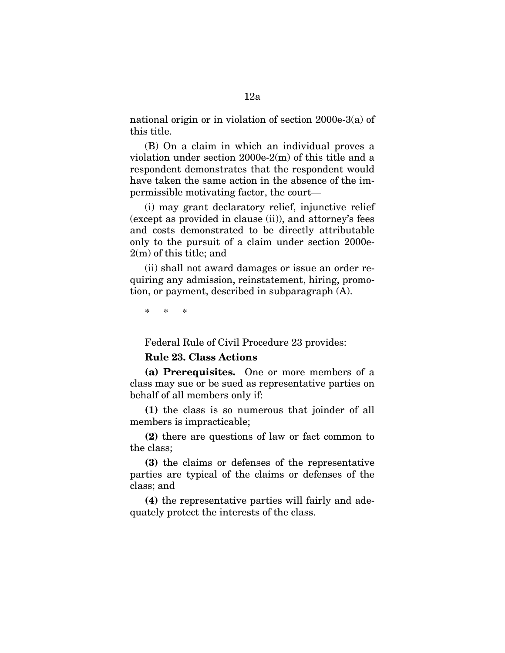national origin or in violation of section 2000e-3(a) of this title.

(B) On a claim in which an individual proves a violation under section 2000e-2(m) of this title and a respondent demonstrates that the respondent would have taken the same action in the absence of the impermissible motivating factor, the court—

(i) may grant declaratory relief, injunctive relief (except as provided in clause (ii)), and attorney's fees and costs demonstrated to be directly attributable only to the pursuit of a claim under section 2000e-2(m) of this title; and

(ii) shall not award damages or issue an order requiring any admission, reinstatement, hiring, promotion, or payment, described in subparagraph (A).

\* \* \*

Federal Rule of Civil Procedure 23 provides:

## **Rule 23. Class Actions**

**(a) Prerequisites.** One or more members of a class may sue or be sued as representative parties on behalf of all members only if:

**(1)** the class is so numerous that joinder of all members is impracticable;

**(2)** there are questions of law or fact common to the class;

**(3)** the claims or defenses of the representative parties are typical of the claims or defenses of the class; and

**(4)** the representative parties will fairly and adequately protect the interests of the class.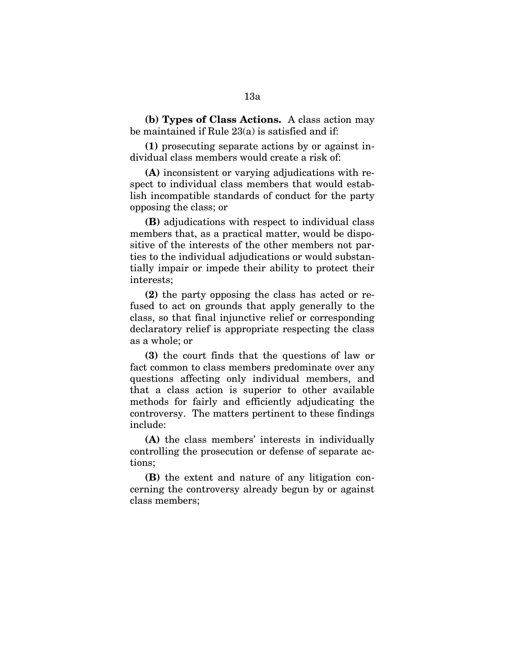**(b) Types of Class Actions.** A class action may be maintained if Rule 23(a) is satisfied and if:

**(1)** prosecuting separate actions by or against individual class members would create a risk of:

**(A)** inconsistent or varying adjudications with respect to individual class members that would establish incompatible standards of conduct for the party opposing the class; or

**(B)** adjudications with respect to individual class members that, as a practical matter, would be dispositive of the interests of the other members not parties to the individual adjudications or would substantially impair or impede their ability to protect their interests;

**(2)** the party opposing the class has acted or refused to act on grounds that apply generally to the class, so that final injunctive relief or corresponding declaratory relief is appropriate respecting the class as a whole; or

**(3)** the court finds that the questions of law or fact common to class members predominate over any questions affecting only individual members, and that a class action is superior to other available methods for fairly and efficiently adjudicating the controversy. The matters pertinent to these findings include:

**(A)** the class members' interests in individually controlling the prosecution or defense of separate actions;

**(B)** the extent and nature of any litigation concerning the controversy already begun by or against class members;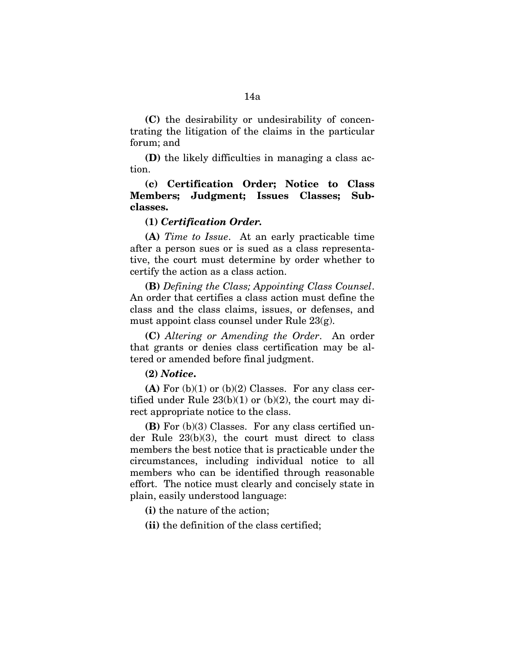**(C)** the desirability or undesirability of concentrating the litigation of the claims in the particular forum; and

**(D)** the likely difficulties in managing a class action.

# **(c) Certification Order; Notice to Class Members; Judgment; Issues Classes; Subclasses.**

### **(1)** *Certification Order.*

**(A)** *Time to Issue*. At an early practicable time after a person sues or is sued as a class representative, the court must determine by order whether to certify the action as a class action.

**(B)** *Defining the Class; Appointing Class Counsel*. An order that certifies a class action must define the class and the class claims, issues, or defenses, and must appoint class counsel under Rule 23(g).

**(C)** *Altering or Amending the Order*. An order that grants or denies class certification may be altered or amended before final judgment.

### **(2)** *Notice***.**

**(A)** For (b)(1) or (b)(2) Classes. For any class certified under Rule  $23(b)(1)$  or  $(b)(2)$ , the court may direct appropriate notice to the class.

**(B)** For (b)(3) Classes. For any class certified under Rule 23(b)(3), the court must direct to class members the best notice that is practicable under the circumstances, including individual notice to all members who can be identified through reasonable effort. The notice must clearly and concisely state in plain, easily understood language:

**(i)** the nature of the action;

**(ii)** the definition of the class certified;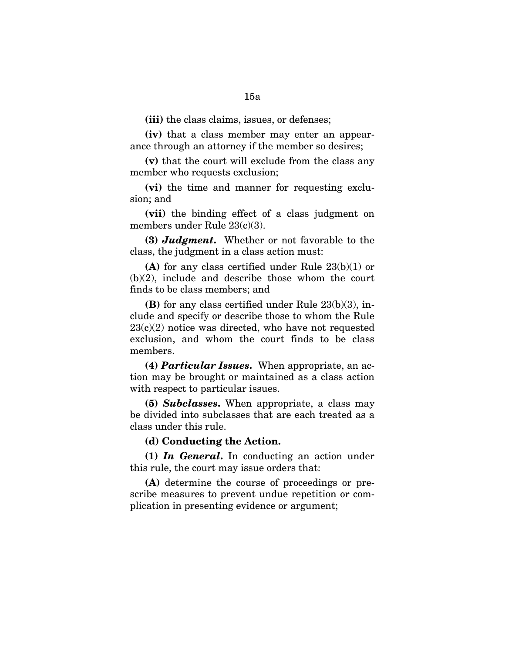**(iv)** that a class member may enter an appearance through an attorney if the member so desires;

**(v)** that the court will exclude from the class any member who requests exclusion;

**(vi)** the time and manner for requesting exclusion; and

**(vii)** the binding effect of a class judgment on members under Rule 23(c)(3).

**(3)** *Judgment***.** Whether or not favorable to the class, the judgment in a class action must:

**(A)** for any class certified under Rule 23(b)(1) or (b)(2), include and describe those whom the court finds to be class members; and

**(B)** for any class certified under Rule 23(b)(3), include and specify or describe those to whom the Rule  $23(c)(2)$  notice was directed, who have not requested exclusion, and whom the court finds to be class members.

**(4)** *Particular Issues***.** When appropriate, an action may be brought or maintained as a class action with respect to particular issues.

**(5)** *Subclasses***.** When appropriate, a class may be divided into subclasses that are each treated as a class under this rule.

### **(d) Conducting the Action.**

**(1)** *In General***.** In conducting an action under this rule, the court may issue orders that:

**(A)** determine the course of proceedings or prescribe measures to prevent undue repetition or complication in presenting evidence or argument;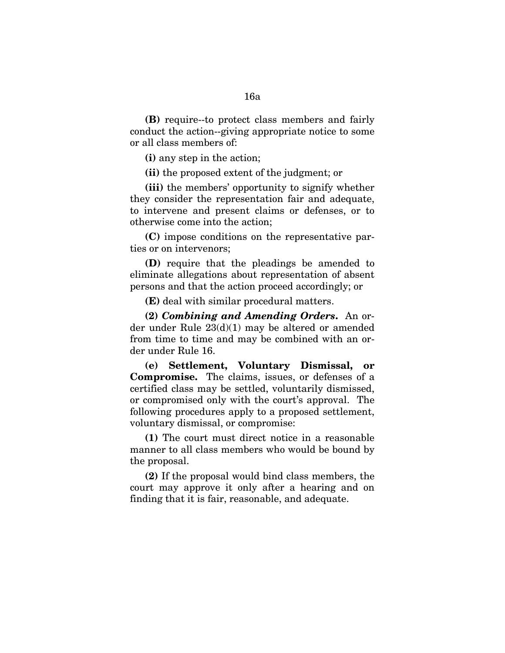16a

**(B)** require--to protect class members and fairly conduct the action--giving appropriate notice to some or all class members of:

**(i)** any step in the action;

**(ii)** the proposed extent of the judgment; or

**(iii)** the members' opportunity to signify whether they consider the representation fair and adequate, to intervene and present claims or defenses, or to otherwise come into the action;

**(C)** impose conditions on the representative parties or on intervenors;

**(D)** require that the pleadings be amended to eliminate allegations about representation of absent persons and that the action proceed accordingly; or

**(E)** deal with similar procedural matters.

**(2)** *Combining and Amending Orders***.** An order under Rule 23(d)(1) may be altered or amended from time to time and may be combined with an order under Rule 16.

**(e) Settlement, Voluntary Dismissal, or Compromise.** The claims, issues, or defenses of a certified class may be settled, voluntarily dismissed, or compromised only with the court's approval. The following procedures apply to a proposed settlement, voluntary dismissal, or compromise:

**(1)** The court must direct notice in a reasonable manner to all class members who would be bound by the proposal.

**(2)** If the proposal would bind class members, the court may approve it only after a hearing and on finding that it is fair, reasonable, and adequate.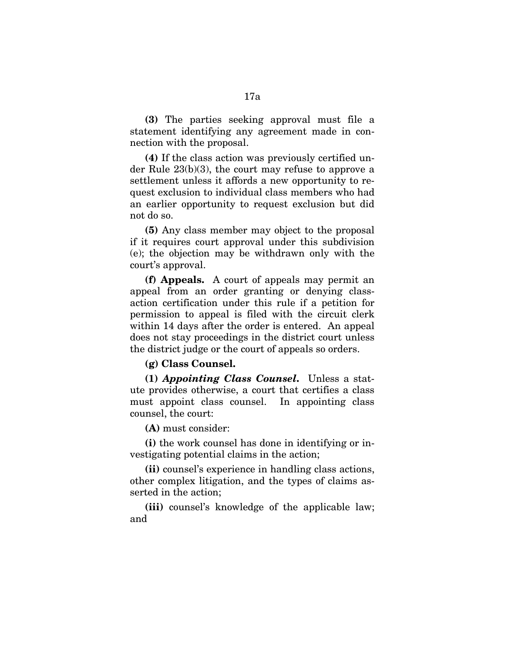**(3)** The parties seeking approval must file a statement identifying any agreement made in connection with the proposal.

**(4)** If the class action was previously certified under Rule 23(b)(3), the court may refuse to approve a settlement unless it affords a new opportunity to request exclusion to individual class members who had an earlier opportunity to request exclusion but did not do so.

**(5)** Any class member may object to the proposal if it requires court approval under this subdivision (e); the objection may be withdrawn only with the court's approval.

**(f) Appeals.** A court of appeals may permit an appeal from an order granting or denying classaction certification under this rule if a petition for permission to appeal is filed with the circuit clerk within 14 days after the order is entered. An appeal does not stay proceedings in the district court unless the district judge or the court of appeals so orders.

### **(g) Class Counsel.**

**(1)** *Appointing Class Counsel***.** Unless a statute provides otherwise, a court that certifies a class must appoint class counsel. In appointing class counsel, the court:

**(A)** must consider:

**(i)** the work counsel has done in identifying or investigating potential claims in the action;

**(ii)** counsel's experience in handling class actions, other complex litigation, and the types of claims asserted in the action;

**(iii)** counsel's knowledge of the applicable law; and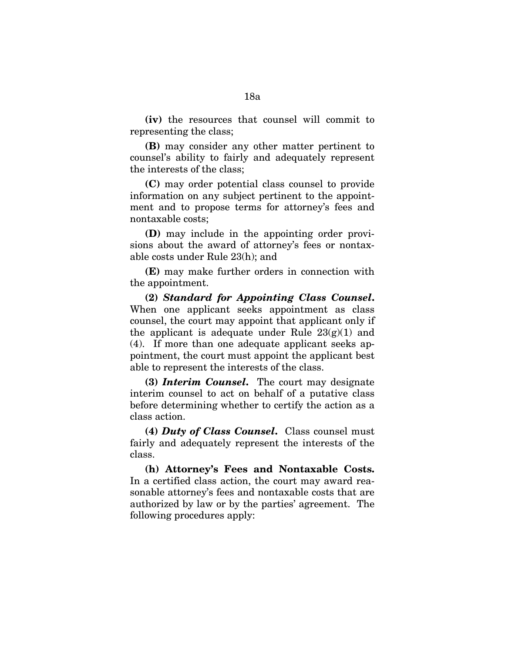**(iv)** the resources that counsel will commit to representing the class;

**(B)** may consider any other matter pertinent to counsel's ability to fairly and adequately represent the interests of the class;

**(C)** may order potential class counsel to provide information on any subject pertinent to the appointment and to propose terms for attorney's fees and nontaxable costs;

**(D)** may include in the appointing order provisions about the award of attorney's fees or nontaxable costs under Rule 23(h); and

**(E)** may make further orders in connection with the appointment.

**(2)** *Standard for Appointing Class Counsel***.**  When one applicant seeks appointment as class counsel, the court may appoint that applicant only if the applicant is adequate under Rule  $23(g)(1)$  and (4). If more than one adequate applicant seeks appointment, the court must appoint the applicant best able to represent the interests of the class.

**(3)** *Interim Counsel***.** The court may designate interim counsel to act on behalf of a putative class before determining whether to certify the action as a class action.

**(4)** *Duty of Class Counsel***.** Class counsel must fairly and adequately represent the interests of the class.

**(h) Attorney's Fees and Nontaxable Costs.**  In a certified class action, the court may award reasonable attorney's fees and nontaxable costs that are authorized by law or by the parties' agreement. The following procedures apply: